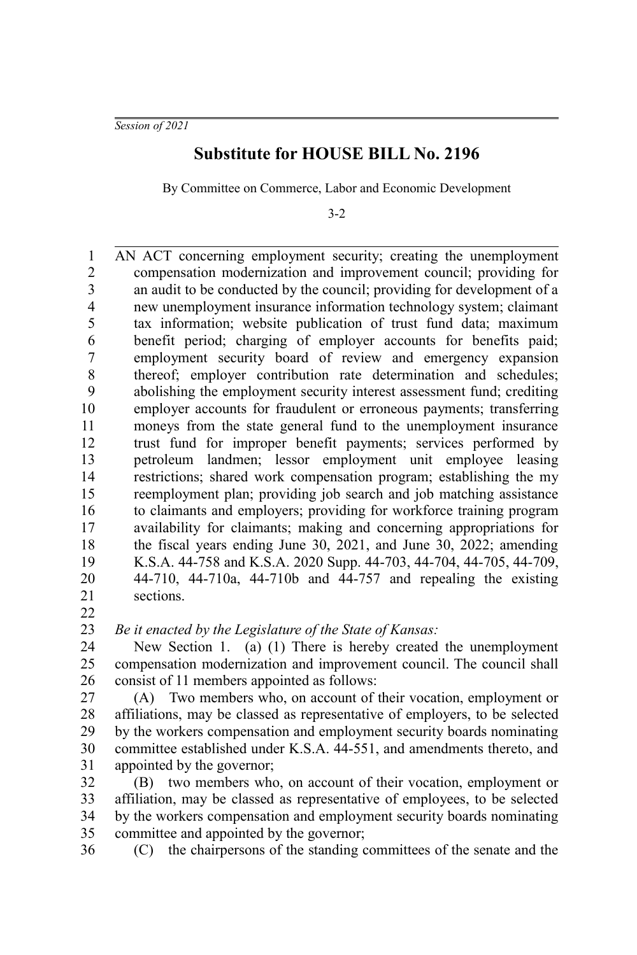*Session of 2021*

## **Substitute for HOUSE BILL No. 2196**

By Committee on Commerce, Labor and Economic Development

3-2

AN ACT concerning employment security; creating the unemployment compensation modernization and improvement council; providing for an audit to be conducted by the council; providing for development of a new unemployment insurance information technology system; claimant tax information; website publication of trust fund data; maximum benefit period; charging of employer accounts for benefits paid; employment security board of review and emergency expansion thereof; employer contribution rate determination and schedules; abolishing the employment security interest assessment fund; crediting employer accounts for fraudulent or erroneous payments; transferring moneys from the state general fund to the unemployment insurance trust fund for improper benefit payments; services performed by petroleum landmen; lessor employment unit employee leasing restrictions; shared work compensation program; establishing the my reemployment plan; providing job search and job matching assistance to claimants and employers; providing for workforce training program availability for claimants; making and concerning appropriations for the fiscal years ending June 30, 2021, and June 30, 2022; amending K.S.A. 44-758 and K.S.A. 2020 Supp. 44-703, 44-704, 44-705, 44-709, 44-710, 44-710a, 44-710b and 44-757 and repealing the existing sections. 1 2 3 4 5 6 7 8 9 10 11 12 13 14 15 16 17 18 19 20 21

22

*Be it enacted by the Legislature of the State of Kansas:* 23

New Section 1. (a) (1) There is hereby created the unemployment compensation modernization and improvement council. The council shall consist of 11 members appointed as follows: 24 25 26

(A) Two members who, on account of their vocation, employment or affiliations, may be classed as representative of employers, to be selected by the workers compensation and employment security boards nominating committee established under K.S.A. 44-551, and amendments thereto, and appointed by the governor; 27 28 29 30 31

(B) two members who, on account of their vocation, employment or affiliation, may be classed as representative of employees, to be selected by the workers compensation and employment security boards nominating committee and appointed by the governor; 32 33 34 35

36

(C) the chairpersons of the standing committees of the senate and the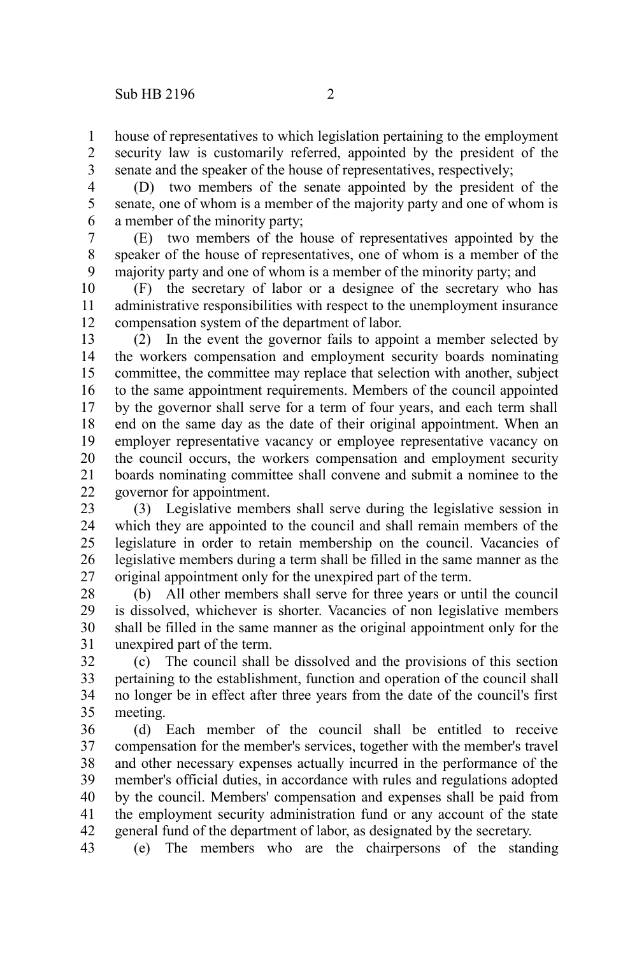house of representatives to which legislation pertaining to the employment security law is customarily referred, appointed by the president of the senate and the speaker of the house of representatives, respectively; 1 2 3

(D) two members of the senate appointed by the president of the senate, one of whom is a member of the majority party and one of whom is a member of the minority party; 4 5 6

(E) two members of the house of representatives appointed by the speaker of the house of representatives, one of whom is a member of the majority party and one of whom is a member of the minority party; and 7 8 9

(F) the secretary of labor or a designee of the secretary who has administrative responsibilities with respect to the unemployment insurance compensation system of the department of labor. 10 11 12

(2) In the event the governor fails to appoint a member selected by the workers compensation and employment security boards nominating committee, the committee may replace that selection with another, subject to the same appointment requirements. Members of the council appointed by the governor shall serve for a term of four years, and each term shall end on the same day as the date of their original appointment. When an employer representative vacancy or employee representative vacancy on the council occurs, the workers compensation and employment security boards nominating committee shall convene and submit a nominee to the governor for appointment. 13 14 15 16 17 18 19 20 21 22

(3) Legislative members shall serve during the legislative session in which they are appointed to the council and shall remain members of the legislature in order to retain membership on the council. Vacancies of legislative members during a term shall be filled in the same manner as the original appointment only for the unexpired part of the term. 23 24 25 26 27

(b) All other members shall serve for three years or until the council is dissolved, whichever is shorter. Vacancies of non legislative members shall be filled in the same manner as the original appointment only for the unexpired part of the term. 28 29 30 31

(c) The council shall be dissolved and the provisions of this section pertaining to the establishment, function and operation of the council shall no longer be in effect after three years from the date of the council's first meeting. 32 33 34 35

(d) Each member of the council shall be entitled to receive compensation for the member's services, together with the member's travel and other necessary expenses actually incurred in the performance of the member's official duties, in accordance with rules and regulations adopted by the council. Members' compensation and expenses shall be paid from the employment security administration fund or any account of the state general fund of the department of labor, as designated by the secretary. 36 37 38 39 40 41 42

(e) The members who are the chairpersons of the standing 43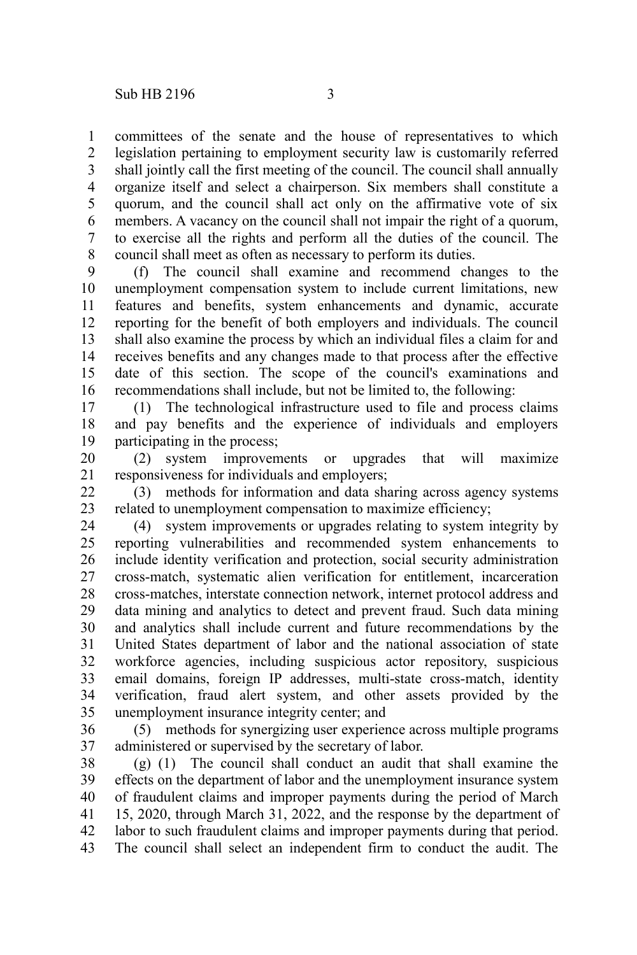committees of the senate and the house of representatives to which legislation pertaining to employment security law is customarily referred shall jointly call the first meeting of the council. The council shall annually organize itself and select a chairperson. Six members shall constitute a quorum, and the council shall act only on the affirmative vote of six members. A vacancy on the council shall not impair the right of a quorum, to exercise all the rights and perform all the duties of the council. The council shall meet as often as necessary to perform its duties. 1 2 3 4 5 6 7 8

(f) The council shall examine and recommend changes to the unemployment compensation system to include current limitations, new features and benefits, system enhancements and dynamic, accurate reporting for the benefit of both employers and individuals. The council shall also examine the process by which an individual files a claim for and receives benefits and any changes made to that process after the effective date of this section. The scope of the council's examinations and recommendations shall include, but not be limited to, the following: 9 10 11 12 13 14 15 16

(1) The technological infrastructure used to file and process claims and pay benefits and the experience of individuals and employers participating in the process; 17 18 19

(2) system improvements or upgrades that will maximize responsiveness for individuals and employers; 20 21

(3) methods for information and data sharing across agency systems related to unemployment compensation to maximize efficiency; 22 23

(4) system improvements or upgrades relating to system integrity by reporting vulnerabilities and recommended system enhancements to include identity verification and protection, social security administration cross-match, systematic alien verification for entitlement, incarceration cross-matches, interstate connection network, internet protocol address and data mining and analytics to detect and prevent fraud. Such data mining and analytics shall include current and future recommendations by the United States department of labor and the national association of state workforce agencies, including suspicious actor repository, suspicious email domains, foreign IP addresses, multi-state cross-match, identity verification, fraud alert system, and other assets provided by the unemployment insurance integrity center; and 24 25 26 27 28 29 30 31 32 33 34 35

(5) methods for synergizing user experience across multiple programs administered or supervised by the secretary of labor. 36 37

(g) (1) The council shall conduct an audit that shall examine the effects on the department of labor and the unemployment insurance system of fraudulent claims and improper payments during the period of March 15, 2020, through March 31, 2022, and the response by the department of labor to such fraudulent claims and improper payments during that period. The council shall select an independent firm to conduct the audit. The 38 39 40 41 42 43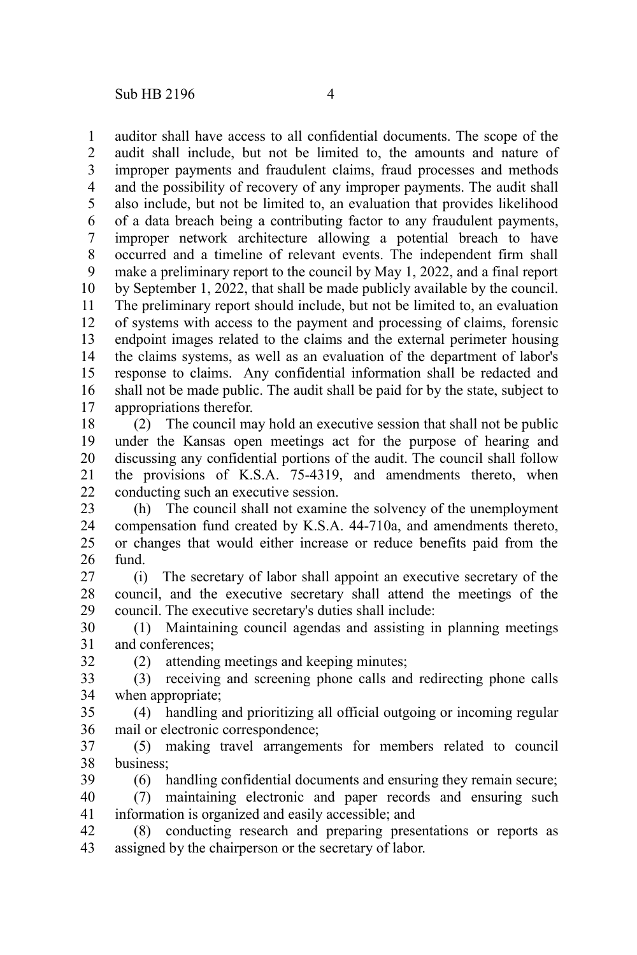auditor shall have access to all confidential documents. The scope of the audit shall include, but not be limited to, the amounts and nature of improper payments and fraudulent claims, fraud processes and methods and the possibility of recovery of any improper payments. The audit shall also include, but not be limited to, an evaluation that provides likelihood of a data breach being a contributing factor to any fraudulent payments, improper network architecture allowing a potential breach to have occurred and a timeline of relevant events. The independent firm shall make a preliminary report to the council by May 1, 2022, and a final report by September 1, 2022, that shall be made publicly available by the council. The preliminary report should include, but not be limited to, an evaluation of systems with access to the payment and processing of claims, forensic endpoint images related to the claims and the external perimeter housing the claims systems, as well as an evaluation of the department of labor's response to claims. Any confidential information shall be redacted and shall not be made public. The audit shall be paid for by the state, subject to appropriations therefor. 1 2 3 4 5 6 7 8 9 10 11 12 13 14 15 16 17

(2) The council may hold an executive session that shall not be public under the Kansas open meetings act for the purpose of hearing and discussing any confidential portions of the audit. The council shall follow the provisions of K.S.A. 75-4319, and amendments thereto, when conducting such an executive session. 18 19 20 21 22

(h) The council shall not examine the solvency of the unemployment compensation fund created by K.S.A. 44-710a, and amendments thereto, or changes that would either increase or reduce benefits paid from the fund. 23 24 25 26

(i) The secretary of labor shall appoint an executive secretary of the council, and the executive secretary shall attend the meetings of the council. The executive secretary's duties shall include: 27 28 29

(1) Maintaining council agendas and assisting in planning meetings and conferences; 30 31

(2) attending meetings and keeping minutes;

32

(3) receiving and screening phone calls and redirecting phone calls when appropriate; 33 34

(4) handling and prioritizing all official outgoing or incoming regular mail or electronic correspondence; 35 36

(5) making travel arrangements for members related to council business; 37 38

(6) handling confidential documents and ensuring they remain secure; 39

(7) maintaining electronic and paper records and ensuring such information is organized and easily accessible; and 40 41

(8) conducting research and preparing presentations or reports as assigned by the chairperson or the secretary of labor. 42 43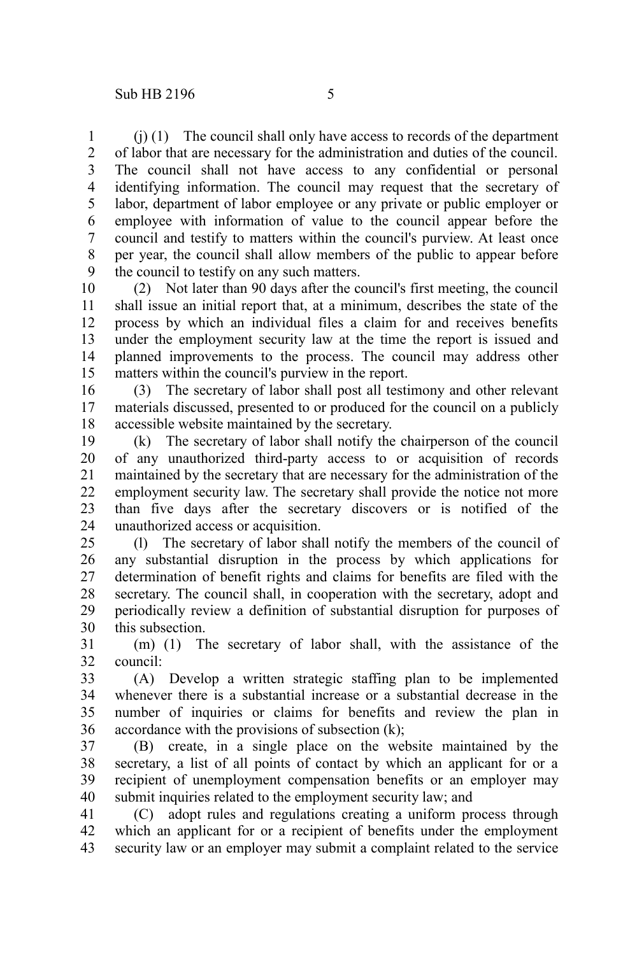(j) (1) The council shall only have access to records of the department of labor that are necessary for the administration and duties of the council. The council shall not have access to any confidential or personal identifying information. The council may request that the secretary of labor, department of labor employee or any private or public employer or employee with information of value to the council appear before the council and testify to matters within the council's purview. At least once per year, the council shall allow members of the public to appear before the council to testify on any such matters. 1 2 3 4 5 6 7 8 9

(2) Not later than 90 days after the council's first meeting, the council shall issue an initial report that, at a minimum, describes the state of the process by which an individual files a claim for and receives benefits under the employment security law at the time the report is issued and planned improvements to the process. The council may address other matters within the council's purview in the report. 10 11 12 13 14 15

(3) The secretary of labor shall post all testimony and other relevant materials discussed, presented to or produced for the council on a publicly accessible website maintained by the secretary. 16 17 18

(k) The secretary of labor shall notify the chairperson of the council of any unauthorized third-party access to or acquisition of records maintained by the secretary that are necessary for the administration of the employment security law. The secretary shall provide the notice not more than five days after the secretary discovers or is notified of the unauthorized access or acquisition. 19 20 21 22 23 24

(l) The secretary of labor shall notify the members of the council of any substantial disruption in the process by which applications for determination of benefit rights and claims for benefits are filed with the secretary. The council shall, in cooperation with the secretary, adopt and periodically review a definition of substantial disruption for purposes of this subsection. 25 26 27 28 29 30

(m) (1) The secretary of labor shall, with the assistance of the council: 31 32

(A) Develop a written strategic staffing plan to be implemented whenever there is a substantial increase or a substantial decrease in the number of inquiries or claims for benefits and review the plan in accordance with the provisions of subsection (k); 33 34 35 36

(B) create, in a single place on the website maintained by the secretary, a list of all points of contact by which an applicant for or a recipient of unemployment compensation benefits or an employer may submit inquiries related to the employment security law; and 37 38 39 40

(C) adopt rules and regulations creating a uniform process through which an applicant for or a recipient of benefits under the employment security law or an employer may submit a complaint related to the service 41 42 43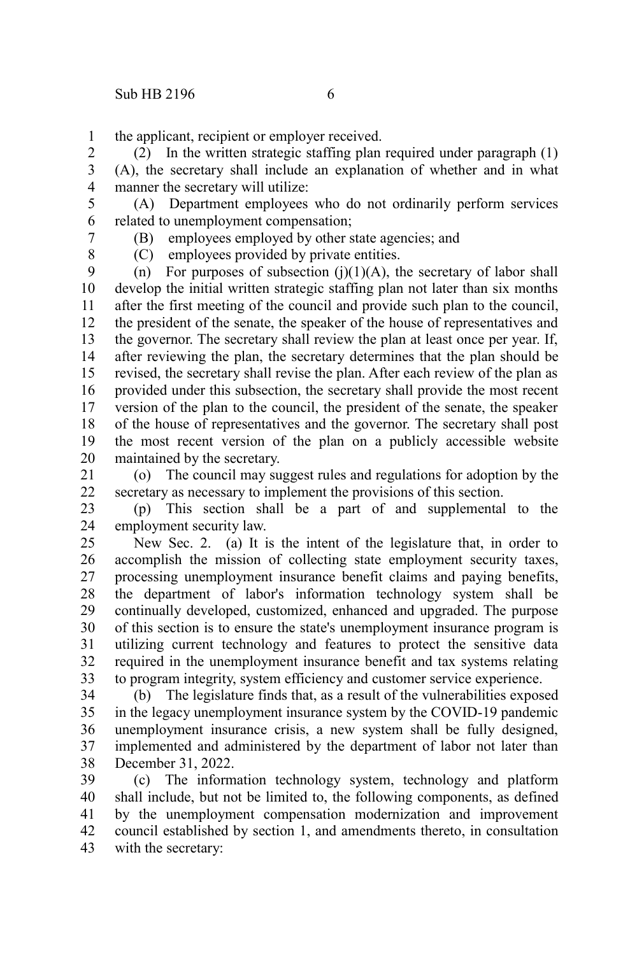the applicant, recipient or employer received. 1

(2) In the written strategic staffing plan required under paragraph (1) (A), the secretary shall include an explanation of whether and in what manner the secretary will utilize: 2 3 4

(A) Department employees who do not ordinarily perform services related to unemployment compensation; 5 6

7 8 (B) employees employed by other state agencies; and

(C) employees provided by private entities.

(n) For purposes of subsection  $(j)(1)(A)$ , the secretary of labor shall develop the initial written strategic staffing plan not later than six months after the first meeting of the council and provide such plan to the council, the president of the senate, the speaker of the house of representatives and the governor. The secretary shall review the plan at least once per year. If, after reviewing the plan, the secretary determines that the plan should be revised, the secretary shall revise the plan. After each review of the plan as provided under this subsection, the secretary shall provide the most recent version of the plan to the council, the president of the senate, the speaker of the house of representatives and the governor. The secretary shall post the most recent version of the plan on a publicly accessible website maintained by the secretary. 9 10 11 12 13 14 15 16 17 18 19 20

(o) The council may suggest rules and regulations for adoption by the secretary as necessary to implement the provisions of this section. 21 22

(p) This section shall be a part of and supplemental to the employment security law. 23 24

New Sec. 2. (a) It is the intent of the legislature that, in order to accomplish the mission of collecting state employment security taxes, processing unemployment insurance benefit claims and paying benefits, the department of labor's information technology system shall be continually developed, customized, enhanced and upgraded. The purpose of this section is to ensure the state's unemployment insurance program is utilizing current technology and features to protect the sensitive data required in the unemployment insurance benefit and tax systems relating to program integrity, system efficiency and customer service experience. 25 26 27 28 29 30 31 32 33

(b) The legislature finds that, as a result of the vulnerabilities exposed in the legacy unemployment insurance system by the COVID-19 pandemic unemployment insurance crisis, a new system shall be fully designed, implemented and administered by the department of labor not later than December 31, 2022. 34 35 36 37 38

(c) The information technology system, technology and platform shall include, but not be limited to, the following components, as defined by the unemployment compensation modernization and improvement council established by section 1, and amendments thereto, in consultation with the secretary: 39 40 41 42 43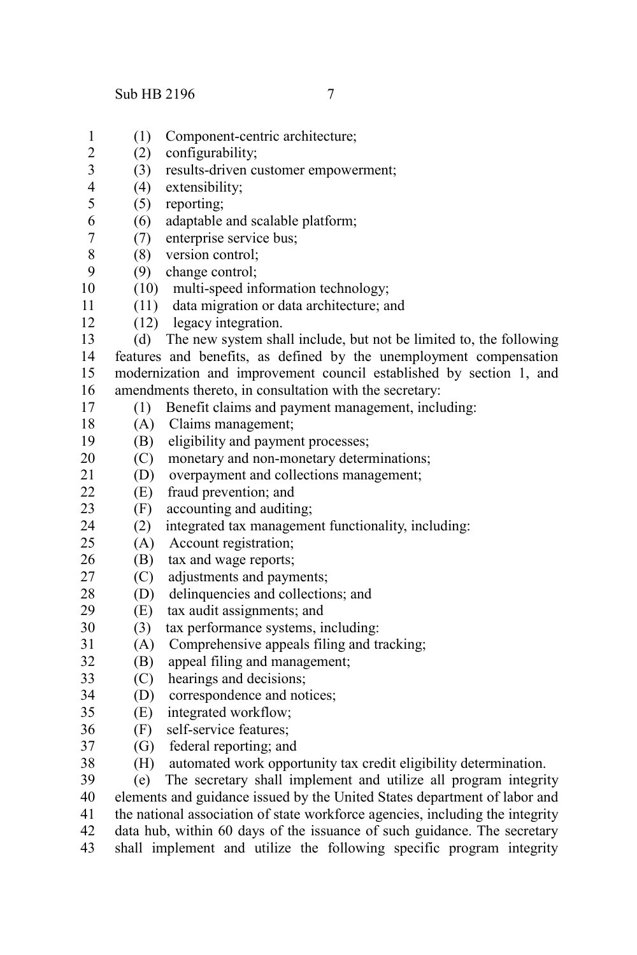- (1) Component-centric architecture; 1
- (2) configurability; 2
- (3) results-driven customer empowerment; 3
- (4) extensibility; 4
- (5) reporting; 5
- (6) adaptable and scalable platform; 6
- (7) enterprise service bus; 7
- (8) version control; 8
- (9) change control; 9
- (10) multi-speed information technology; 10
- (11) data migration or data architecture; and 11
- (12) legacy integration. 12

(d) The new system shall include, but not be limited to, the following features and benefits, as defined by the unemployment compensation modernization and improvement council established by section 1, and amendments thereto, in consultation with the secretary: 13 14 15 16

- (1) Benefit claims and payment management, including: 17
- (A) Claims management; 18
- (B) eligibility and payment processes; 19
- (C) monetary and non-monetary determinations; 20
- (D) overpayment and collections management; 21
- (E) fraud prevention; and  $22$
- (F) accounting and auditing; 23
- $(2)$  integrated tax management functionality, including: 24
- (A) Account registration; 25
- (B) tax and wage reports; 26
- (C) adjustments and payments; 27
- (D) delinquencies and collections; and 28
- (E) tax audit assignments; and 29
- (3) tax performance systems, including: 30
- (A) Comprehensive appeals filing and tracking; 31
- (B) appeal filing and management; 32
- (C) hearings and decisions; 33
- (D) correspondence and notices; 34
- (E) integrated workflow; 35
- (F) self-service features; 36
- (G) federal reporting; and 37
- (H) automated work opportunity tax credit eligibility determination. 38

(e) The secretary shall implement and utilize all program integrity elements and guidance issued by the United States department of labor and the national association of state workforce agencies, including the integrity data hub, within 60 days of the issuance of such guidance. The secretary shall implement and utilize the following specific program integrity 39 40 41 42 43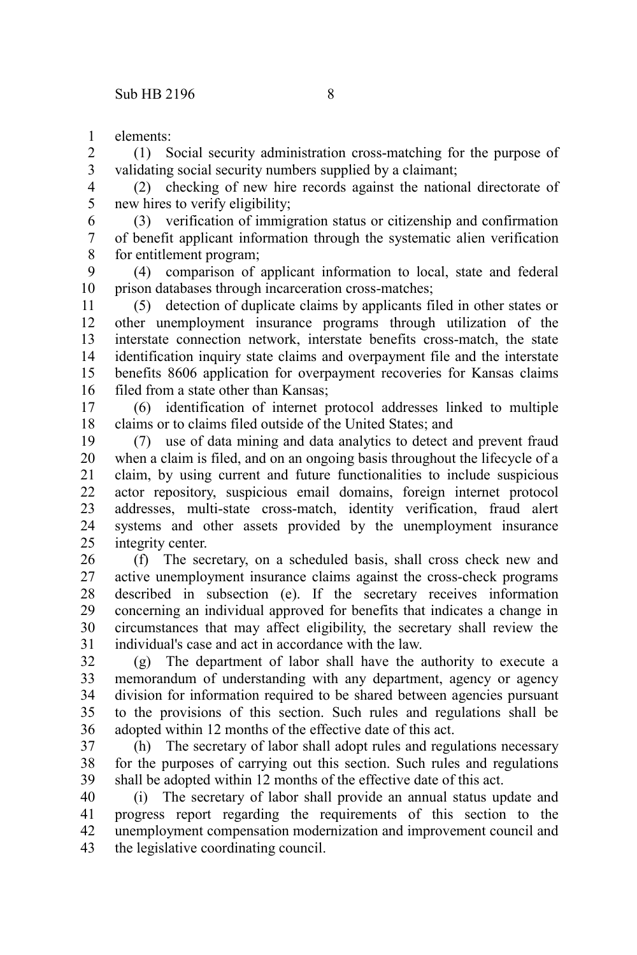elements: 1

(1) Social security administration cross-matching for the purpose of validating social security numbers supplied by a claimant; 2 3

(2) checking of new hire records against the national directorate of new hires to verify eligibility; 4 5

(3) verification of immigration status or citizenship and confirmation of benefit applicant information through the systematic alien verification for entitlement program; 6 7 8

(4) comparison of applicant information to local, state and federal prison databases through incarceration cross-matches; 9 10

(5) detection of duplicate claims by applicants filed in other states or other unemployment insurance programs through utilization of the interstate connection network, interstate benefits cross-match, the state identification inquiry state claims and overpayment file and the interstate benefits 8606 application for overpayment recoveries for Kansas claims filed from a state other than Kansas; 11 12 13 14 15 16

(6) identification of internet protocol addresses linked to multiple claims or to claims filed outside of the United States; and 17 18

(7) use of data mining and data analytics to detect and prevent fraud when a claim is filed, and on an ongoing basis throughout the lifecycle of a claim, by using current and future functionalities to include suspicious actor repository, suspicious email domains, foreign internet protocol addresses, multi-state cross-match, identity verification, fraud alert systems and other assets provided by the unemployment insurance integrity center. 19 20 21 22 23 24 25

(f) The secretary, on a scheduled basis, shall cross check new and active unemployment insurance claims against the cross-check programs described in subsection (e). If the secretary receives information concerning an individual approved for benefits that indicates a change in circumstances that may affect eligibility, the secretary shall review the individual's case and act in accordance with the law. 26 27 28 29 30 31

(g) The department of labor shall have the authority to execute a memorandum of understanding with any department, agency or agency division for information required to be shared between agencies pursuant to the provisions of this section. Such rules and regulations shall be adopted within 12 months of the effective date of this act. 32 33 34 35 36

(h) The secretary of labor shall adopt rules and regulations necessary for the purposes of carrying out this section. Such rules and regulations shall be adopted within 12 months of the effective date of this act. 37 38 39

(i) The secretary of labor shall provide an annual status update and progress report regarding the requirements of this section to the unemployment compensation modernization and improvement council and the legislative coordinating council. 40 41 42 43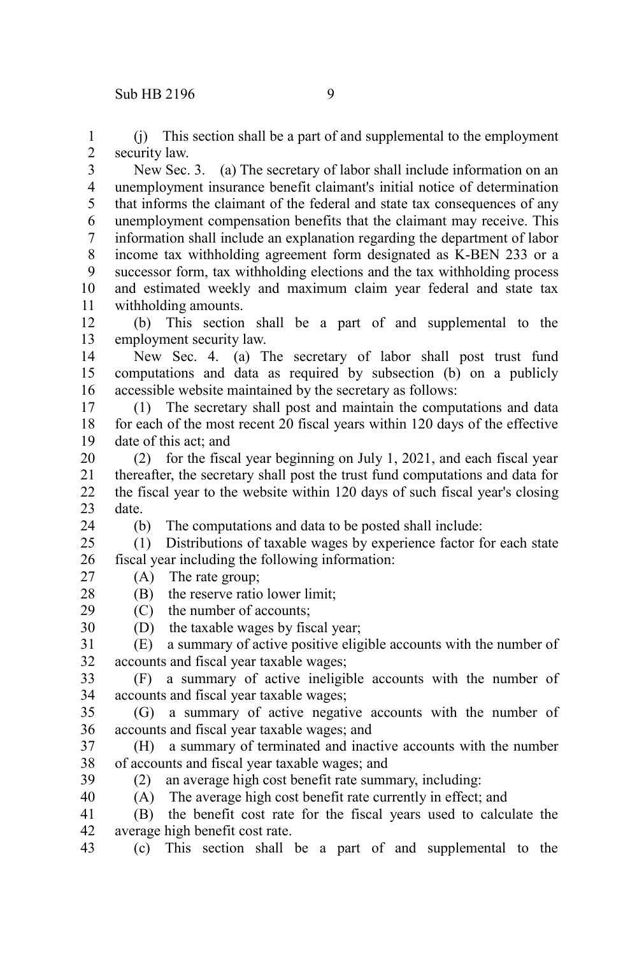(j) This section shall be a part of and supplemental to the employment security law. 1 2

New Sec. 3. (a) The secretary of labor shall include information on an unemployment insurance benefit claimant's initial notice of determination that informs the claimant of the federal and state tax consequences of any unemployment compensation benefits that the claimant may receive. This information shall include an explanation regarding the department of labor income tax withholding agreement form designated as K-BEN 233 or a successor form, tax withholding elections and the tax withholding process and estimated weekly and maximum claim year federal and state tax withholding amounts. 3 4 5 6 7 8 9 10 11

(b) This section shall be a part of and supplemental to the employment security law. 12 13

New Sec. 4. (a) The secretary of labor shall post trust fund computations and data as required by subsection (b) on a publicly accessible website maintained by the secretary as follows: 14 15 16

(1) The secretary shall post and maintain the computations and data for each of the most recent 20 fiscal years within 120 days of the effective date of this act; and 17 18 19

(2) for the fiscal year beginning on July 1, 2021, and each fiscal year thereafter, the secretary shall post the trust fund computations and data for the fiscal year to the website within 120 days of such fiscal year's closing date. 20 21 22 23

(b) The computations and data to be posted shall include:

(1) Distributions of taxable wages by experience factor for each state fiscal year including the following information: 25 26

- (A) The rate group; 27
- (B) the reserve ratio lower limit; 28

(C) the number of accounts; 29

(D) the taxable wages by fiscal year; 30

(E) a summary of active positive eligible accounts with the number of accounts and fiscal year taxable wages; 31 32

(F) a summary of active ineligible accounts with the number of accounts and fiscal year taxable wages; 33 34

(G) a summary of active negative accounts with the number of accounts and fiscal year taxable wages; and 35 36

(H) a summary of terminated and inactive accounts with the number of accounts and fiscal year taxable wages; and 37 38

39 40

24

(2) an average high cost benefit rate summary, including:

(A) The average high cost benefit rate currently in effect; and

(B) the benefit cost rate for the fiscal years used to calculate the average high benefit cost rate. 41 42

(c) This section shall be a part of and supplemental to the 43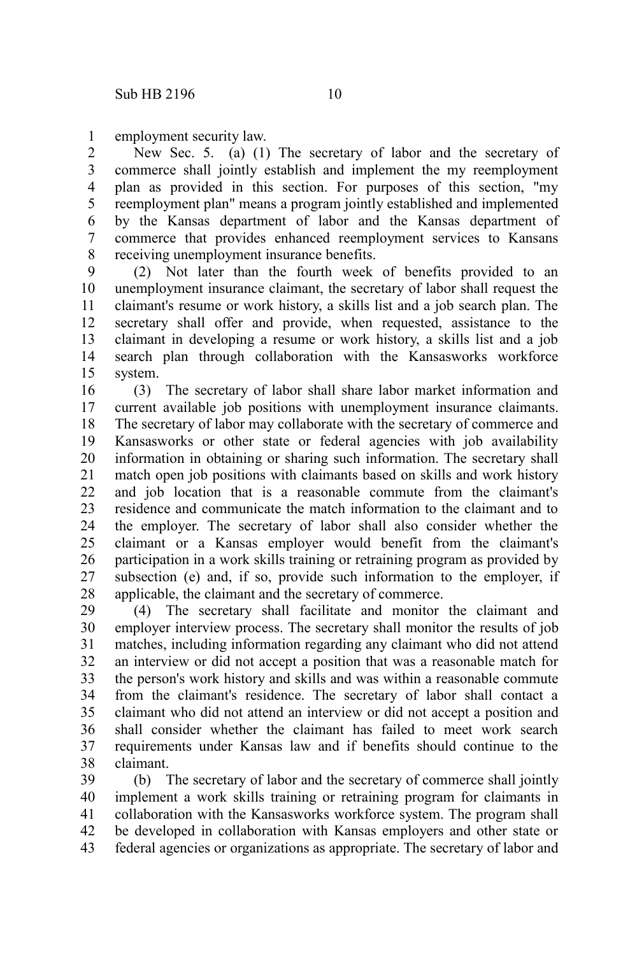employment security law. 1

New Sec. 5. (a) (1) The secretary of labor and the secretary of commerce shall jointly establish and implement the my reemployment plan as provided in this section. For purposes of this section, "my reemployment plan" means a program jointly established and implemented by the Kansas department of labor and the Kansas department of commerce that provides enhanced reemployment services to Kansans receiving unemployment insurance benefits. 2 3 4 5 6 7 8

(2) Not later than the fourth week of benefits provided to an unemployment insurance claimant, the secretary of labor shall request the claimant's resume or work history, a skills list and a job search plan. The secretary shall offer and provide, when requested, assistance to the claimant in developing a resume or work history, a skills list and a job search plan through collaboration with the Kansasworks workforce system. 9 10 11 12 13 14 15

(3) The secretary of labor shall share labor market information and current available job positions with unemployment insurance claimants. The secretary of labor may collaborate with the secretary of commerce and Kansasworks or other state or federal agencies with job availability information in obtaining or sharing such information. The secretary shall match open job positions with claimants based on skills and work history and job location that is a reasonable commute from the claimant's residence and communicate the match information to the claimant and to the employer. The secretary of labor shall also consider whether the claimant or a Kansas employer would benefit from the claimant's participation in a work skills training or retraining program as provided by subsection (e) and, if so, provide such information to the employer, if applicable, the claimant and the secretary of commerce. 16 17 18 19 20 21 22 23 24 25 26 27 28

(4) The secretary shall facilitate and monitor the claimant and employer interview process. The secretary shall monitor the results of job matches, including information regarding any claimant who did not attend an interview or did not accept a position that was a reasonable match for the person's work history and skills and was within a reasonable commute from the claimant's residence. The secretary of labor shall contact a claimant who did not attend an interview or did not accept a position and shall consider whether the claimant has failed to meet work search requirements under Kansas law and if benefits should continue to the claimant. 29 30 31 32 33 34 35 36 37 38

(b) The secretary of labor and the secretary of commerce shall jointly implement a work skills training or retraining program for claimants in collaboration with the Kansasworks workforce system. The program shall be developed in collaboration with Kansas employers and other state or federal agencies or organizations as appropriate. The secretary of labor and 39 40 41 42 43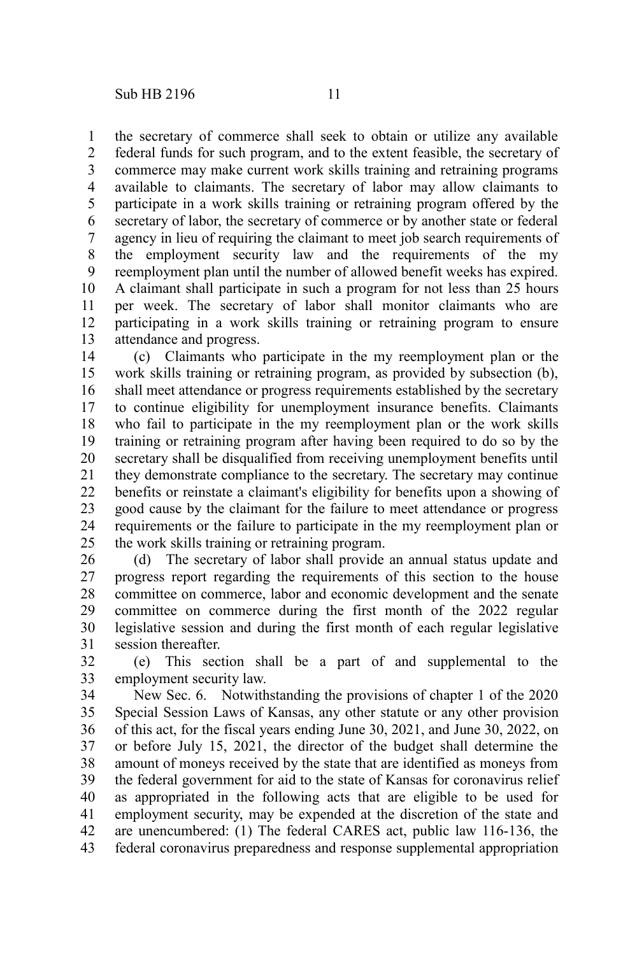the secretary of commerce shall seek to obtain or utilize any available federal funds for such program, and to the extent feasible, the secretary of commerce may make current work skills training and retraining programs available to claimants. The secretary of labor may allow claimants to participate in a work skills training or retraining program offered by the secretary of labor, the secretary of commerce or by another state or federal agency in lieu of requiring the claimant to meet job search requirements of the employment security law and the requirements of the my reemployment plan until the number of allowed benefit weeks has expired. A claimant shall participate in such a program for not less than 25 hours per week. The secretary of labor shall monitor claimants who are participating in a work skills training or retraining program to ensure attendance and progress. 1 2 3 4 5 6 7 8 9 10 11 12 13

(c) Claimants who participate in the my reemployment plan or the work skills training or retraining program, as provided by subsection (b), shall meet attendance or progress requirements established by the secretary to continue eligibility for unemployment insurance benefits. Claimants who fail to participate in the my reemployment plan or the work skills training or retraining program after having been required to do so by the secretary shall be disqualified from receiving unemployment benefits until they demonstrate compliance to the secretary. The secretary may continue benefits or reinstate a claimant's eligibility for benefits upon a showing of good cause by the claimant for the failure to meet attendance or progress requirements or the failure to participate in the my reemployment plan or the work skills training or retraining program. 14 15 16 17 18 19 20 21 22 23 24 25

(d) The secretary of labor shall provide an annual status update and progress report regarding the requirements of this section to the house committee on commerce, labor and economic development and the senate committee on commerce during the first month of the 2022 regular legislative session and during the first month of each regular legislative session thereafter. 26 27 28 29 30 31

(e) This section shall be a part of and supplemental to the employment security law. 32 33

New Sec. 6. Notwithstanding the provisions of chapter 1 of the 2020 Special Session Laws of Kansas, any other statute or any other provision of this act, for the fiscal years ending June 30, 2021, and June 30, 2022, on or before July 15, 2021, the director of the budget shall determine the amount of moneys received by the state that are identified as moneys from the federal government for aid to the state of Kansas for coronavirus relief as appropriated in the following acts that are eligible to be used for employment security, may be expended at the discretion of the state and are unencumbered: (1) The federal CARES act, public law 116-136, the federal coronavirus preparedness and response supplemental appropriation 34 35 36 37 38 39 40 41 42 43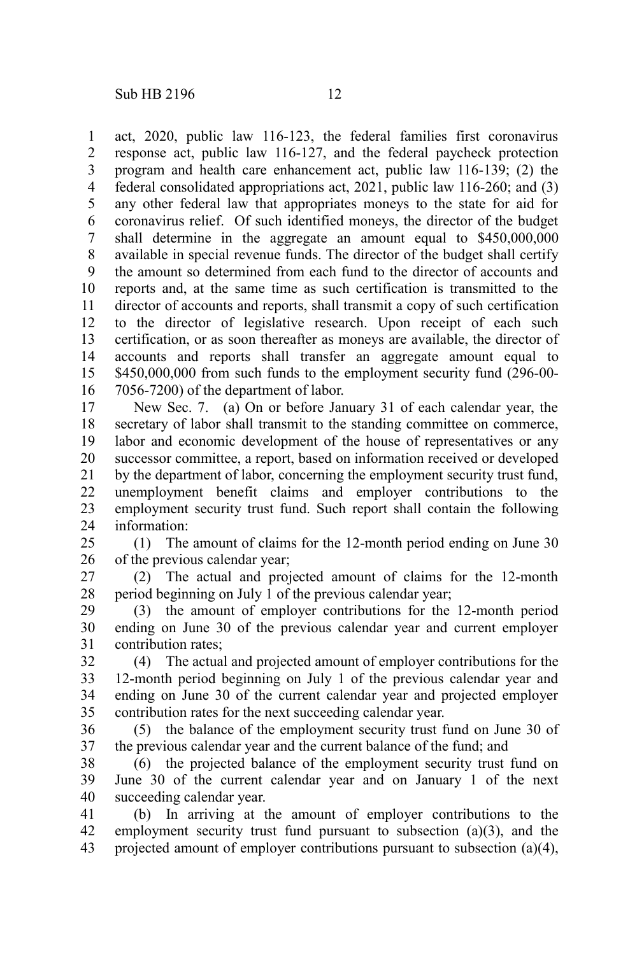act, 2020, public law 116-123, the federal families first coronavirus response act, public law 116-127, and the federal paycheck protection program and health care enhancement act, public law 116-139; (2) the federal consolidated appropriations act, 2021, public law 116-260; and (3) any other federal law that appropriates moneys to the state for aid for coronavirus relief. Of such identified moneys, the director of the budget shall determine in the aggregate an amount equal to \$450,000,000 available in special revenue funds. The director of the budget shall certify the amount so determined from each fund to the director of accounts and reports and, at the same time as such certification is transmitted to the director of accounts and reports, shall transmit a copy of such certification to the director of legislative research. Upon receipt of each such certification, or as soon thereafter as moneys are available, the director of accounts and reports shall transfer an aggregate amount equal to \$450,000,000 from such funds to the employment security fund (296-00-7056-7200) of the department of labor. 1 2 3 4 5 6 7 8 9 10 11 12 13 14 15 16

New Sec. 7. (a) On or before January 31 of each calendar year, the secretary of labor shall transmit to the standing committee on commerce, labor and economic development of the house of representatives or any successor committee, a report, based on information received or developed by the department of labor, concerning the employment security trust fund, unemployment benefit claims and employer contributions to the employment security trust fund. Such report shall contain the following information: 17 18 19 20 21 22 23 24

(1) The amount of claims for the 12-month period ending on June 30 of the previous calendar year;  $25$ 26

(2) The actual and projected amount of claims for the 12-month period beginning on July 1 of the previous calendar year; 27 28

(3) the amount of employer contributions for the 12-month period ending on June 30 of the previous calendar year and current employer contribution rates; 29 30 31

(4) The actual and projected amount of employer contributions for the 12-month period beginning on July 1 of the previous calendar year and ending on June 30 of the current calendar year and projected employer contribution rates for the next succeeding calendar year. 32 33 34 35

(5) the balance of the employment security trust fund on June 30 of the previous calendar year and the current balance of the fund; and 36 37

(6) the projected balance of the employment security trust fund on June 30 of the current calendar year and on January 1 of the next succeeding calendar year. 38 39 40

(b) In arriving at the amount of employer contributions to the employment security trust fund pursuant to subsection (a)(3), and the projected amount of employer contributions pursuant to subsection (a)(4), 41 42 43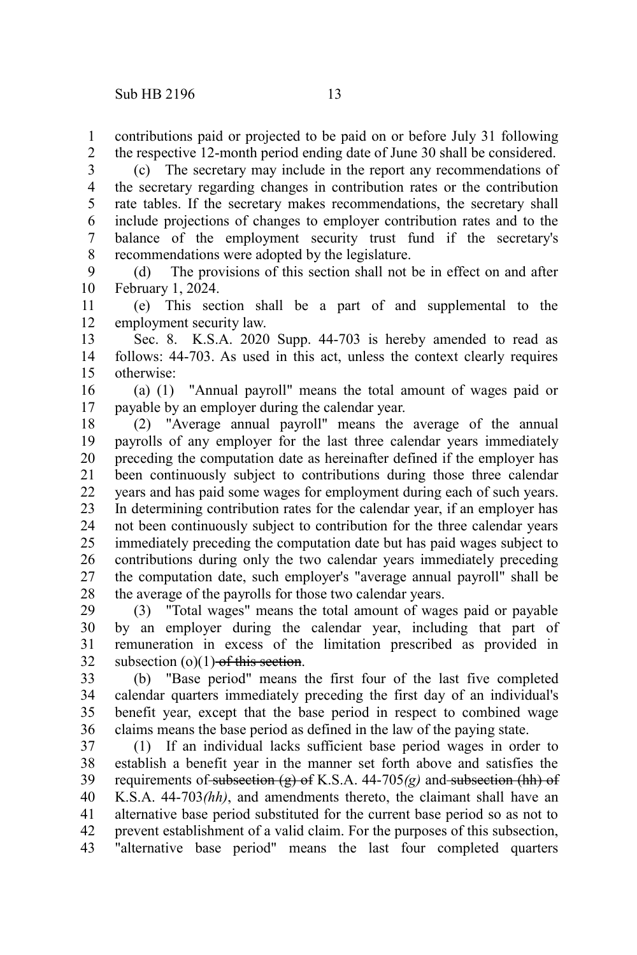contributions paid or projected to be paid on or before July 31 following the respective 12-month period ending date of June 30 shall be considered. 1 2

(c) The secretary may include in the report any recommendations of the secretary regarding changes in contribution rates or the contribution rate tables. If the secretary makes recommendations, the secretary shall include projections of changes to employer contribution rates and to the balance of the employment security trust fund if the secretary's recommendations were adopted by the legislature. 3 4 5 6 7 8

(d) The provisions of this section shall not be in effect on and after February 1, 2024. 9 10

(e) This section shall be a part of and supplemental to the employment security law. 11 12

Sec. 8. K.S.A. 2020 Supp. 44-703 is hereby amended to read as follows: 44-703. As used in this act, unless the context clearly requires otherwise: 13 14 15

(a) (1) "Annual payroll" means the total amount of wages paid or payable by an employer during the calendar year. 16 17

(2) "Average annual payroll" means the average of the annual payrolls of any employer for the last three calendar years immediately preceding the computation date as hereinafter defined if the employer has been continuously subject to contributions during those three calendar years and has paid some wages for employment during each of such years. In determining contribution rates for the calendar year, if an employer has not been continuously subject to contribution for the three calendar years immediately preceding the computation date but has paid wages subject to contributions during only the two calendar years immediately preceding the computation date, such employer's "average annual payroll" shall be the average of the payrolls for those two calendar years. 18 19 20 21 22 23 24 25 26 27 28

(3) "Total wages" means the total amount of wages paid or payable by an employer during the calendar year, including that part of remuneration in excess of the limitation prescribed as provided in subsection  $(o)(1)$  of this section. 29 30 31 32

(b) "Base period" means the first four of the last five completed calendar quarters immediately preceding the first day of an individual's benefit year, except that the base period in respect to combined wage claims means the base period as defined in the law of the paying state. 33 34 35 36

(1) If an individual lacks sufficient base period wages in order to establish a benefit year in the manner set forth above and satisfies the requirements of subsection (g) of K.S.A. 44-705*(g)* and subsection (hh) of K.S.A. 44-703*(hh)*, and amendments thereto, the claimant shall have an alternative base period substituted for the current base period so as not to prevent establishment of a valid claim. For the purposes of this subsection, "alternative base period" means the last four completed quarters 37 38 39 40 41 42 43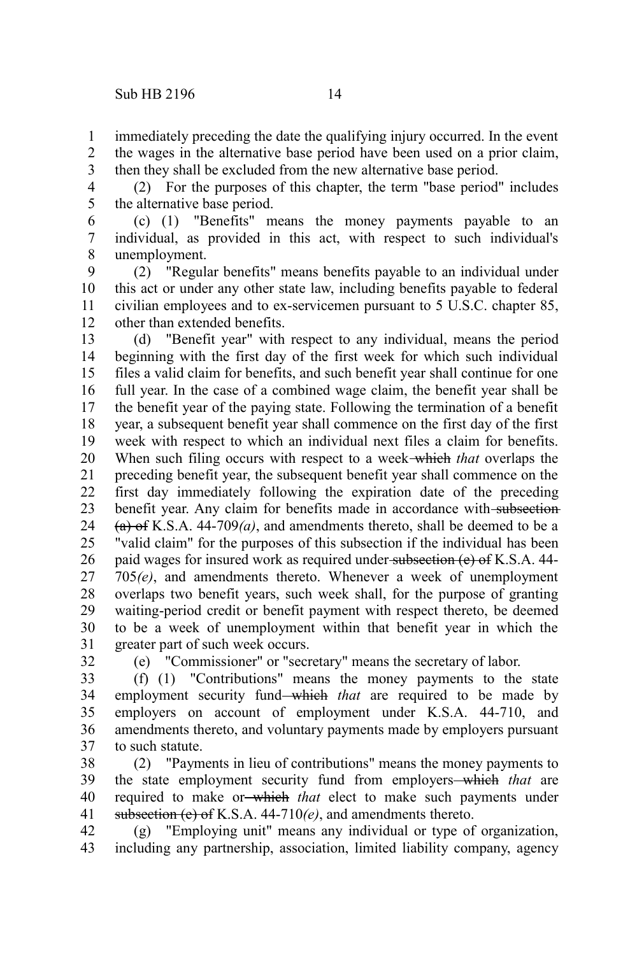- immediately preceding the date the qualifying injury occurred. In the event the wages in the alternative base period have been used on a prior claim, 1 2
- then they shall be excluded from the new alternative base period. 3
- (2) For the purposes of this chapter, the term "base period" includes the alternative base period. 4 5
- (c) (1) "Benefits" means the money payments payable to an individual, as provided in this act, with respect to such individual's unemployment. 6 7 8
- (2) "Regular benefits" means benefits payable to an individual under this act or under any other state law, including benefits payable to federal civilian employees and to ex-servicemen pursuant to 5 U.S.C. chapter 85, other than extended benefits. 9 10 11 12

(d) "Benefit year" with respect to any individual, means the period beginning with the first day of the first week for which such individual files a valid claim for benefits, and such benefit year shall continue for one full year. In the case of a combined wage claim, the benefit year shall be the benefit year of the paying state. Following the termination of a benefit year, a subsequent benefit year shall commence on the first day of the first week with respect to which an individual next files a claim for benefits. When such filing occurs with respect to a week which *that* overlaps the preceding benefit year, the subsequent benefit year shall commence on the first day immediately following the expiration date of the preceding benefit year. Any claim for benefits made in accordance with subsection (a) of K.S.A. 44-709*(a)*, and amendments thereto, shall be deemed to be a "valid claim" for the purposes of this subsection if the individual has been paid wages for insured work as required under subsection (e) of K.S.A. 44-705*(e)*, and amendments thereto. Whenever a week of unemployment overlaps two benefit years, such week shall, for the purpose of granting waiting-period credit or benefit payment with respect thereto, be deemed to be a week of unemployment within that benefit year in which the greater part of such week occurs. 13 14 15 16 17 18 19 20 21 22 23 24 25 26 27 28 29 30 31

32

(e) "Commissioner" or "secretary" means the secretary of labor.

- (f) (1) "Contributions" means the money payments to the state employment security fund—which *that* are required to be made by employers on account of employment under K.S.A. 44-710, and amendments thereto, and voluntary payments made by employers pursuant to such statute. 33 34 35 36 37
- (2) "Payments in lieu of contributions" means the money payments to the state employment security fund from employers-which that are required to make or-which *that* elect to make such payments under subsection (e) of K.S.A. 44-710*(e)*, and amendments thereto. 38 39 40 41
- (g) "Employing unit" means any individual or type of organization, including any partnership, association, limited liability company, agency 42 43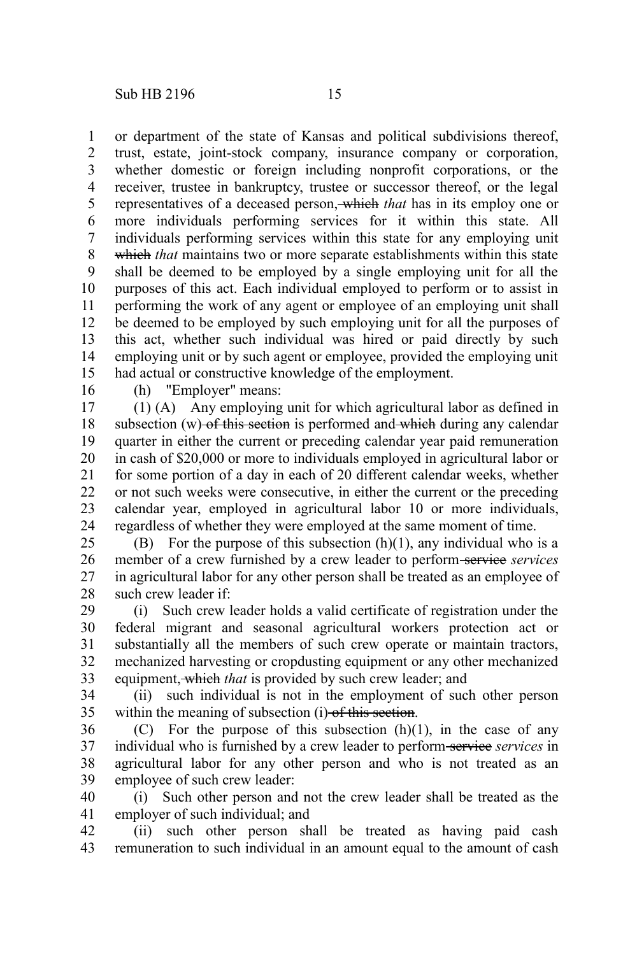or department of the state of Kansas and political subdivisions thereof, trust, estate, joint-stock company, insurance company or corporation, whether domestic or foreign including nonprofit corporations, or the receiver, trustee in bankruptcy, trustee or successor thereof, or the legal representatives of a deceased person, which *that* has in its employ one or more individuals performing services for it within this state. All individuals performing services within this state for any employing unit which *that* maintains two or more separate establishments within this state shall be deemed to be employed by a single employing unit for all the purposes of this act. Each individual employed to perform or to assist in performing the work of any agent or employee of an employing unit shall be deemed to be employed by such employing unit for all the purposes of this act, whether such individual was hired or paid directly by such employing unit or by such agent or employee, provided the employing unit had actual or constructive knowledge of the employment. 1 2 3 4 5 6 7 8 9 10 11 12 13 14 15

16

(h) "Employer" means:

(1) (A) Any employing unit for which agricultural labor as defined in subsection  $(w)$ -of this section is performed and which during any calendar quarter in either the current or preceding calendar year paid remuneration in cash of \$20,000 or more to individuals employed in agricultural labor or for some portion of a day in each of 20 different calendar weeks, whether or not such weeks were consecutive, in either the current or the preceding calendar year, employed in agricultural labor 10 or more individuals, regardless of whether they were employed at the same moment of time. 17 18 19 20 21 22 23 24

(B) For the purpose of this subsection  $(h)(1)$ , any individual who is a member of a crew furnished by a crew leader to perform-service *services* in agricultural labor for any other person shall be treated as an employee of such crew leader if: 25 26 27 28

(i) Such crew leader holds a valid certificate of registration under the federal migrant and seasonal agricultural workers protection act or substantially all the members of such crew operate or maintain tractors, mechanized harvesting or cropdusting equipment or any other mechanized equipment, which *that* is provided by such crew leader; and 29 30 31 32 33

(ii) such individual is not in the employment of such other person within the meaning of subsection (i) of this section. 34 35

 $(C)$  For the purpose of this subsection  $(h)(1)$ , in the case of any individual who is furnished by a crew leader to perform services *services* in agricultural labor for any other person and who is not treated as an employee of such crew leader: 36 37 38 39

(i) Such other person and not the crew leader shall be treated as the employer of such individual; and 40 41

(ii) such other person shall be treated as having paid cash remuneration to such individual in an amount equal to the amount of cash 42 43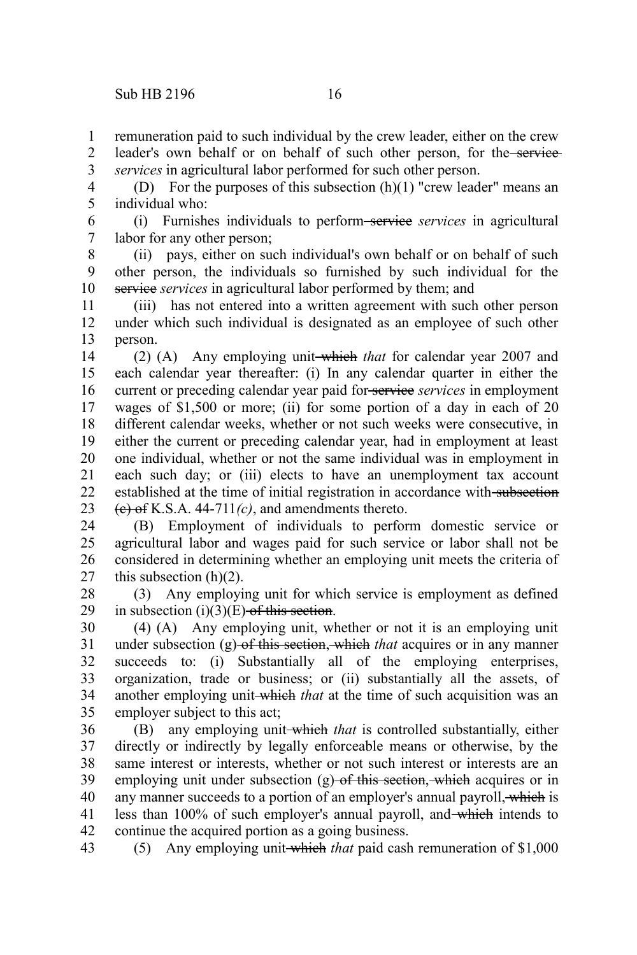(D) For the purposes of this subsection (h)(1) "crew leader" means an individual who: 4 5

(i) Furnishes individuals to perform service *services* in agricultural labor for any other person; 6 7

(ii) pays, either on such individual's own behalf or on behalf of such other person, the individuals so furnished by such individual for the service *services* in agricultural labor performed by them; and 8 9 10

(iii) has not entered into a written agreement with such other person under which such individual is designated as an employee of such other person. 11 12 13

(2) (A) Any employing unit which *that* for calendar year 2007 and each calendar year thereafter: (i) In any calendar quarter in either the current or preceding calendar year paid for service *services* in employment wages of \$1,500 or more; (ii) for some portion of a day in each of 20 different calendar weeks, whether or not such weeks were consecutive, in either the current or preceding calendar year, had in employment at least one individual, whether or not the same individual was in employment in each such day; or (iii) elects to have an unemployment tax account established at the time of initial registration in accordance with subsection  $(e)$  of K.S.A. 44-711 $(c)$ , and amendments thereto. 14 15 16 17 18 19 20 21 22 23

(B) Employment of individuals to perform domestic service or agricultural labor and wages paid for such service or labor shall not be considered in determining whether an employing unit meets the criteria of this subsection  $(h)(2)$ . 24 25 26 27

(3) Any employing unit for which service is employment as defined in subsection  $(i)(3)(E)$  of this section. 28 29

(4) (A) Any employing unit, whether or not it is an employing unit under subsection (g) of this section, which *that* acquires or in any manner succeeds to: (i) Substantially all of the employing enterprises, organization, trade or business; or (ii) substantially all the assets, of another employing unit-which *that* at the time of such acquisition was an employer subject to this act; 30 31 32 33 34 35

(B) any employing unit which *that* is controlled substantially, either directly or indirectly by legally enforceable means or otherwise, by the same interest or interests, whether or not such interest or interests are an employing unit under subsection (g) of this section, which acquires or in any manner succeeds to a portion of an employer's annual payroll, which is less than 100% of such employer's annual payroll, and which intends to continue the acquired portion as a going business. 36 37 38 39 40 41 42

(5) Any employing unit which *that* paid cash remuneration of \$1,000 43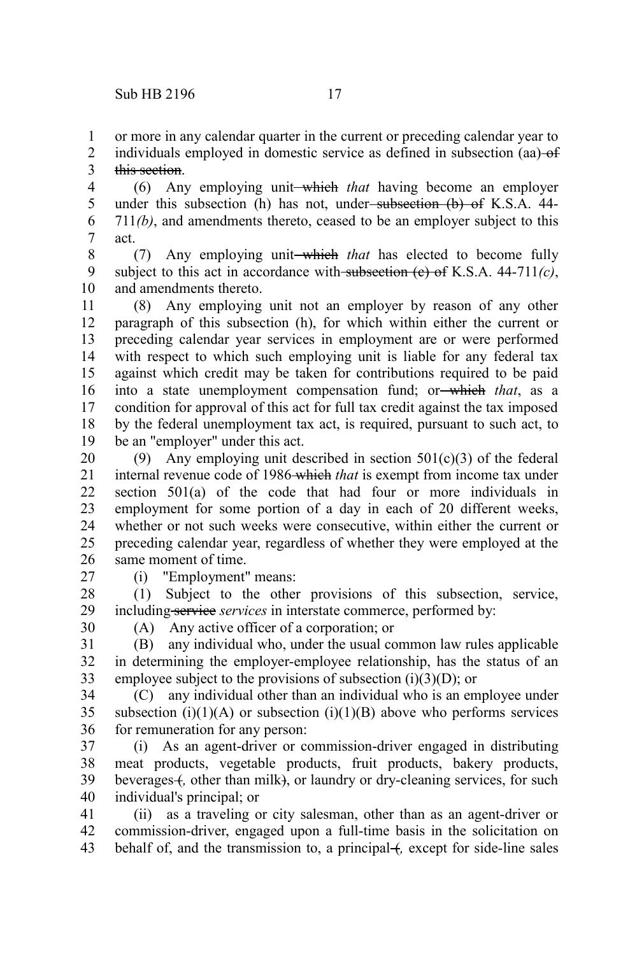or more in any calendar quarter in the current or preceding calendar year to individuals employed in domestic service as defined in subsection (aa) of this section. 1 2 3

(6) Any employing unit which *that* having become an employer under this subsection (h) has not, under-subsection (b) of K.S.A. 44-711*(b)*, and amendments thereto, ceased to be an employer subject to this act. 4 5 6 7

(7) Any employing unit which *that* has elected to become fully subject to this act in accordance with subsection  $(e)$  of K.S.A. 44-711 $(c)$ , and amendments thereto. 8 9 10

(8) Any employing unit not an employer by reason of any other paragraph of this subsection (h), for which within either the current or preceding calendar year services in employment are or were performed with respect to which such employing unit is liable for any federal tax against which credit may be taken for contributions required to be paid into a state unemployment compensation fund; or which *that*, as a condition for approval of this act for full tax credit against the tax imposed by the federal unemployment tax act, is required, pursuant to such act, to be an "employer" under this act. 11 12 13 14 15 16 17 18 19

(9) Any employing unit described in section  $501(c)(3)$  of the federal internal revenue code of 1986 which *that* is exempt from income tax under section 501(a) of the code that had four or more individuals in employment for some portion of a day in each of 20 different weeks, whether or not such weeks were consecutive, within either the current or preceding calendar year, regardless of whether they were employed at the same moment of time. 20 21 22 23 24 25 26

27

(i) "Employment" means:

(1) Subject to the other provisions of this subsection, service, including service *services* in interstate commerce, performed by: 28 29

30

(A) Any active officer of a corporation; or

(B) any individual who, under the usual common law rules applicable in determining the employer-employee relationship, has the status of an employee subject to the provisions of subsection  $(i)(3)(D)$ ; or 31 32 33

(C) any individual other than an individual who is an employee under subsection (i)(1)(A) or subsection (i)(1)(B) above who performs services for remuneration for any person: 34 35 36

(i) As an agent-driver or commission-driver engaged in distributing meat products, vegetable products, fruit products, bakery products, beverages +, other than milk), or laundry or dry-cleaning services, for such individual's principal; or 37 38 39 40

(ii) as a traveling or city salesman, other than as an agent-driver or commission-driver, engaged upon a full-time basis in the solicitation on behalf of, and the transmission to, a principal +, except for side-line sales 41 42 43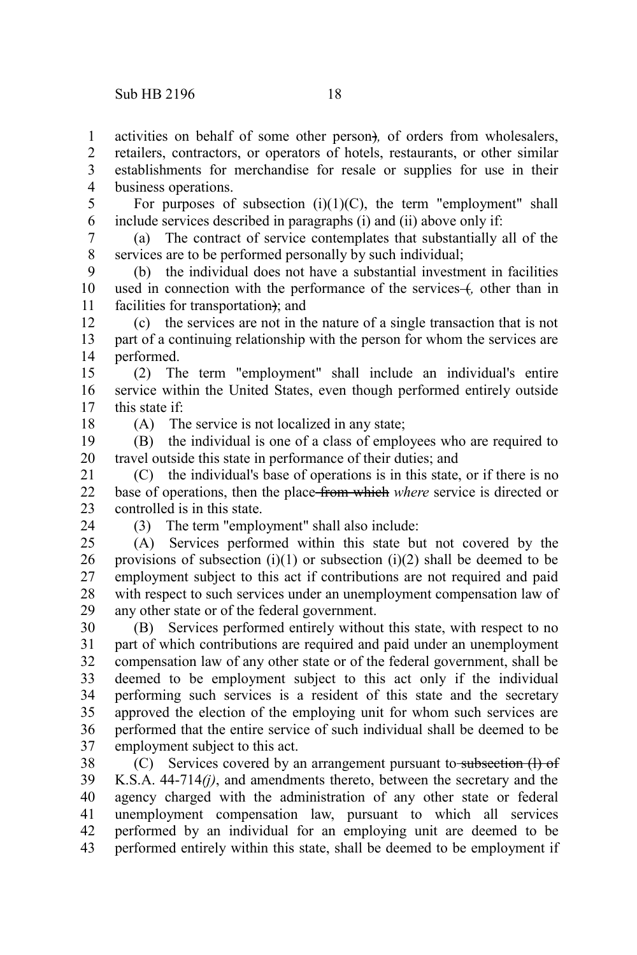activities on behalf of some other person)*,* of orders from wholesalers, 1

retailers, contractors, or operators of hotels, restaurants, or other similar establishments for merchandise for resale or supplies for use in their business operations. 2 3 4

For purposes of subsection  $(i)(1)(C)$ , the term "employment" shall include services described in paragraphs (i) and (ii) above only if: 5 6

(a) The contract of service contemplates that substantially all of the services are to be performed personally by such individual; 7 8

(b) the individual does not have a substantial investment in facilities used in connection with the performance of the services +, other than in facilities for transportation); and 9 10 11

(c) the services are not in the nature of a single transaction that is not part of a continuing relationship with the person for whom the services are performed. 12 13 14

(2) The term "employment" shall include an individual's entire service within the United States, even though performed entirely outside this state if: 15 16 17

18

24

(A) The service is not localized in any state;

(B) the individual is one of a class of employees who are required to travel outside this state in performance of their duties; and 19 20

(C) the individual's base of operations is in this state, or if there is no base of operations, then the place from which *where* service is directed or controlled is in this state. 21  $22$ 23

(3) The term "employment" shall also include:

(A) Services performed within this state but not covered by the provisions of subsection  $(i)(1)$  or subsection  $(i)(2)$  shall be deemed to be employment subject to this act if contributions are not required and paid with respect to such services under an unemployment compensation law of any other state or of the federal government.  $25$ 26 27 28 29

(B) Services performed entirely without this state, with respect to no part of which contributions are required and paid under an unemployment compensation law of any other state or of the federal government, shall be deemed to be employment subject to this act only if the individual performing such services is a resident of this state and the secretary approved the election of the employing unit for whom such services are performed that the entire service of such individual shall be deemed to be employment subject to this act. 30 31 32 33 34 35 36 37

(C) Services covered by an arrangement pursuant to subsection (I) of K.S.A. 44-714*(j)*, and amendments thereto, between the secretary and the agency charged with the administration of any other state or federal unemployment compensation law, pursuant to which all services performed by an individual for an employing unit are deemed to be performed entirely within this state, shall be deemed to be employment if 38 39 40 41 42 43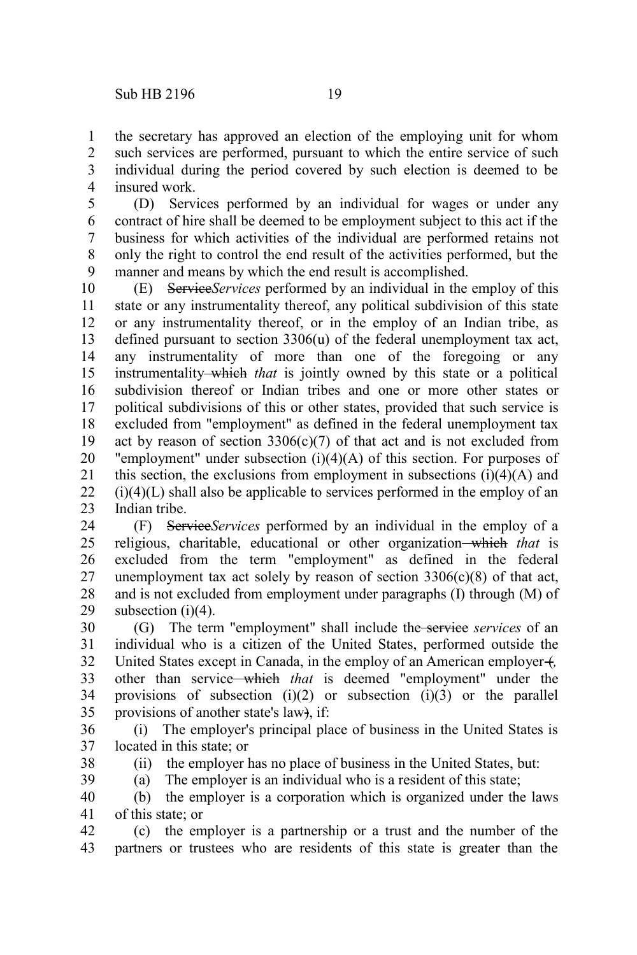38 39

the secretary has approved an election of the employing unit for whom such services are performed, pursuant to which the entire service of such individual during the period covered by such election is deemed to be insured work. 1 2 3 4

(D) Services performed by an individual for wages or under any contract of hire shall be deemed to be employment subject to this act if the business for which activities of the individual are performed retains not only the right to control the end result of the activities performed, but the manner and means by which the end result is accomplished. 5 6 7 8 9

(E) Service*Services* performed by an individual in the employ of this state or any instrumentality thereof, any political subdivision of this state or any instrumentality thereof, or in the employ of an Indian tribe, as defined pursuant to section 3306(u) of the federal unemployment tax act, any instrumentality of more than one of the foregoing or any instrumentality which *that* is jointly owned by this state or a political subdivision thereof or Indian tribes and one or more other states or political subdivisions of this or other states, provided that such service is excluded from "employment" as defined in the federal unemployment tax act by reason of section  $3306(c)(7)$  of that act and is not excluded from "employment" under subsection  $(i)(4)(A)$  of this section. For purposes of this section, the exclusions from employment in subsections  $(i)(4)(A)$  and  $(i)(4)(L)$  shall also be applicable to services performed in the employ of an Indian tribe. 10 11 12 13 14 15 16 17 18 19 20 21 22 23

(F) Service*Services* performed by an individual in the employ of a religious, charitable, educational or other organization which *that* is excluded from the term "employment" as defined in the federal unemployment tax act solely by reason of section  $3306(c)(8)$  of that act, and is not excluded from employment under paragraphs (I) through (M) of subsection  $(i)(4)$ . 24 25 26 27 28 29

(G) The term "employment" shall include the service *services* of an individual who is a citizen of the United States, performed outside the United States except in Canada, in the employ of an American employer +, other than service which *that* is deemed "employment" under the provisions of subsection  $(i)(2)$  or subsection  $(i)(3)$  or the parallel provisions of another state's law), if: 30 31 32 33 34 35

(i) The employer's principal place of business in the United States is located in this state; or 36 37

(ii) the employer has no place of business in the United States, but:

(a) The employer is an individual who is a resident of this state;

(b) the employer is a corporation which is organized under the laws of this state; or 40 41

(c) the employer is a partnership or a trust and the number of the partners or trustees who are residents of this state is greater than the 42 43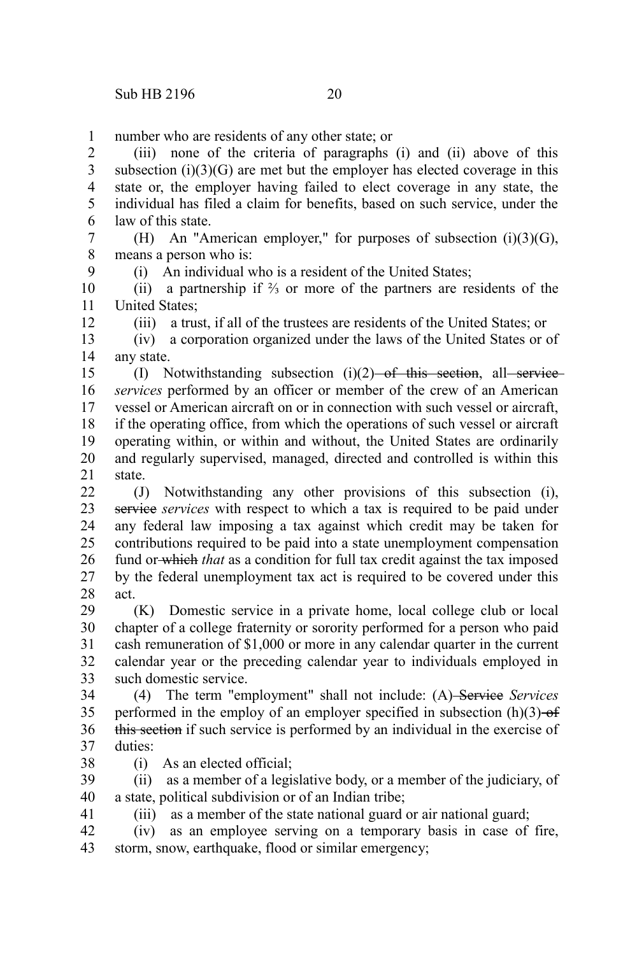9

12

number who are residents of any other state; or 1

(iii) none of the criteria of paragraphs (i) and (ii) above of this subsection  $(i)(3)(G)$  are met but the employer has elected coverage in this state or, the employer having failed to elect coverage in any state, the individual has filed a claim for benefits, based on such service, under the law of this state. 2 3 4 5 6

(H) An "American employer," for purposes of subsection  $(i)(3)(G)$ , means a person who is: 7 8

(i) An individual who is a resident of the United States;

(ii) a partnership if ⅔ or more of the partners are residents of the United States; 10 11

(iii) a trust, if all of the trustees are residents of the United States; or

(iv) a corporation organized under the laws of the United States or of any state. 13 14

(I) Notwithstanding subsection  $(i)(2)$  of this section, all service *services* performed by an officer or member of the crew of an American vessel or American aircraft on or in connection with such vessel or aircraft, if the operating office, from which the operations of such vessel or aircraft operating within, or within and without, the United States are ordinarily and regularly supervised, managed, directed and controlled is within this state. 15 16 17 18 19 20 21

(J) Notwithstanding any other provisions of this subsection (i), service *services* with respect to which a tax is required to be paid under any federal law imposing a tax against which credit may be taken for contributions required to be paid into a state unemployment compensation fund or which *that* as a condition for full tax credit against the tax imposed by the federal unemployment tax act is required to be covered under this act.  $22$ 23 24 25 26 27 28

(K) Domestic service in a private home, local college club or local chapter of a college fraternity or sorority performed for a person who paid cash remuneration of \$1,000 or more in any calendar quarter in the current calendar year or the preceding calendar year to individuals employed in such domestic service. 29 30 31 32 33

(4) The term "employment" shall not include: (A) Service *Services* performed in the employ of an employer specified in subsection  $(h)(3)$  of this section if such service is performed by an individual in the exercise of duties: 34 35 36 37

38

41

(i) As an elected official;

(ii) as a member of a legislative body, or a member of the judiciary, of a state, political subdivision or of an Indian tribe; 39 40

(iii) as a member of the state national guard or air national guard;

(iv) as an employee serving on a temporary basis in case of fire, storm, snow, earthquake, flood or similar emergency; 42 43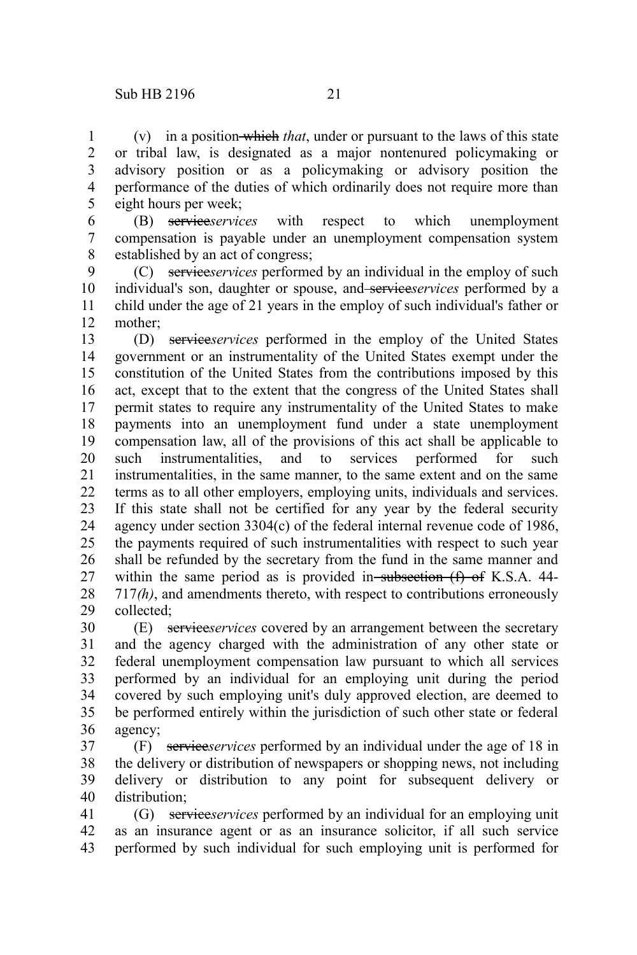(v) in a position which *that*, under or pursuant to the laws of this state or tribal law, is designated as a major nontenured policymaking or advisory position or as a policymaking or advisory position the performance of the duties of which ordinarily does not require more than eight hours per week; 1 2 3 4 5

(B) service*services* with respect to which unemployment compensation is payable under an unemployment compensation system established by an act of congress; 6 7 8

(C) service*services* performed by an individual in the employ of such individual's son, daughter or spouse, and services ervices performed by a child under the age of 21 years in the employ of such individual's father or mother; 9 10 11 12

(D) service*services* performed in the employ of the United States government or an instrumentality of the United States exempt under the constitution of the United States from the contributions imposed by this act, except that to the extent that the congress of the United States shall permit states to require any instrumentality of the United States to make payments into an unemployment fund under a state unemployment compensation law, all of the provisions of this act shall be applicable to such instrumentalities, and to services performed for such instrumentalities, in the same manner, to the same extent and on the same terms as to all other employers, employing units, individuals and services. If this state shall not be certified for any year by the federal security agency under section 3304(c) of the federal internal revenue code of 1986, the payments required of such instrumentalities with respect to such year shall be refunded by the secretary from the fund in the same manner and within the same period as is provided in subsection  $(f)$  of K.S.A. 44-717*(h)*, and amendments thereto, with respect to contributions erroneously collected; 13 14 15 16 17 18 19 20 21 22 23 24 25 26 27 28 29

(E) service*services* covered by an arrangement between the secretary and the agency charged with the administration of any other state or federal unemployment compensation law pursuant to which all services performed by an individual for an employing unit during the period covered by such employing unit's duly approved election, are deemed to be performed entirely within the jurisdiction of such other state or federal agency; 30 31 32 33 34 35 36

(F) service*services* performed by an individual under the age of 18 in the delivery or distribution of newspapers or shopping news, not including delivery or distribution to any point for subsequent delivery or distribution; 37 38 39 40

(G) service*services* performed by an individual for an employing unit as an insurance agent or as an insurance solicitor, if all such service performed by such individual for such employing unit is performed for 41 42 43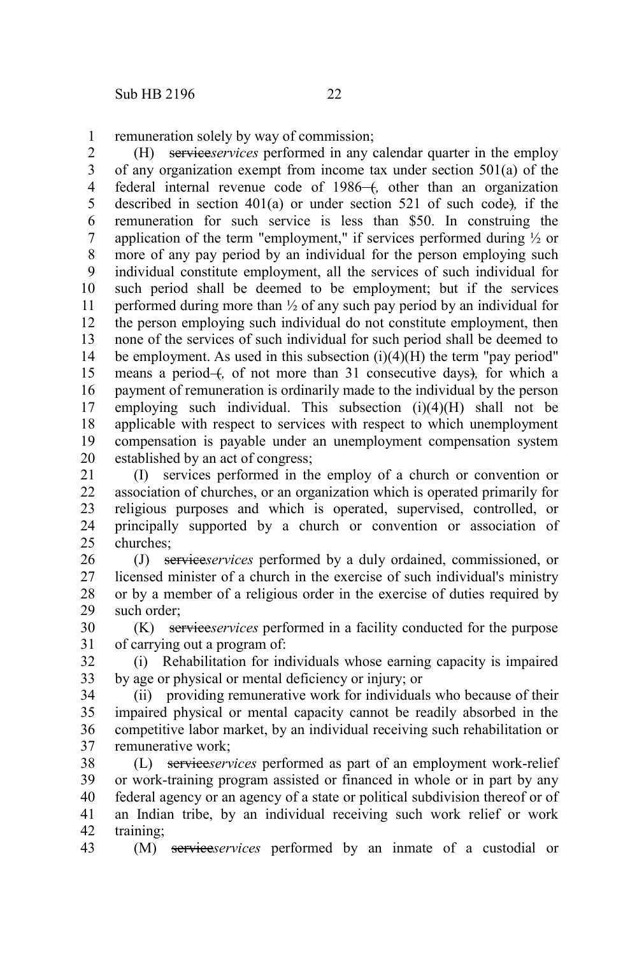remuneration solely by way of commission; 1

(H) service*services* performed in any calendar quarter in the employ of any organization exempt from income tax under section 501(a) of the federal internal revenue code of 1986– $\leftrightarrow$  other than an organization described in section 401(a) or under section 521 of such code)*,* if the remuneration for such service is less than \$50. In construing the application of the term "employment," if services performed during  $\frac{1}{2}$  or more of any pay period by an individual for the person employing such individual constitute employment, all the services of such individual for such period shall be deemed to be employment; but if the services performed during more than ½ of any such pay period by an individual for the person employing such individual do not constitute employment, then none of the services of such individual for such period shall be deemed to be employment. As used in this subsection  $(i)(4)(H)$  the term "pay period" means a period- $\left($ , of not more than 31 consecutive days), for which a payment of remuneration is ordinarily made to the individual by the person employing such individual. This subsection (i)(4)(H) shall not be applicable with respect to services with respect to which unemployment compensation is payable under an unemployment compensation system established by an act of congress; 2 3 4 5 6 7 8 9 10 11 12 13 14 15 16 17 18 19 20

(I) services performed in the employ of a church or convention or association of churches, or an organization which is operated primarily for religious purposes and which is operated, supervised, controlled, or principally supported by a church or convention or association of churches; 21 22 23 24 25

(J) service*services* performed by a duly ordained, commissioned, or licensed minister of a church in the exercise of such individual's ministry or by a member of a religious order in the exercise of duties required by such order; 26 27 28 29

(K) service*services* performed in a facility conducted for the purpose of carrying out a program of: 30 31

(i) Rehabilitation for individuals whose earning capacity is impaired by age or physical or mental deficiency or injury; or 32 33

(ii) providing remunerative work for individuals who because of their impaired physical or mental capacity cannot be readily absorbed in the competitive labor market, by an individual receiving such rehabilitation or remunerative work; 34 35 36 37

(L) service*services* performed as part of an employment work-relief or work-training program assisted or financed in whole or in part by any federal agency or an agency of a state or political subdivision thereof or of an Indian tribe, by an individual receiving such work relief or work training; 38 39 40 41 42

(M) service*services* performed by an inmate of a custodial or 43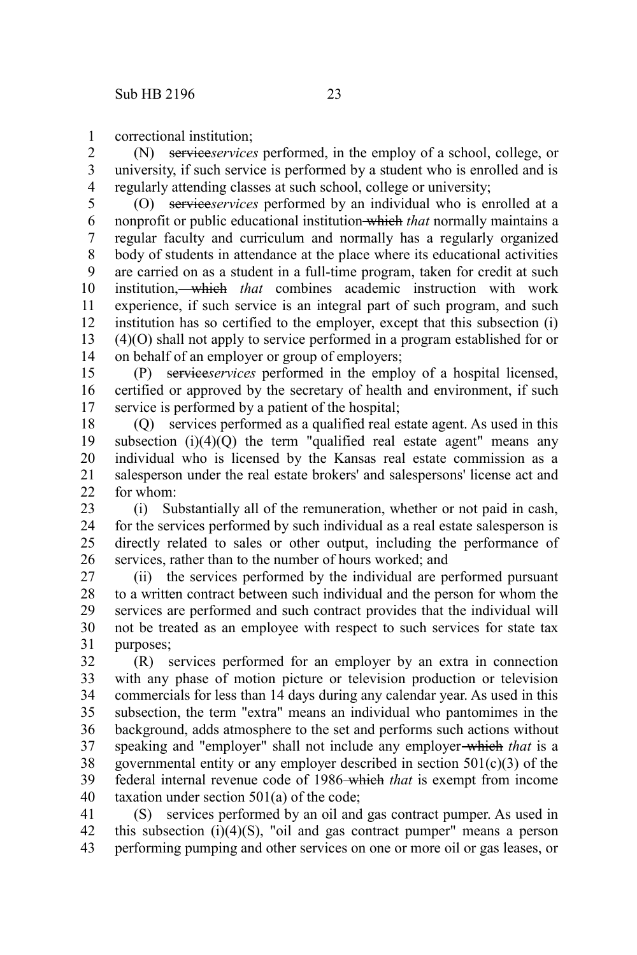correctional institution; 1

(N) service*services* performed, in the employ of a school, college, or university, if such service is performed by a student who is enrolled and is regularly attending classes at such school, college or university; 2 3 4

(O) service*services* performed by an individual who is enrolled at a nonprofit or public educational institution which *that* normally maintains a regular faculty and curriculum and normally has a regularly organized body of students in attendance at the place where its educational activities are carried on as a student in a full-time program, taken for credit at such institution, which *that* combines academic instruction with work experience, if such service is an integral part of such program, and such institution has so certified to the employer, except that this subsection (i) (4)(O) shall not apply to service performed in a program established for or on behalf of an employer or group of employers; 5 6 7 8 9 10 11 12 13 14

(P) service*services* performed in the employ of a hospital licensed, certified or approved by the secretary of health and environment, if such service is performed by a patient of the hospital; 15 16 17

(Q) services performed as a qualified real estate agent. As used in this subsection (i)(4)(Q) the term "qualified real estate agent" means any individual who is licensed by the Kansas real estate commission as a salesperson under the real estate brokers' and salespersons' license act and for whom: 18 19 20 21  $22$ 

(i) Substantially all of the remuneration, whether or not paid in cash, for the services performed by such individual as a real estate salesperson is directly related to sales or other output, including the performance of services, rather than to the number of hours worked; and 23 24 25 26

(ii) the services performed by the individual are performed pursuant to a written contract between such individual and the person for whom the services are performed and such contract provides that the individual will not be treated as an employee with respect to such services for state tax purposes; 27 28 29 30 31

(R) services performed for an employer by an extra in connection with any phase of motion picture or television production or television commercials for less than 14 days during any calendar year. As used in this subsection, the term "extra" means an individual who pantomimes in the background, adds atmosphere to the set and performs such actions without speaking and "employer" shall not include any employer which *that* is a governmental entity or any employer described in section  $501(c)(3)$  of the federal internal revenue code of 1986 which *that* is exempt from income taxation under section 501(a) of the code; 32 33 34 35 36 37 38 39 40

(S) services performed by an oil and gas contract pumper. As used in this subsection  $(i)(4)(S)$ , "oil and gas contract pumper" means a person performing pumping and other services on one or more oil or gas leases, or 41 42 43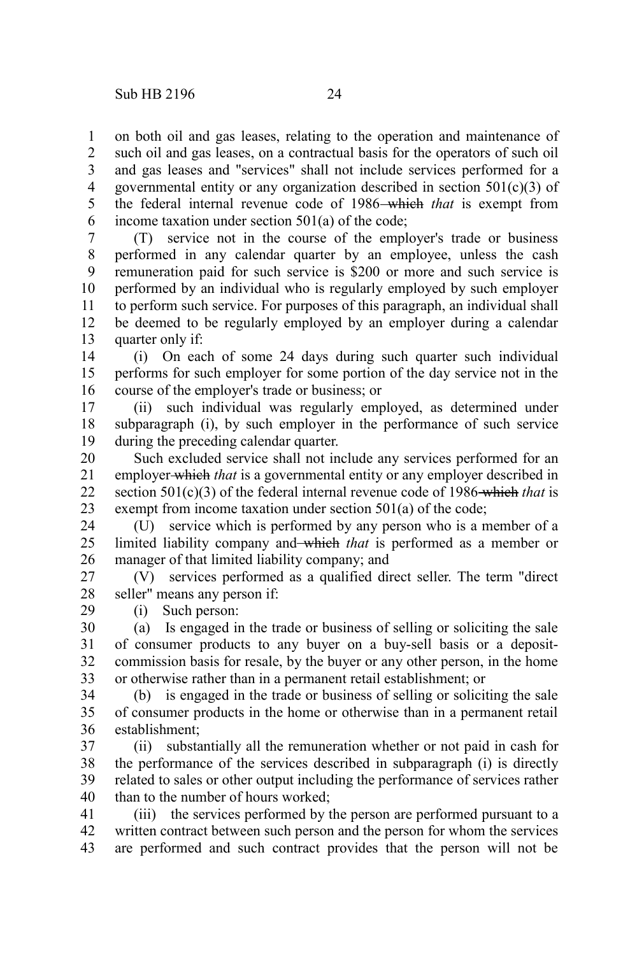on both oil and gas leases, relating to the operation and maintenance of such oil and gas leases, on a contractual basis for the operators of such oil and gas leases and "services" shall not include services performed for a governmental entity or any organization described in section  $501(c)(3)$  of the federal internal revenue code of 1986 which *that* is exempt from income taxation under section 501(a) of the code; 1 2 3 4 5 6

(T) service not in the course of the employer's trade or business performed in any calendar quarter by an employee, unless the cash remuneration paid for such service is \$200 or more and such service is performed by an individual who is regularly employed by such employer to perform such service. For purposes of this paragraph, an individual shall be deemed to be regularly employed by an employer during a calendar quarter only if: 7 8 9 10 11 12 13

(i) On each of some 24 days during such quarter such individual performs for such employer for some portion of the day service not in the course of the employer's trade or business; or 14 15 16

(ii) such individual was regularly employed, as determined under subparagraph (i), by such employer in the performance of such service during the preceding calendar quarter. 17 18 19

Such excluded service shall not include any services performed for an employer which *that* is a governmental entity or any employer described in section 501(c)(3) of the federal internal revenue code of 1986 which *that* is exempt from income taxation under section 501(a) of the code; 20 21 22 23

(U) service which is performed by any person who is a member of a limited liability company and which *that* is performed as a member or manager of that limited liability company; and 24 25 26

(V) services performed as a qualified direct seller. The term "direct seller" means any person if: 27 28 29

(i) Such person:

(a) Is engaged in the trade or business of selling or soliciting the sale of consumer products to any buyer on a buy-sell basis or a depositcommission basis for resale, by the buyer or any other person, in the home or otherwise rather than in a permanent retail establishment; or 30 31 32 33

(b) is engaged in the trade or business of selling or soliciting the sale of consumer products in the home or otherwise than in a permanent retail establishment; 34 35 36

(ii) substantially all the remuneration whether or not paid in cash for the performance of the services described in subparagraph (i) is directly related to sales or other output including the performance of services rather than to the number of hours worked; 37 38 39 40

(iii) the services performed by the person are performed pursuant to a written contract between such person and the person for whom the services are performed and such contract provides that the person will not be 41 42 43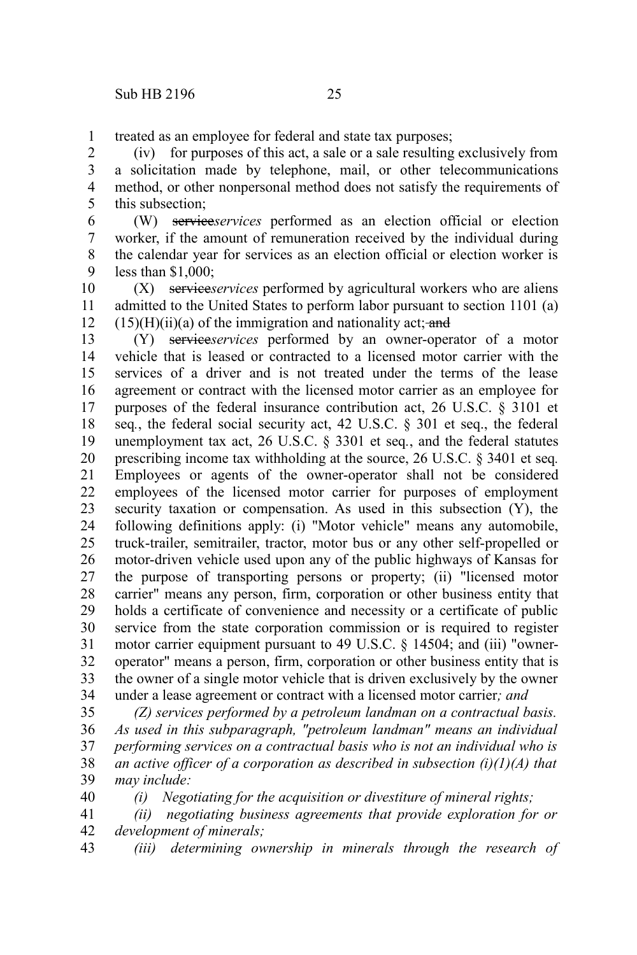40

treated as an employee for federal and state tax purposes; 1

(iv) for purposes of this act, a sale or a sale resulting exclusively from a solicitation made by telephone, mail, or other telecommunications method, or other nonpersonal method does not satisfy the requirements of this subsection; 2 3 4 5

(W) service*services* performed as an election official or election worker, if the amount of remuneration received by the individual during the calendar year for services as an election official or election worker is less than \$1,000; 6 7 8 9

(X) service*services* performed by agricultural workers who are aliens admitted to the United States to perform labor pursuant to section 1101 (a)  $(15)(H)(ii)(a)$  of the immigration and nationality act; and 10 11 12

(Y) service*services* performed by an owner-operator of a motor vehicle that is leased or contracted to a licensed motor carrier with the services of a driver and is not treated under the terms of the lease agreement or contract with the licensed motor carrier as an employee for purposes of the federal insurance contribution act, 26 U.S.C. § 3101 et seq*.*, the federal social security act, 42 U.S.C. § 301 et seq., the federal unemployment tax act, 26 U.S.C. § 3301 et seq*.*, and the federal statutes prescribing income tax withholding at the source, 26 U.S.C. § 3401 et seq*.* Employees or agents of the owner-operator shall not be considered employees of the licensed motor carrier for purposes of employment security taxation or compensation. As used in this subsection (Y), the following definitions apply: (i) "Motor vehicle" means any automobile, truck-trailer, semitrailer, tractor, motor bus or any other self-propelled or motor-driven vehicle used upon any of the public highways of Kansas for the purpose of transporting persons or property; (ii) "licensed motor carrier" means any person, firm, corporation or other business entity that holds a certificate of convenience and necessity or a certificate of public service from the state corporation commission or is required to register motor carrier equipment pursuant to 49 U.S.C. § 14504; and (iii) "owneroperator" means a person, firm, corporation or other business entity that is the owner of a single motor vehicle that is driven exclusively by the owner under a lease agreement or contract with a licensed motor carrier*; and* 13 14 15 16 17 18 19 20 21 22 23 24 25 26 27 28 29 30 31 32 33 34

*(Z) services performed by a petroleum landman on a contractual basis. As used in this subparagraph, "petroleum landman" means an individual performing services on a contractual basis who is not an individual who is an active officer of a corporation as described in subsection (i)(1)(A) that may include:* 35 36 37 38 39

*(i) Negotiating for the acquisition or divestiture of mineral rights;*

*(ii) negotiating business agreements that provide exploration for or development of minerals;* 41 42

*(iii) determining ownership in minerals through the research of* 43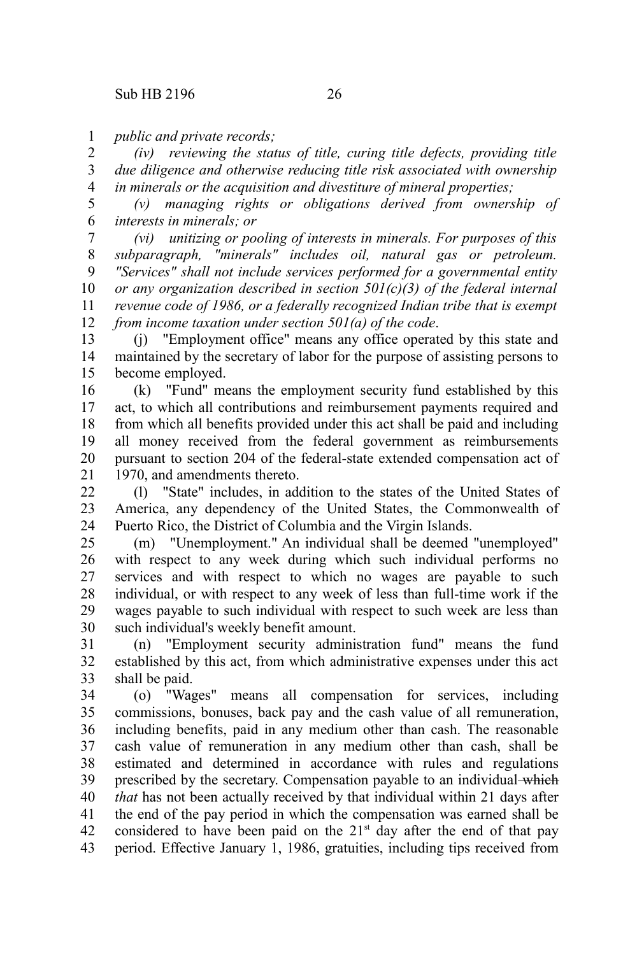*public and private records;* 1

*(iv) reviewing the status of title, curing title defects, providing title due diligence and otherwise reducing title risk associated with ownership in minerals or the acquisition and divestiture of mineral properties;* 2 3 4

*(v) managing rights or obligations derived from ownership of interests in minerals; or* 5 6

*(vi) unitizing or pooling of interests in minerals. For purposes of this subparagraph, "minerals" includes oil, natural gas or petroleum. "Services" shall not include services performed for a governmental entity or any organization described in section 501(c)(3) of the federal internal revenue code of 1986, or a federally recognized Indian tribe that is exempt from income taxation under section 501(a) of the code*. 7 8 9 10 11 12

(j) "Employment office" means any office operated by this state and maintained by the secretary of labor for the purpose of assisting persons to become employed. 13 14 15

(k) "Fund" means the employment security fund established by this act, to which all contributions and reimbursement payments required and from which all benefits provided under this act shall be paid and including all money received from the federal government as reimbursements pursuant to section 204 of the federal-state extended compensation act of 1970, and amendments thereto. 16 17 18 19 20 21

(l) "State" includes, in addition to the states of the United States of America, any dependency of the United States, the Commonwealth of Puerto Rico, the District of Columbia and the Virgin Islands.  $22$ 23 24

(m) "Unemployment." An individual shall be deemed "unemployed" with respect to any week during which such individual performs no services and with respect to which no wages are payable to such individual, or with respect to any week of less than full-time work if the wages payable to such individual with respect to such week are less than such individual's weekly benefit amount. 25 26 27 28 29 30

(n) "Employment security administration fund" means the fund established by this act, from which administrative expenses under this act shall be paid. 31 32 33

(o) "Wages" means all compensation for services, including commissions, bonuses, back pay and the cash value of all remuneration, including benefits, paid in any medium other than cash. The reasonable cash value of remuneration in any medium other than cash, shall be estimated and determined in accordance with rules and regulations prescribed by the secretary. Compensation payable to an individual-which *that* has not been actually received by that individual within 21 days after the end of the pay period in which the compensation was earned shall be considered to have been paid on the  $21<sup>st</sup>$  day after the end of that pay period. Effective January 1, 1986, gratuities, including tips received from 34 35 36 37 38 39 40 41 42 43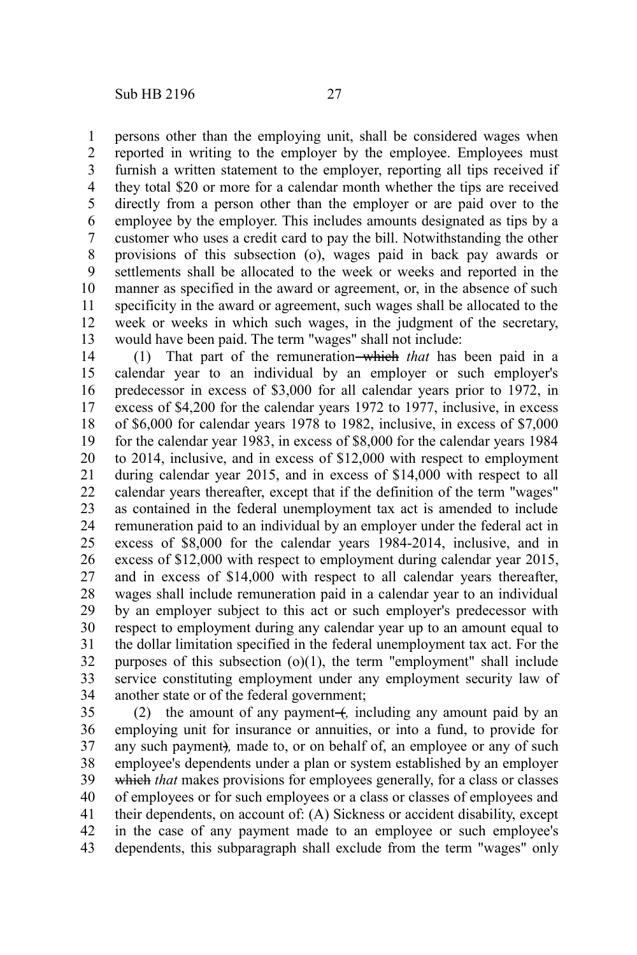persons other than the employing unit, shall be considered wages when reported in writing to the employer by the employee. Employees must furnish a written statement to the employer, reporting all tips received if they total \$20 or more for a calendar month whether the tips are received directly from a person other than the employer or are paid over to the employee by the employer. This includes amounts designated as tips by a customer who uses a credit card to pay the bill. Notwithstanding the other provisions of this subsection (o), wages paid in back pay awards or settlements shall be allocated to the week or weeks and reported in the manner as specified in the award or agreement, or, in the absence of such specificity in the award or agreement, such wages shall be allocated to the week or weeks in which such wages, in the judgment of the secretary, would have been paid. The term "wages" shall not include: 1 2 3 4 5 6 7 8 9 10 11 12 13

(1) That part of the remuneration which *that* has been paid in a calendar year to an individual by an employer or such employer's predecessor in excess of \$3,000 for all calendar years prior to 1972, in excess of \$4,200 for the calendar years 1972 to 1977, inclusive, in excess of \$6,000 for calendar years 1978 to 1982, inclusive, in excess of \$7,000 for the calendar year 1983, in excess of \$8,000 for the calendar years 1984 to 2014, inclusive, and in excess of \$12,000 with respect to employment during calendar year 2015, and in excess of \$14,000 with respect to all calendar years thereafter, except that if the definition of the term "wages" as contained in the federal unemployment tax act is amended to include remuneration paid to an individual by an employer under the federal act in excess of \$8,000 for the calendar years 1984-2014, inclusive, and in excess of \$12,000 with respect to employment during calendar year 2015, and in excess of \$14,000 with respect to all calendar years thereafter, wages shall include remuneration paid in a calendar year to an individual by an employer subject to this act or such employer's predecessor with respect to employment during any calendar year up to an amount equal to the dollar limitation specified in the federal unemployment tax act. For the purposes of this subsection  $(o)(1)$ , the term "employment" shall include service constituting employment under any employment security law of another state or of the federal government; 14 15 16 17 18 19 20 21 22 23 24 25 26 27 28 29 30 31 32 33 34

(2) the amount of any payment (*i*, including any amount paid by an employing unit for insurance or annuities, or into a fund, to provide for any such payment)*,* made to, or on behalf of, an employee or any of such employee's dependents under a plan or system established by an employer which *that* makes provisions for employees generally, for a class or classes of employees or for such employees or a class or classes of employees and their dependents, on account of: (A) Sickness or accident disability, except in the case of any payment made to an employee or such employee's dependents, this subparagraph shall exclude from the term "wages" only 35 36 37 38 39 40 41 42 43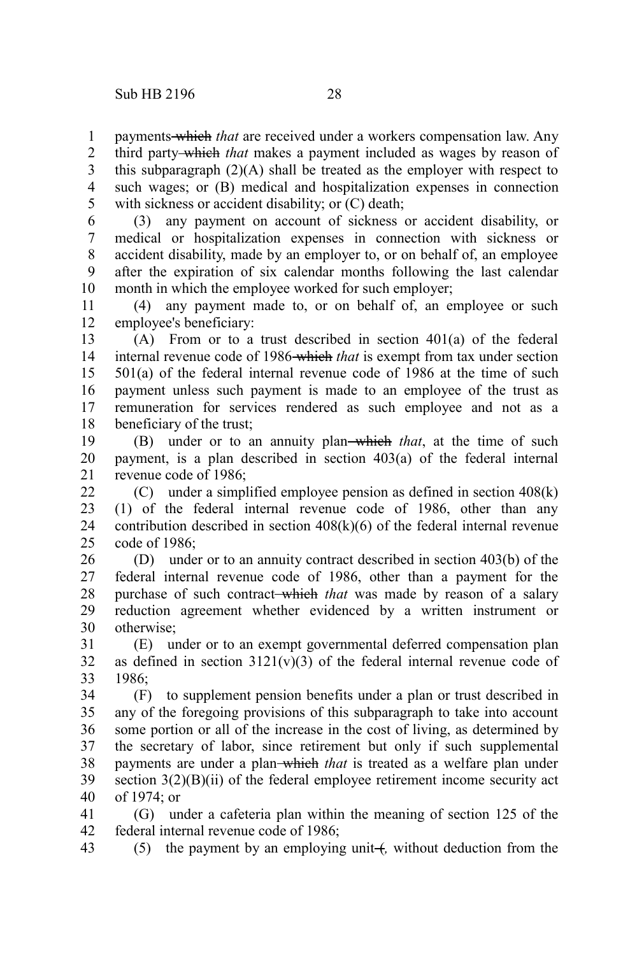payments which *that* are received under a workers compensation law. Any 1

third party which *that* makes a payment included as wages by reason of this subparagraph  $(2)(A)$  shall be treated as the employer with respect to such wages; or (B) medical and hospitalization expenses in connection with sickness or accident disability; or  $(C)$  death; 2 3 4 5

(3) any payment on account of sickness or accident disability, or medical or hospitalization expenses in connection with sickness or accident disability, made by an employer to, or on behalf of, an employee after the expiration of six calendar months following the last calendar month in which the employee worked for such employer; 6 7 8 9 10

(4) any payment made to, or on behalf of, an employee or such employee's beneficiary: 11 12

(A) From or to a trust described in section 401(a) of the federal internal revenue code of 1986 which *that* is exempt from tax under section 501(a) of the federal internal revenue code of 1986 at the time of such payment unless such payment is made to an employee of the trust as remuneration for services rendered as such employee and not as a beneficiary of the trust; 13 14 15 16 17 18

(B) under or to an annuity plan which *that*, at the time of such payment, is a plan described in section 403(a) of the federal internal revenue code of 1986; 19 20 21

(C) under a simplified employee pension as defined in section 408(k) (1) of the federal internal revenue code of 1986, other than any contribution described in section  $408(k)(6)$  of the federal internal revenue code of 1986;  $22$ 23 24  $25$ 

(D) under or to an annuity contract described in section 403(b) of the federal internal revenue code of 1986, other than a payment for the purchase of such contract which *that* was made by reason of a salary reduction agreement whether evidenced by a written instrument or otherwise; 26 27 28 29 30

(E) under or to an exempt governmental deferred compensation plan as defined in section  $3121(v)(3)$  of the federal internal revenue code of 1986; 31 32 33

(F) to supplement pension benefits under a plan or trust described in any of the foregoing provisions of this subparagraph to take into account some portion or all of the increase in the cost of living, as determined by the secretary of labor, since retirement but only if such supplemental payments are under a plan which *that* is treated as a welfare plan under section  $3(2)(B)(ii)$  of the federal employee retirement income security act of 1974; or 34 35 36 37 38 39 40

(G) under a cafeteria plan within the meaning of section 125 of the federal internal revenue code of 1986; 41 42

(5) the payment by an employing unit (*f*, without deduction from the 43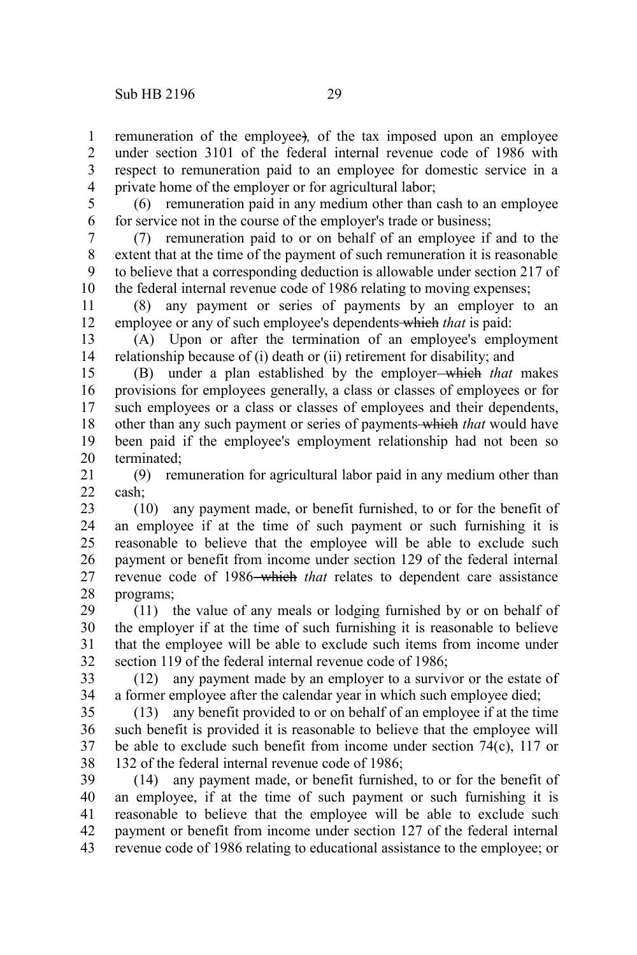remuneration of the employee)*,* of the tax imposed upon an employee under section 3101 of the federal internal revenue code of 1986 with respect to remuneration paid to an employee for domestic service in a private home of the employer or for agricultural labor; 1 2 3 4

5

(6) remuneration paid in any medium other than cash to an employee for service not in the course of the employer's trade or business; 6

(7) remuneration paid to or on behalf of an employee if and to the extent that at the time of the payment of such remuneration it is reasonable to believe that a corresponding deduction is allowable under section 217 of the federal internal revenue code of 1986 relating to moving expenses; 7 8 9 10

(8) any payment or series of payments by an employer to an employee or any of such employee's dependents which *that* is paid: 11 12

(A) Upon or after the termination of an employee's employment relationship because of (i) death or (ii) retirement for disability; and 13 14

(B) under a plan established by the employer which *that* makes provisions for employees generally, a class or classes of employees or for such employees or a class or classes of employees and their dependents, other than any such payment or series of payments which *that* would have been paid if the employee's employment relationship had not been so terminated; 15 16 17 18 19 20

(9) remuneration for agricultural labor paid in any medium other than cash; 21 22

(10) any payment made, or benefit furnished, to or for the benefit of an employee if at the time of such payment or such furnishing it is reasonable to believe that the employee will be able to exclude such payment or benefit from income under section 129 of the federal internal revenue code of 1986–which *that* relates to dependent care assistance programs; 23 24 25 26 27 28

(11) the value of any meals or lodging furnished by or on behalf of the employer if at the time of such furnishing it is reasonable to believe that the employee will be able to exclude such items from income under section 119 of the federal internal revenue code of 1986: 29 30 31 32

(12) any payment made by an employer to a survivor or the estate of a former employee after the calendar year in which such employee died; 33 34

(13) any benefit provided to or on behalf of an employee if at the time such benefit is provided it is reasonable to believe that the employee will be able to exclude such benefit from income under section 74(c), 117 or 132 of the federal internal revenue code of 1986; 35 36 37 38

(14) any payment made, or benefit furnished, to or for the benefit of an employee, if at the time of such payment or such furnishing it is reasonable to believe that the employee will be able to exclude such payment or benefit from income under section 127 of the federal internal revenue code of 1986 relating to educational assistance to the employee; or 39 40 41 42 43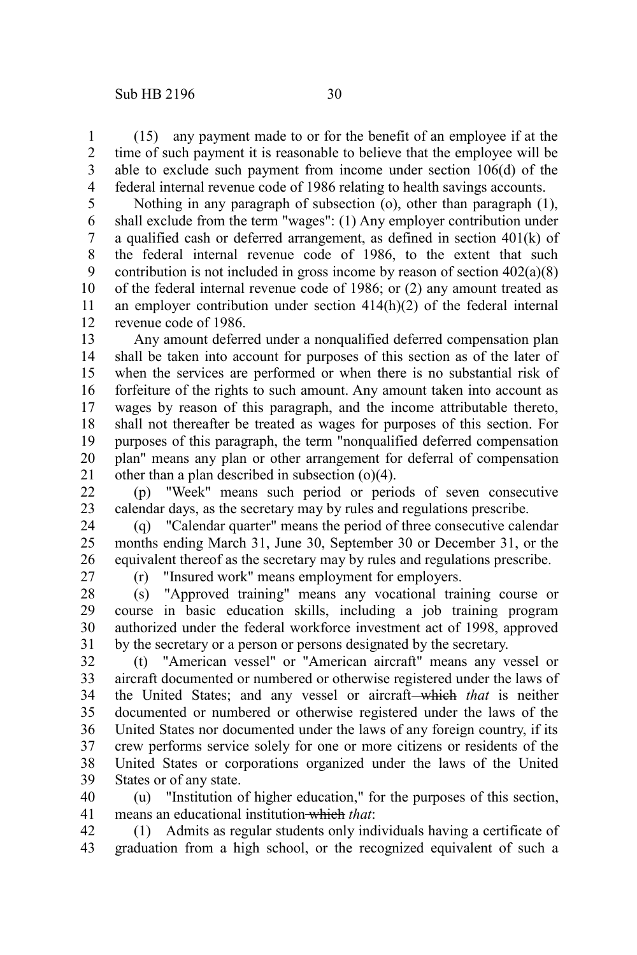(15) any payment made to or for the benefit of an employee if at the time of such payment it is reasonable to believe that the employee will be able to exclude such payment from income under section 106(d) of the federal internal revenue code of 1986 relating to health savings accounts. 1 2 3 4

Nothing in any paragraph of subsection (o), other than paragraph (1), shall exclude from the term "wages": (1) Any employer contribution under a qualified cash or deferred arrangement, as defined in section 401(k) of the federal internal revenue code of 1986, to the extent that such contribution is not included in gross income by reason of section 402(a)(8) of the federal internal revenue code of 1986; or (2) any amount treated as an employer contribution under section 414(h)(2) of the federal internal revenue code of 1986. 5 6 7 8 9 10 11 12

Any amount deferred under a nonqualified deferred compensation plan shall be taken into account for purposes of this section as of the later of when the services are performed or when there is no substantial risk of forfeiture of the rights to such amount. Any amount taken into account as wages by reason of this paragraph, and the income attributable thereto, shall not thereafter be treated as wages for purposes of this section. For purposes of this paragraph, the term "nonqualified deferred compensation plan" means any plan or other arrangement for deferral of compensation other than a plan described in subsection (o)(4). 13 14 15 16 17 18 19 20 21

(p) "Week" means such period or periods of seven consecutive calendar days, as the secretary may by rules and regulations prescribe.  $22$ 23

(q) "Calendar quarter" means the period of three consecutive calendar months ending March 31, June 30, September 30 or December 31, or the equivalent thereof as the secretary may by rules and regulations prescribe. 24 25 26

27

(r) "Insured work" means employment for employers.

(s) "Approved training" means any vocational training course or course in basic education skills, including a job training program authorized under the federal workforce investment act of 1998, approved by the secretary or a person or persons designated by the secretary. 28 29 30 31

(t) "American vessel" or "American aircraft" means any vessel or aircraft documented or numbered or otherwise registered under the laws of the United States; and any vessel or aircraft which *that* is neither documented or numbered or otherwise registered under the laws of the United States nor documented under the laws of any foreign country, if its crew performs service solely for one or more citizens or residents of the United States or corporations organized under the laws of the United States or of any state. 32 33 34 35 36 37 38 39

(u) "Institution of higher education," for the purposes of this section, means an educational institution which *that*: 40 41

(1) Admits as regular students only individuals having a certificate of graduation from a high school, or the recognized equivalent of such a 42 43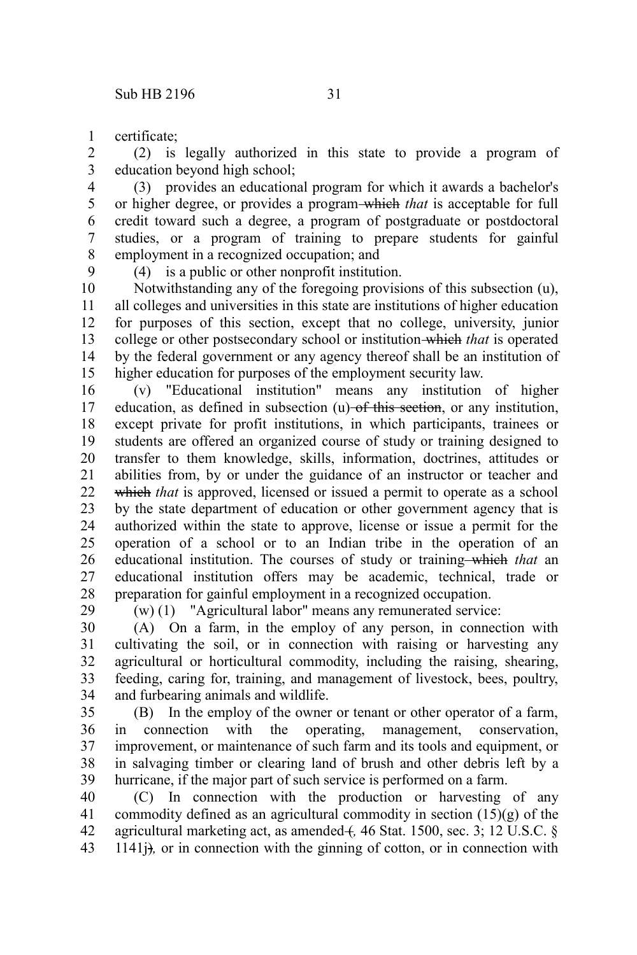certificate; 1

(2) is legally authorized in this state to provide a program of education beyond high school; 2 3

(3) provides an educational program for which it awards a bachelor's or higher degree, or provides a program which *that* is acceptable for full credit toward such a degree, a program of postgraduate or postdoctoral studies, or a program of training to prepare students for gainful employment in a recognized occupation; and 4 5 6 7 8

9

(4) is a public or other nonprofit institution.

Notwithstanding any of the foregoing provisions of this subsection (u), all colleges and universities in this state are institutions of higher education for purposes of this section, except that no college, university, junior college or other postsecondary school or institution which *that* is operated by the federal government or any agency thereof shall be an institution of higher education for purposes of the employment security law. 10 11 12 13 14 15

(v) "Educational institution" means any institution of higher education, as defined in subsection  $(u)$  of this section, or any institution, except private for profit institutions, in which participants, trainees or students are offered an organized course of study or training designed to transfer to them knowledge, skills, information, doctrines, attitudes or abilities from, by or under the guidance of an instructor or teacher and which *that* is approved, licensed or issued a permit to operate as a school by the state department of education or other government agency that is authorized within the state to approve, license or issue a permit for the operation of a school or to an Indian tribe in the operation of an educational institution. The courses of study or training—which that an educational institution offers may be academic, technical, trade or preparation for gainful employment in a recognized occupation. 16 17 18 19 20 21 22 23 24 25 26 27 28 29

(w) (1) "Agricultural labor" means any remunerated service:

(A) On a farm, in the employ of any person, in connection with cultivating the soil, or in connection with raising or harvesting any agricultural or horticultural commodity, including the raising, shearing, feeding, caring for, training, and management of livestock, bees, poultry, and furbearing animals and wildlife. 30 31 32 33 34

(B) In the employ of the owner or tenant or other operator of a farm, in connection with the operating, management, conservation, improvement, or maintenance of such farm and its tools and equipment, or in salvaging timber or clearing land of brush and other debris left by a hurricane, if the major part of such service is performed on a farm. 35 36 37 38 39

(C) In connection with the production or harvesting of any commodity defined as an agricultural commodity in section (15)(g) of the agricultural marketing act, as amended +, 46 Stat. 1500, sec. 3; 12 U.S.C. § 1141j)*,* or in connection with the ginning of cotton, or in connection with 40 41 42 43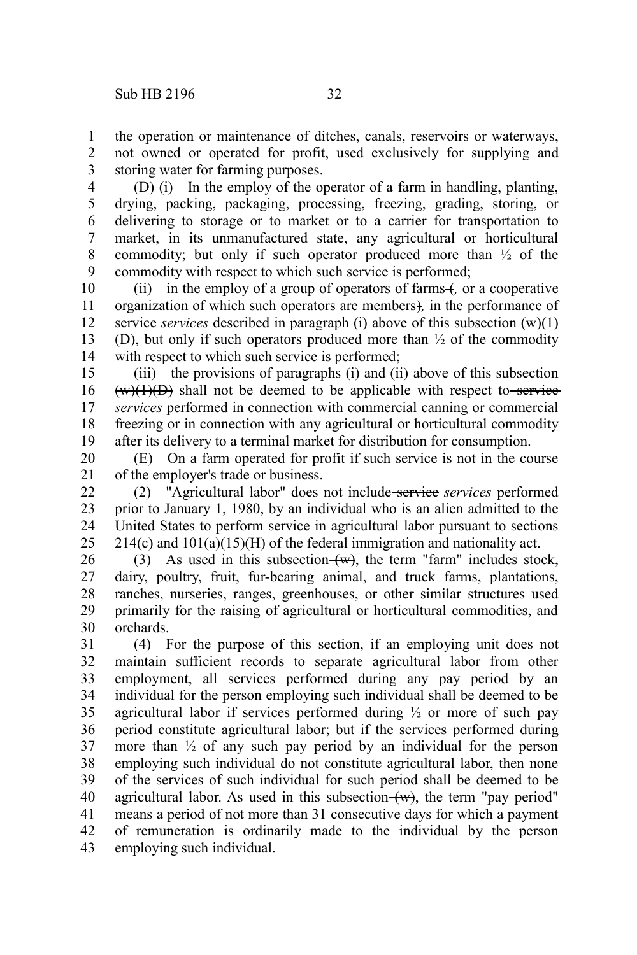the operation or maintenance of ditches, canals, reservoirs or waterways, not owned or operated for profit, used exclusively for supplying and storing water for farming purposes. 1 2 3

(D) (i) In the employ of the operator of a farm in handling, planting, drying, packing, packaging, processing, freezing, grading, storing, or delivering to storage or to market or to a carrier for transportation to market, in its unmanufactured state, any agricultural or horticultural commodity; but only if such operator produced more than  $\frac{1}{2}$  of the commodity with respect to which such service is performed; 4 5 6 7 8 9

(ii) in the employ of a group of operators of farms +, or a cooperative organization of which such operators are members)*,* in the performance of service *services* described in paragraph (i) above of this subsection (w)(1) (D), but only if such operators produced more than  $\frac{1}{2}$  of the commodity with respect to which such service is performed; 10 11 12 13 14

(iii) the provisions of paragraphs (i) and (ii)-above of this subsection  $(w)(1)(D)$  shall not be deemed to be applicable with respect to service *services* performed in connection with commercial canning or commercial freezing or in connection with any agricultural or horticultural commodity after its delivery to a terminal market for distribution for consumption. 15 16 17 18 19

(E) On a farm operated for profit if such service is not in the course of the employer's trade or business. 20 21

(2) "Agricultural labor" does not include service *services* performed prior to January 1, 1980, by an individual who is an alien admitted to the United States to perform service in agricultural labor pursuant to sections  $214(c)$  and  $101(a)(15)(H)$  of the federal immigration and nationality act. 22 23 24 25

(3) As used in this subsection  $(w)$ , the term "farm" includes stock, dairy, poultry, fruit, fur-bearing animal, and truck farms, plantations, ranches, nurseries, ranges, greenhouses, or other similar structures used primarily for the raising of agricultural or horticultural commodities, and orchards. 26 27 28 29 30

(4) For the purpose of this section, if an employing unit does not maintain sufficient records to separate agricultural labor from other employment, all services performed during any pay period by an individual for the person employing such individual shall be deemed to be agricultural labor if services performed during  $\frac{1}{2}$  or more of such pay period constitute agricultural labor; but if the services performed during more than ½ of any such pay period by an individual for the person employing such individual do not constitute agricultural labor, then none of the services of such individual for such period shall be deemed to be agricultural labor. As used in this subsection  $(w)$ , the term "pay period" means a period of not more than 31 consecutive days for which a payment of remuneration is ordinarily made to the individual by the person employing such individual. 31 32 33 34 35 36 37 38 39 40 41 42 43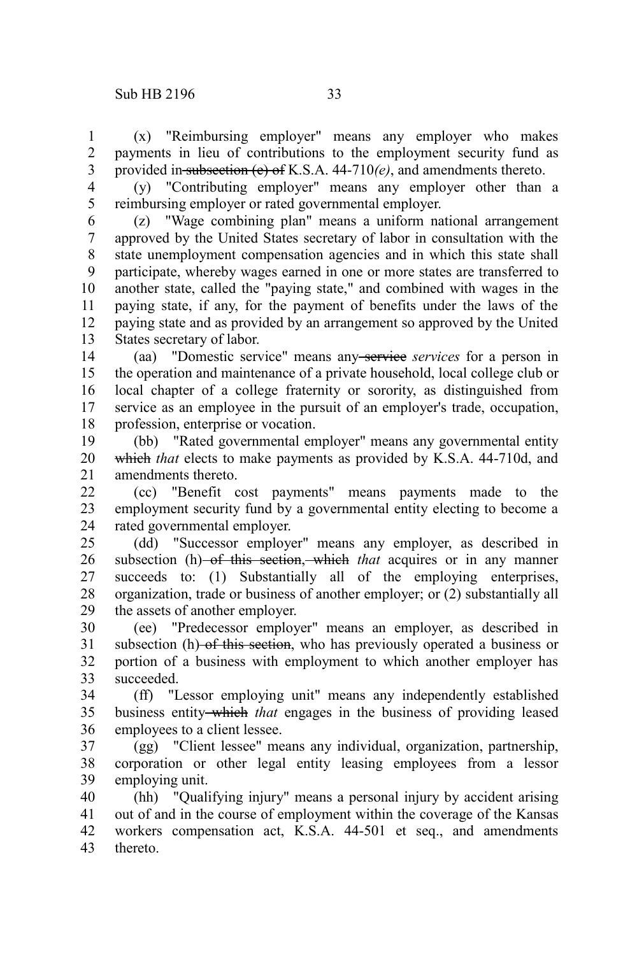(x) "Reimbursing employer" means any employer who makes payments in lieu of contributions to the employment security fund as provided in subsection (e) of K.S.A. 44-710*(e)*, and amendments thereto. 1 2 3

4

(y) "Contributing employer" means any employer other than a reimbursing employer or rated governmental employer. 5

(z) "Wage combining plan" means a uniform national arrangement approved by the United States secretary of labor in consultation with the state unemployment compensation agencies and in which this state shall participate, whereby wages earned in one or more states are transferred to another state, called the "paying state," and combined with wages in the paying state, if any, for the payment of benefits under the laws of the paying state and as provided by an arrangement so approved by the United States secretary of labor. 6 7 8 9 10 11 12 13

(aa) "Domestic service" means any service *services* for a person in the operation and maintenance of a private household, local college club or local chapter of a college fraternity or sorority, as distinguished from service as an employee in the pursuit of an employer's trade, occupation, profession, enterprise or vocation. 14 15 16 17 18

(bb) "Rated governmental employer" means any governmental entity which *that* elects to make payments as provided by K.S.A. 44-710d, and amendments thereto. 19 20 21

(cc) "Benefit cost payments" means payments made to the employment security fund by a governmental entity electing to become a rated governmental employer.  $22$ 23 24

(dd) "Successor employer" means any employer, as described in subsection (h) of this section, which *that* acquires or in any manner succeeds to: (1) Substantially all of the employing enterprises, organization, trade or business of another employer; or (2) substantially all the assets of another employer. 25 26 27 28 29

(ee) "Predecessor employer" means an employer, as described in subsection (h) of this section, who has previously operated a business or portion of a business with employment to which another employer has succeeded. 30 31 32 33

(ff) "Lessor employing unit" means any independently established business entity which *that* engages in the business of providing leased employees to a client lessee. 34 35 36

(gg) "Client lessee" means any individual, organization, partnership, corporation or other legal entity leasing employees from a lessor employing unit. 37 38 39

(hh) "Qualifying injury" means a personal injury by accident arising out of and in the course of employment within the coverage of the Kansas workers compensation act, K.S.A. 44-501 et seq., and amendments thereto. 40 41 42 43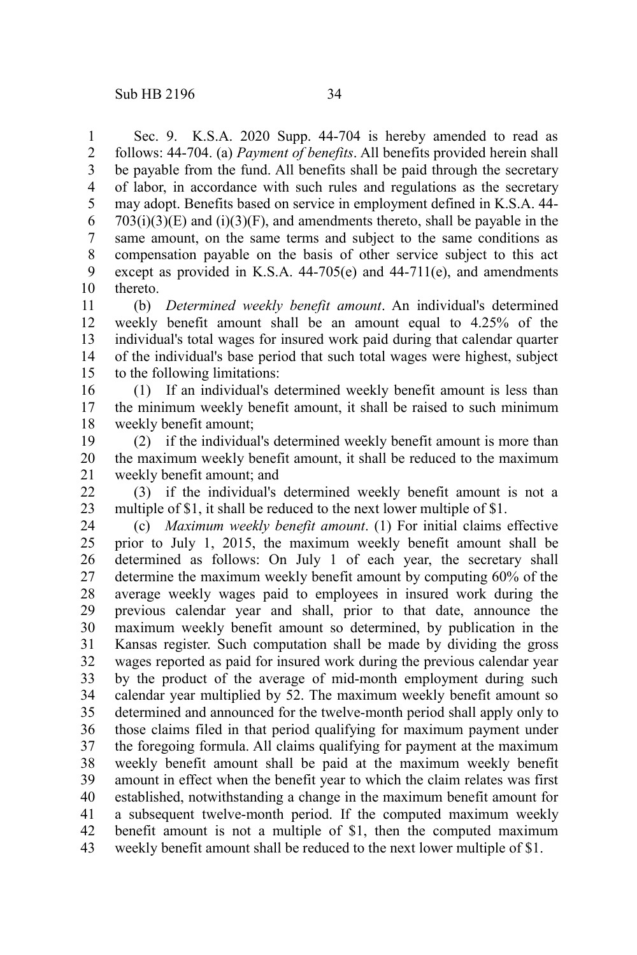Sec. 9. K.S.A. 2020 Supp. 44-704 is hereby amended to read as follows: 44-704. (a) *Payment of benefits*. All benefits provided herein shall be payable from the fund. All benefits shall be paid through the secretary of labor, in accordance with such rules and regulations as the secretary may adopt. Benefits based on service in employment defined in K.S.A. 44-  $703(i)(3)(E)$  and  $(i)(3)(F)$ , and amendments thereto, shall be payable in the same amount, on the same terms and subject to the same conditions as compensation payable on the basis of other service subject to this act except as provided in K.S.A. 44-705(e) and 44-711(e), and amendments thereto. 1 2 3 4 5 6 7 8 9 10

(b) *Determined weekly benefit amount*. An individual's determined weekly benefit amount shall be an amount equal to 4.25% of the individual's total wages for insured work paid during that calendar quarter of the individual's base period that such total wages were highest, subject to the following limitations: 11 12 13 14 15

(1) If an individual's determined weekly benefit amount is less than the minimum weekly benefit amount, it shall be raised to such minimum weekly benefit amount; 16 17 18

(2) if the individual's determined weekly benefit amount is more than the maximum weekly benefit amount, it shall be reduced to the maximum weekly benefit amount; and 19 20 21

(3) if the individual's determined weekly benefit amount is not a multiple of \$1, it shall be reduced to the next lower multiple of \$1. 22 23

(c) *Maximum weekly benefit amount*. (1) For initial claims effective prior to July 1, 2015, the maximum weekly benefit amount shall be determined as follows: On July 1 of each year, the secretary shall determine the maximum weekly benefit amount by computing 60% of the average weekly wages paid to employees in insured work during the previous calendar year and shall, prior to that date, announce the maximum weekly benefit amount so determined, by publication in the Kansas register. Such computation shall be made by dividing the gross wages reported as paid for insured work during the previous calendar year by the product of the average of mid-month employment during such calendar year multiplied by 52. The maximum weekly benefit amount so determined and announced for the twelve-month period shall apply only to those claims filed in that period qualifying for maximum payment under the foregoing formula. All claims qualifying for payment at the maximum weekly benefit amount shall be paid at the maximum weekly benefit amount in effect when the benefit year to which the claim relates was first established, notwithstanding a change in the maximum benefit amount for a subsequent twelve-month period. If the computed maximum weekly benefit amount is not a multiple of \$1, then the computed maximum weekly benefit amount shall be reduced to the next lower multiple of \$1. 24 25 26 27 28 29 30 31 32 33 34 35 36 37 38 39 40 41 42 43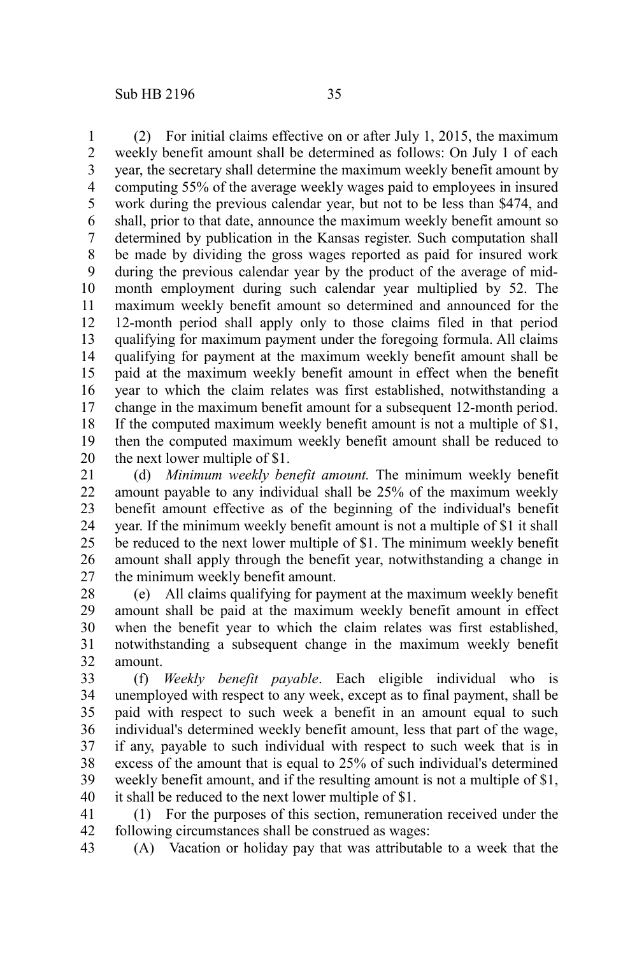(2) For initial claims effective on or after July 1, 2015, the maximum weekly benefit amount shall be determined as follows: On July 1 of each year, the secretary shall determine the maximum weekly benefit amount by computing 55% of the average weekly wages paid to employees in insured work during the previous calendar year, but not to be less than \$474, and shall, prior to that date, announce the maximum weekly benefit amount so determined by publication in the Kansas register. Such computation shall be made by dividing the gross wages reported as paid for insured work during the previous calendar year by the product of the average of midmonth employment during such calendar year multiplied by 52. The maximum weekly benefit amount so determined and announced for the 12-month period shall apply only to those claims filed in that period qualifying for maximum payment under the foregoing formula. All claims qualifying for payment at the maximum weekly benefit amount shall be paid at the maximum weekly benefit amount in effect when the benefit year to which the claim relates was first established, notwithstanding a change in the maximum benefit amount for a subsequent 12-month period. If the computed maximum weekly benefit amount is not a multiple of \$1, then the computed maximum weekly benefit amount shall be reduced to the next lower multiple of \$1. 1 2 3 4 5 6 7 8 9 10 11 12 13 14 15 16 17 18 19 20

(d) *Minimum weekly benefit amount.* The minimum weekly benefit amount payable to any individual shall be 25% of the maximum weekly benefit amount effective as of the beginning of the individual's benefit year. If the minimum weekly benefit amount is not a multiple of \$1 it shall be reduced to the next lower multiple of \$1. The minimum weekly benefit amount shall apply through the benefit year, notwithstanding a change in the minimum weekly benefit amount. 21 22 23 24 25 26 27

(e) All claims qualifying for payment at the maximum weekly benefit amount shall be paid at the maximum weekly benefit amount in effect when the benefit year to which the claim relates was first established, notwithstanding a subsequent change in the maximum weekly benefit amount. 28 29 30 31 32

(f) *Weekly benefit payable*. Each eligible individual who is unemployed with respect to any week, except as to final payment, shall be paid with respect to such week a benefit in an amount equal to such individual's determined weekly benefit amount, less that part of the wage, if any, payable to such individual with respect to such week that is in excess of the amount that is equal to 25% of such individual's determined weekly benefit amount, and if the resulting amount is not a multiple of \$1, it shall be reduced to the next lower multiple of \$1. 33 34 35 36 37 38 39 40

(1) For the purposes of this section, remuneration received under the following circumstances shall be construed as wages: 41 42

(A) Vacation or holiday pay that was attributable to a week that the 43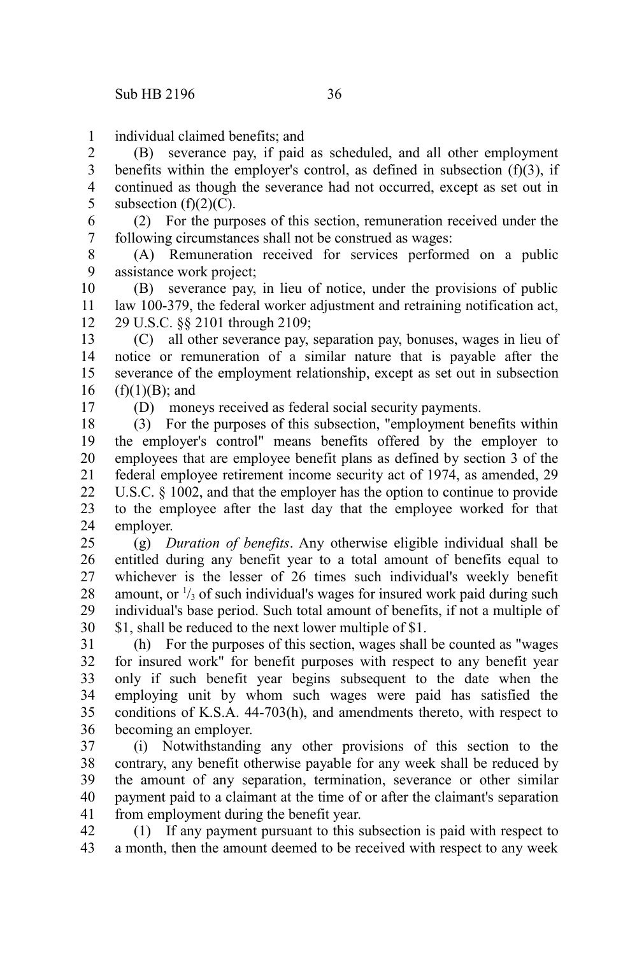individual claimed benefits; and

(B) severance pay, if paid as scheduled, and all other employment benefits within the employer's control, as defined in subsection  $(f)(3)$ , if continued as though the severance had not occurred, except as set out in subsection  $(f)(2)(C)$ . 2 3 4 5

(2) For the purposes of this section, remuneration received under the following circumstances shall not be construed as wages: 6 7

(A) Remuneration received for services performed on a public assistance work project; 8 9

(B) severance pay, in lieu of notice, under the provisions of public law 100-379, the federal worker adjustment and retraining notification act, 29 U.S.C. §§ 2101 through 2109; 10 11 12

(C) all other severance pay, separation pay, bonuses, wages in lieu of notice or remuneration of a similar nature that is payable after the severance of the employment relationship, except as set out in subsection  $(f)(1)(B)$ ; and 13 14 15 16

17

1

(D) moneys received as federal social security payments.

(3) For the purposes of this subsection, "employment benefits within the employer's control" means benefits offered by the employer to employees that are employee benefit plans as defined by section 3 of the federal employee retirement income security act of 1974, as amended, 29 U.S.C. § 1002, and that the employer has the option to continue to provide to the employee after the last day that the employee worked for that employer. 18 19 20 21 22 23 24

(g) *Duration of benefits*. Any otherwise eligible individual shall be entitled during any benefit year to a total amount of benefits equal to whichever is the lesser of 26 times such individual's weekly benefit amount, or  $\frac{1}{3}$  of such individual's wages for insured work paid during such individual's base period. Such total amount of benefits, if not a multiple of \$1, shall be reduced to the next lower multiple of \$1. 25 26 27 28 29 30

(h) For the purposes of this section, wages shall be counted as "wages for insured work" for benefit purposes with respect to any benefit year only if such benefit year begins subsequent to the date when the employing unit by whom such wages were paid has satisfied the conditions of K.S.A. 44-703(h), and amendments thereto, with respect to becoming an employer. 31 32 33 34 35 36

(i) Notwithstanding any other provisions of this section to the contrary, any benefit otherwise payable for any week shall be reduced by the amount of any separation, termination, severance or other similar payment paid to a claimant at the time of or after the claimant's separation from employment during the benefit year. 37 38 39 40 41

(1) If any payment pursuant to this subsection is paid with respect to a month, then the amount deemed to be received with respect to any week 42 43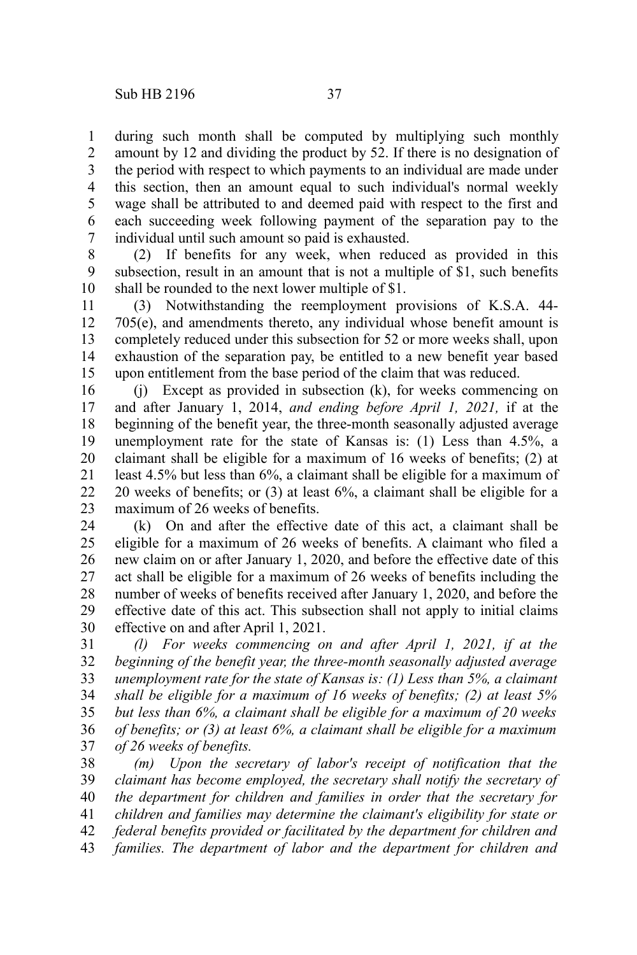during such month shall be computed by multiplying such monthly amount by 12 and dividing the product by 52. If there is no designation of the period with respect to which payments to an individual are made under this section, then an amount equal to such individual's normal weekly wage shall be attributed to and deemed paid with respect to the first and each succeeding week following payment of the separation pay to the individual until such amount so paid is exhausted. 1 2 3 4 5 6 7

(2) If benefits for any week, when reduced as provided in this subsection, result in an amount that is not a multiple of \$1, such benefits shall be rounded to the next lower multiple of \$1. 8 9 10

(3) Notwithstanding the reemployment provisions of K.S.A. 44- 705(e), and amendments thereto, any individual whose benefit amount is completely reduced under this subsection for 52 or more weeks shall, upon exhaustion of the separation pay, be entitled to a new benefit year based upon entitlement from the base period of the claim that was reduced. 11 12 13 14 15

(j) Except as provided in subsection (k), for weeks commencing on and after January 1, 2014, *and ending before April 1, 2021,* if at the beginning of the benefit year, the three-month seasonally adjusted average unemployment rate for the state of Kansas is: (1) Less than 4.5%, a claimant shall be eligible for a maximum of 16 weeks of benefits; (2) at least 4.5% but less than 6%, a claimant shall be eligible for a maximum of 20 weeks of benefits; or (3) at least 6%, a claimant shall be eligible for a maximum of 26 weeks of benefits. 16 17 18 19 20 21 22 23

(k) On and after the effective date of this act, a claimant shall be eligible for a maximum of 26 weeks of benefits. A claimant who filed a new claim on or after January 1, 2020, and before the effective date of this act shall be eligible for a maximum of 26 weeks of benefits including the number of weeks of benefits received after January 1, 2020, and before the effective date of this act. This subsection shall not apply to initial claims effective on and after April 1, 2021. 24 25 26 27 28 29 30

*(l) For weeks commencing on and after April 1, 2021, if at the beginning of the benefit year, the three-month seasonally adjusted average unemployment rate for the state of Kansas is: (1) Less than 5%, a claimant shall be eligible for a maximum of 16 weeks of benefits; (2) at least 5% but less than 6%, a claimant shall be eligible for a maximum of 20 weeks of benefits; or (3) at least 6%, a claimant shall be eligible for a maximum of 26 weeks of benefits.* 31 32 33 34 35 36 37

*(m) Upon the secretary of labor's receipt of notification that the claimant has become employed, the secretary shall notify the secretary of the department for children and families in order that the secretary for children and families may determine the claimant's eligibility for state or federal benefits provided or facilitated by the department for children and families. The department of labor and the department for children and* 38 39 40 41 42 43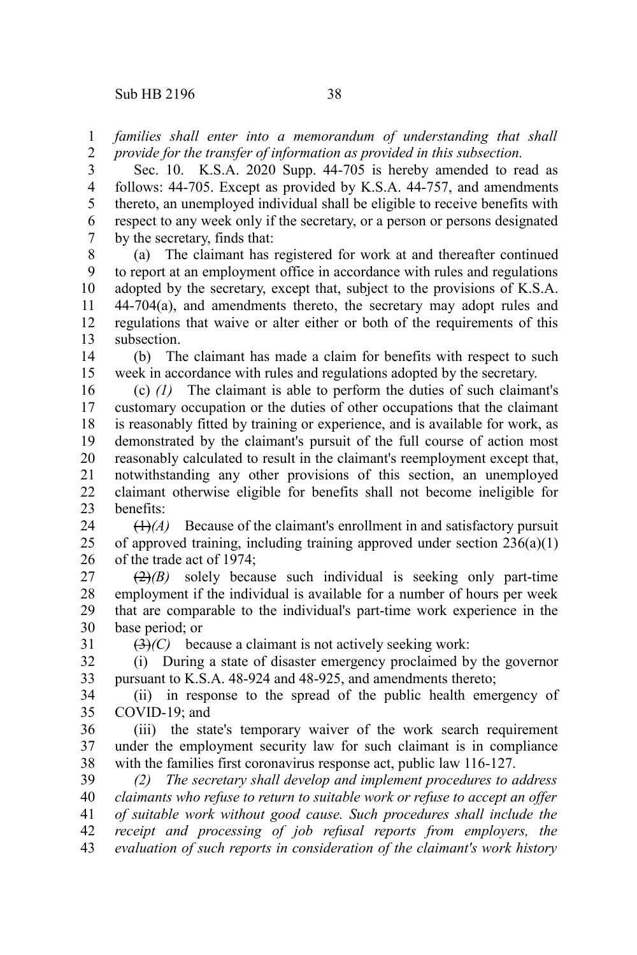*families shall enter into a memorandum of understanding that shall provide for the transfer of information as provided in this subsection.* 1 2

Sec. 10. K.S.A. 2020 Supp. 44-705 is hereby amended to read as follows: 44-705. Except as provided by K.S.A. 44-757, and amendments thereto, an unemployed individual shall be eligible to receive benefits with respect to any week only if the secretary, or a person or persons designated by the secretary, finds that: 3 4 5 6 7

(a) The claimant has registered for work at and thereafter continued to report at an employment office in accordance with rules and regulations adopted by the secretary, except that, subject to the provisions of K.S.A. 44-704(a), and amendments thereto, the secretary may adopt rules and regulations that waive or alter either or both of the requirements of this subsection. 8 9 10 11 12 13

(b) The claimant has made a claim for benefits with respect to such week in accordance with rules and regulations adopted by the secretary. 14 15

(c) *(1)* The claimant is able to perform the duties of such claimant's customary occupation or the duties of other occupations that the claimant is reasonably fitted by training or experience, and is available for work, as demonstrated by the claimant's pursuit of the full course of action most reasonably calculated to result in the claimant's reemployment except that, notwithstanding any other provisions of this section, an unemployed claimant otherwise eligible for benefits shall not become ineligible for benefits: 16 17 18 19 20 21 22 23

 $(1)$ <sup> $(A)$ </sup> Because of the claimant's enrollment in and satisfactory pursuit of approved training, including training approved under section 236(a)(1) of the trade act of 1974; 24 25 26

 $\left(\frac{2}{2}l(B)\right)$  solely because such individual is seeking only part-time employment if the individual is available for a number of hours per week that are comparable to the individual's part-time work experience in the base period; or 27 28 29 30

31

 $(3)$ *(C)* because a claimant is not actively seeking work:

(i) During a state of disaster emergency proclaimed by the governor pursuant to K.S.A. 48-924 and 48-925, and amendments thereto; 32 33

(ii) in response to the spread of the public health emergency of COVID-19; and 34 35

(iii) the state's temporary waiver of the work search requirement under the employment security law for such claimant is in compliance with the families first coronavirus response act, public law 116-127. 36 37 38

*(2) The secretary shall develop and implement procedures to address claimants who refuse to return to suitable work or refuse to accept an offer of suitable work without good cause. Such procedures shall include the receipt and processing of job refusal reports from employers, the evaluation of such reports in consideration of the claimant's work history* 39 40 41 42 43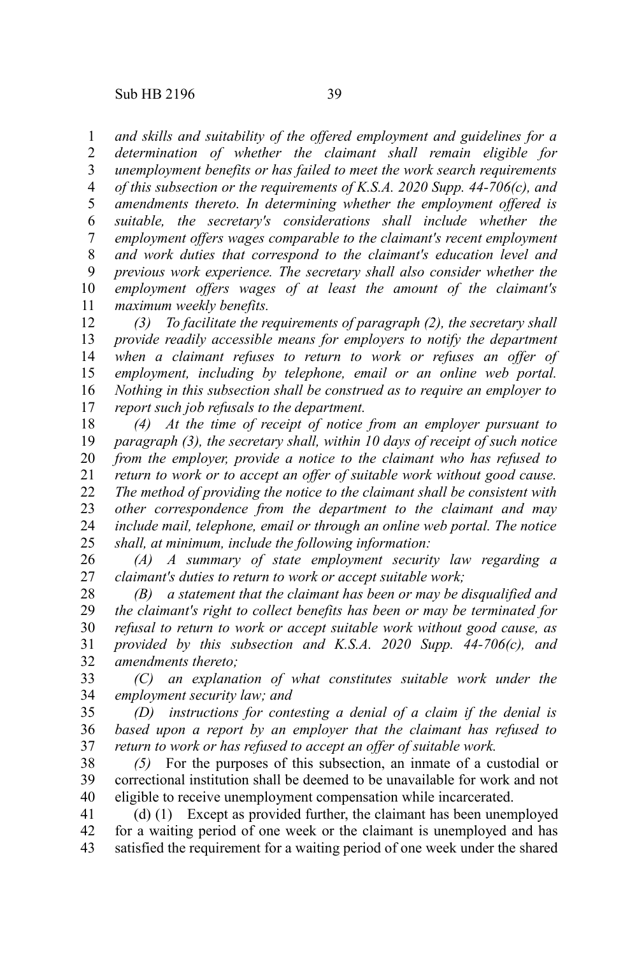*and skills and suitability of the offered employment and guidelines for a determination of whether the claimant shall remain eligible for unemployment benefits or has failed to meet the work search requirements of this subsection or the requirements of K.S.A. 2020 Supp. 44-706(c), and amendments thereto. In determining whether the employment offered is suitable, the secretary's considerations shall include whether the employment offers wages comparable to the claimant's recent employment and work duties that correspond to the claimant's education level and previous work experience. The secretary shall also consider whether the employment offers wages of at least the amount of the claimant's maximum weekly benefits.* 1 2 3 4 5 6 7 8 9 10 11

*(3) To facilitate the requirements of paragraph (2), the secretary shall provide readily accessible means for employers to notify the department when a claimant refuses to return to work or refuses an offer of employment, including by telephone, email or an online web portal. Nothing in this subsection shall be construed as to require an employer to report such job refusals to the department.* 12 13 14 15 16 17

*(4) At the time of receipt of notice from an employer pursuant to paragraph (3), the secretary shall, within 10 days of receipt of such notice from the employer, provide a notice to the claimant who has refused to return to work or to accept an offer of suitable work without good cause. The method of providing the notice to the claimant shall be consistent with other correspondence from the department to the claimant and may include mail, telephone, email or through an online web portal. The notice shall, at minimum, include the following information:* 18 19 20 21 22 23 24 25

*(A) A summary of state employment security law regarding a claimant's duties to return to work or accept suitable work;* 26 27

*(B) a statement that the claimant has been or may be disqualified and the claimant's right to collect benefits has been or may be terminated for refusal to return to work or accept suitable work without good cause, as provided by this subsection and K.S.A. 2020 Supp. 44-706(c), and amendments thereto;* 28 29 30 31 32

*(C) an explanation of what constitutes suitable work under the employment security law; and* 33 34

*(D) instructions for contesting a denial of a claim if the denial is based upon a report by an employer that the claimant has refused to return to work or has refused to accept an offer of suitable work.* 35 36 37

*(5)* For the purposes of this subsection, an inmate of a custodial or correctional institution shall be deemed to be unavailable for work and not eligible to receive unemployment compensation while incarcerated. 38 39 40

(d) (1) Except as provided further, the claimant has been unemployed for a waiting period of one week or the claimant is unemployed and has satisfied the requirement for a waiting period of one week under the shared 41 42 43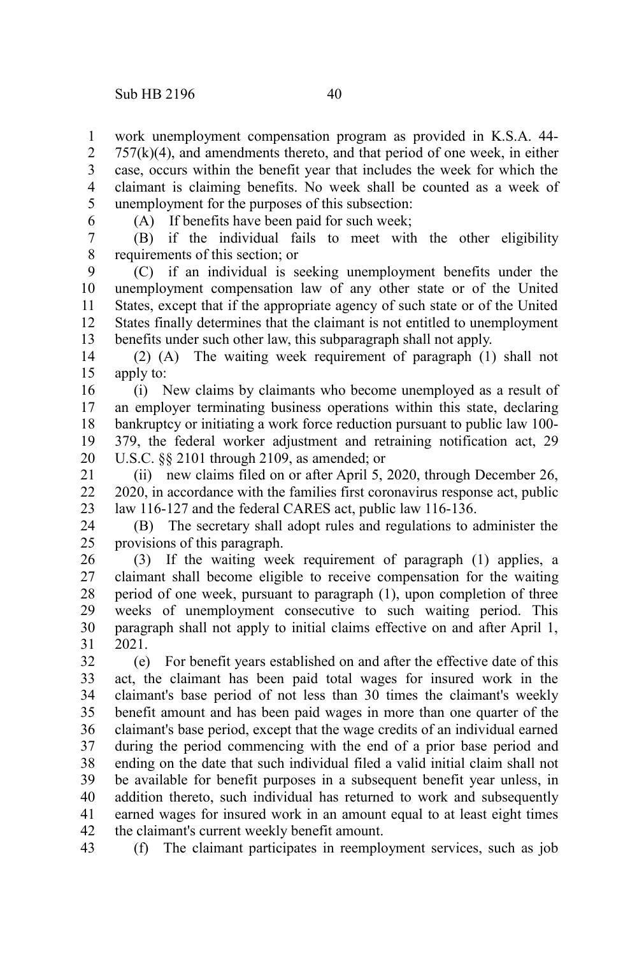work unemployment compensation program as provided in K.S.A. 44-  $757(k)(4)$ , and amendments thereto, and that period of one week, in either case, occurs within the benefit year that includes the week for which the claimant is claiming benefits. No week shall be counted as a week of unemployment for the purposes of this subsection: 1 2 3 4 5

6

(A) If benefits have been paid for such week;

(B) if the individual fails to meet with the other eligibility requirements of this section; or 7 8

(C) if an individual is seeking unemployment benefits under the unemployment compensation law of any other state or of the United States, except that if the appropriate agency of such state or of the United States finally determines that the claimant is not entitled to unemployment benefits under such other law, this subparagraph shall not apply. 9 10 11 12 13

(2) (A) The waiting week requirement of paragraph (1) shall not apply to: 14 15

(i) New claims by claimants who become unemployed as a result of an employer terminating business operations within this state, declaring bankruptcy or initiating a work force reduction pursuant to public law 100- 379, the federal worker adjustment and retraining notification act, 29 U.S.C. §§ 2101 through 2109, as amended; or 16 17 18 19 20

(ii) new claims filed on or after April 5, 2020, through December 26, 2020, in accordance with the families first coronavirus response act, public law 116-127 and the federal CARES act, public law 116-136. 21 22 23

(B) The secretary shall adopt rules and regulations to administer the provisions of this paragraph. 24 25

(3) If the waiting week requirement of paragraph (1) applies, a claimant shall become eligible to receive compensation for the waiting period of one week, pursuant to paragraph (1), upon completion of three weeks of unemployment consecutive to such waiting period. This paragraph shall not apply to initial claims effective on and after April 1, 2021. 26 27 28 29 30 31

(e) For benefit years established on and after the effective date of this act, the claimant has been paid total wages for insured work in the claimant's base period of not less than 30 times the claimant's weekly benefit amount and has been paid wages in more than one quarter of the claimant's base period, except that the wage credits of an individual earned during the period commencing with the end of a prior base period and ending on the date that such individual filed a valid initial claim shall not be available for benefit purposes in a subsequent benefit year unless, in addition thereto, such individual has returned to work and subsequently earned wages for insured work in an amount equal to at least eight times the claimant's current weekly benefit amount. 32 33 34 35 36 37 38 39 40 41 42

(f) The claimant participates in reemployment services, such as job 43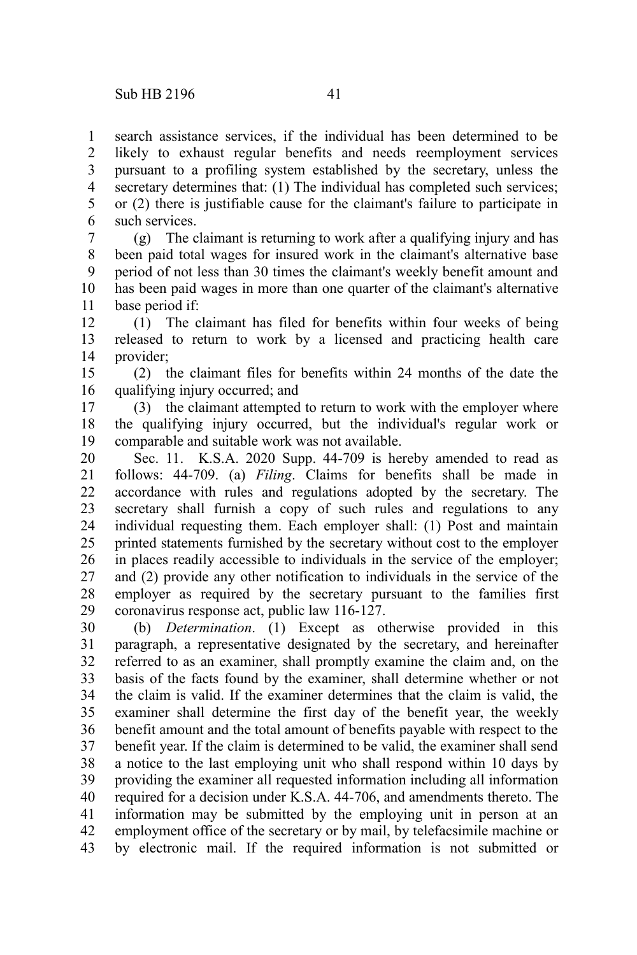search assistance services, if the individual has been determined to be likely to exhaust regular benefits and needs reemployment services pursuant to a profiling system established by the secretary, unless the secretary determines that: (1) The individual has completed such services; or (2) there is justifiable cause for the claimant's failure to participate in such services. 1 2 3 4 5 6

(g) The claimant is returning to work after a qualifying injury and has been paid total wages for insured work in the claimant's alternative base period of not less than 30 times the claimant's weekly benefit amount and has been paid wages in more than one quarter of the claimant's alternative base period if: 7 8 9 10 11

(1) The claimant has filed for benefits within four weeks of being released to return to work by a licensed and practicing health care provider; 12 13 14

(2) the claimant files for benefits within 24 months of the date the qualifying injury occurred; and 15 16

(3) the claimant attempted to return to work with the employer where the qualifying injury occurred, but the individual's regular work or comparable and suitable work was not available. 17 18 19

Sec. 11. K.S.A. 2020 Supp. 44-709 is hereby amended to read as follows: 44-709. (a) *Filing*. Claims for benefits shall be made in accordance with rules and regulations adopted by the secretary. The secretary shall furnish a copy of such rules and regulations to any individual requesting them. Each employer shall: (1) Post and maintain printed statements furnished by the secretary without cost to the employer in places readily accessible to individuals in the service of the employer; and (2) provide any other notification to individuals in the service of the employer as required by the secretary pursuant to the families first coronavirus response act, public law 116-127. 20 21 22 23 24 25 26 27 28 29

(b) *Determination*. (1) Except as otherwise provided in this paragraph, a representative designated by the secretary, and hereinafter referred to as an examiner, shall promptly examine the claim and, on the basis of the facts found by the examiner, shall determine whether or not the claim is valid. If the examiner determines that the claim is valid, the examiner shall determine the first day of the benefit year, the weekly benefit amount and the total amount of benefits payable with respect to the benefit year. If the claim is determined to be valid, the examiner shall send a notice to the last employing unit who shall respond within 10 days by providing the examiner all requested information including all information required for a decision under K.S.A. 44-706, and amendments thereto. The information may be submitted by the employing unit in person at an employment office of the secretary or by mail, by telefacsimile machine or by electronic mail. If the required information is not submitted or 30 31 32 33 34 35 36 37 38 39 40 41 42 43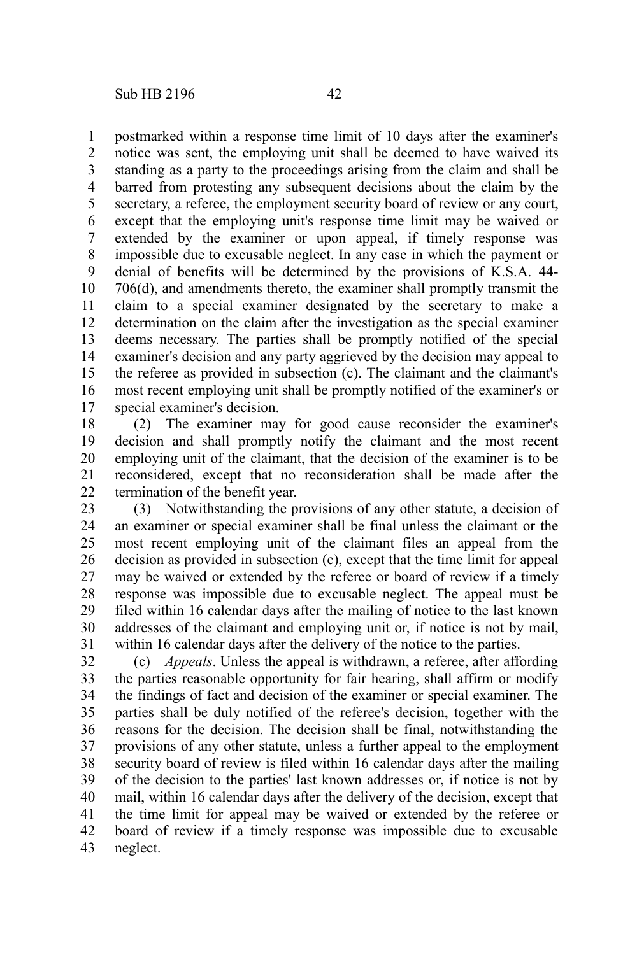postmarked within a response time limit of 10 days after the examiner's notice was sent, the employing unit shall be deemed to have waived its standing as a party to the proceedings arising from the claim and shall be barred from protesting any subsequent decisions about the claim by the secretary, a referee, the employment security board of review or any court, except that the employing unit's response time limit may be waived or extended by the examiner or upon appeal, if timely response was impossible due to excusable neglect. In any case in which the payment or denial of benefits will be determined by the provisions of K.S.A. 44- 706(d), and amendments thereto, the examiner shall promptly transmit the claim to a special examiner designated by the secretary to make a determination on the claim after the investigation as the special examiner deems necessary. The parties shall be promptly notified of the special examiner's decision and any party aggrieved by the decision may appeal to the referee as provided in subsection (c). The claimant and the claimant's most recent employing unit shall be promptly notified of the examiner's or special examiner's decision. 1 2 3 4 5 6 7 8 9 10 11 12 13 14 15 16 17

(2) The examiner may for good cause reconsider the examiner's decision and shall promptly notify the claimant and the most recent employing unit of the claimant, that the decision of the examiner is to be reconsidered, except that no reconsideration shall be made after the termination of the benefit year. 18 19 20 21 22

(3) Notwithstanding the provisions of any other statute, a decision of an examiner or special examiner shall be final unless the claimant or the most recent employing unit of the claimant files an appeal from the decision as provided in subsection (c), except that the time limit for appeal may be waived or extended by the referee or board of review if a timely response was impossible due to excusable neglect. The appeal must be filed within 16 calendar days after the mailing of notice to the last known addresses of the claimant and employing unit or, if notice is not by mail, within 16 calendar days after the delivery of the notice to the parties. 23 24 25 26 27 28 29 30 31

(c) *Appeals*. Unless the appeal is withdrawn, a referee, after affording the parties reasonable opportunity for fair hearing, shall affirm or modify the findings of fact and decision of the examiner or special examiner. The parties shall be duly notified of the referee's decision, together with the reasons for the decision. The decision shall be final, notwithstanding the provisions of any other statute, unless a further appeal to the employment security board of review is filed within 16 calendar days after the mailing of the decision to the parties' last known addresses or, if notice is not by mail, within 16 calendar days after the delivery of the decision, except that the time limit for appeal may be waived or extended by the referee or board of review if a timely response was impossible due to excusable neglect. 32 33 34 35 36 37 38 39 40 41 42 43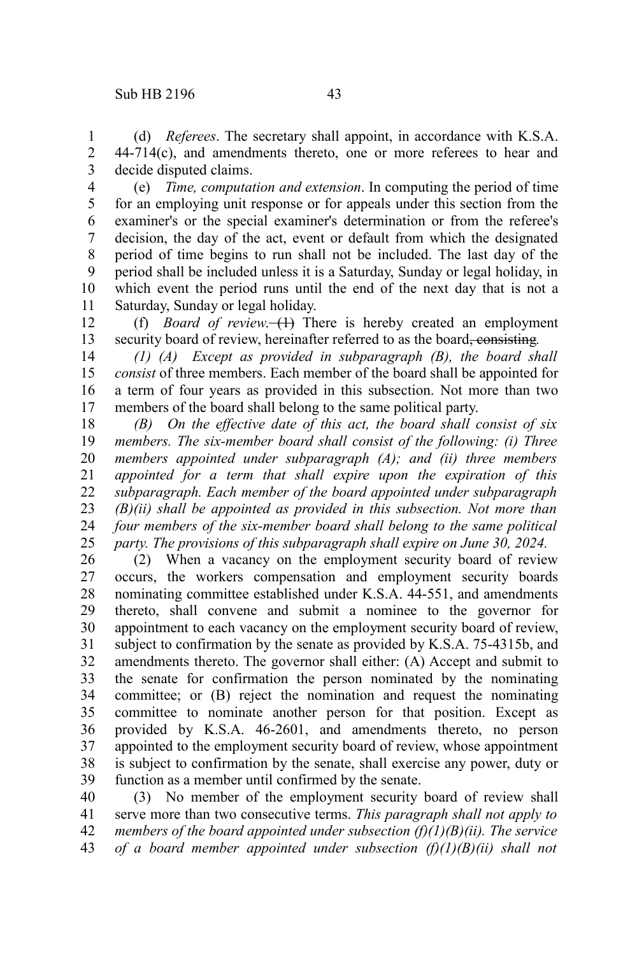(d) *Referees*. The secretary shall appoint, in accordance with K.S.A.  $44-714(c)$ , and amendments thereto, one or more referees to hear and decide disputed claims. 1 2 3

(e) *Time, computation and extension*. In computing the period of time for an employing unit response or for appeals under this section from the examiner's or the special examiner's determination or from the referee's decision, the day of the act, event or default from which the designated period of time begins to run shall not be included. The last day of the period shall be included unless it is a Saturday, Sunday or legal holiday, in which event the period runs until the end of the next day that is not a Saturday, Sunday or legal holiday. 4 5 6 7 8 9 10 11

(f) *Board of review*. (1) There is hereby created an employment security board of review, hereinafter referred to as the board<del>, consisting</del>. 12 13

*(1) (A) Except as provided in subparagraph (B), the board shall consist* of three members. Each member of the board shall be appointed for a term of four years as provided in this subsection. Not more than two members of the board shall belong to the same political party. 14 15 16 17

*(B) On the effective date of this act, the board shall consist of six members. The six-member board shall consist of the following: (i) Three members appointed under subparagraph (A); and (ii) three members appointed for a term that shall expire upon the expiration of this subparagraph. Each member of the board appointed under subparagraph (B)(ii) shall be appointed as provided in this subsection. Not more than four members of the six-member board shall belong to the same political party. The provisions of this subparagraph shall expire on June 30, 2024.* 18 19 20 21 22 23 24 25

(2) When a vacancy on the employment security board of review occurs, the workers compensation and employment security boards nominating committee established under K.S.A. 44-551, and amendments thereto, shall convene and submit a nominee to the governor for appointment to each vacancy on the employment security board of review, subject to confirmation by the senate as provided by K.S.A. 75-4315b, and amendments thereto. The governor shall either: (A) Accept and submit to the senate for confirmation the person nominated by the nominating committee; or (B) reject the nomination and request the nominating committee to nominate another person for that position. Except as provided by K.S.A. 46-2601, and amendments thereto, no person appointed to the employment security board of review, whose appointment is subject to confirmation by the senate, shall exercise any power, duty or function as a member until confirmed by the senate. 26 27 28 29 30 31 32 33 34 35 36 37 38 39

(3) No member of the employment security board of review shall serve more than two consecutive terms. *This paragraph shall not apply to members of the board appointed under subsection (f)(1)(B)(ii). The service of a board member appointed under subsection (f)(1)(B)(ii) shall not* 40 41 42 43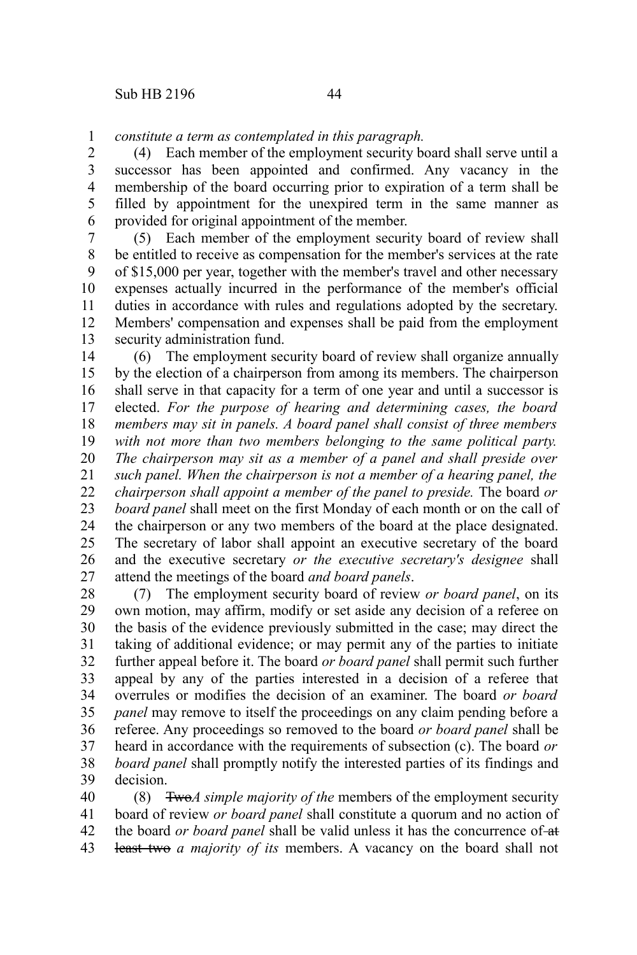*constitute a term as contemplated in this paragraph.* 1

(4) Each member of the employment security board shall serve until a successor has been appointed and confirmed. Any vacancy in the membership of the board occurring prior to expiration of a term shall be filled by appointment for the unexpired term in the same manner as provided for original appointment of the member. 2 3 4 5 6

(5) Each member of the employment security board of review shall be entitled to receive as compensation for the member's services at the rate of \$15,000 per year, together with the member's travel and other necessary expenses actually incurred in the performance of the member's official duties in accordance with rules and regulations adopted by the secretary. Members' compensation and expenses shall be paid from the employment security administration fund. 7 8 9 10 11 12 13

(6) The employment security board of review shall organize annually by the election of a chairperson from among its members. The chairperson shall serve in that capacity for a term of one year and until a successor is elected. *For the purpose of hearing and determining cases, the board members may sit in panels. A board panel shall consist of three members with not more than two members belonging to the same political party. The chairperson may sit as a member of a panel and shall preside over such panel. When the chairperson is not a member of a hearing panel, the chairperson shall appoint a member of the panel to preside.* The board *or board panel* shall meet on the first Monday of each month or on the call of the chairperson or any two members of the board at the place designated. The secretary of labor shall appoint an executive secretary of the board and the executive secretary *or the executive secretary's designee* shall attend the meetings of the board *and board panels*. 14 15 16 17 18 19 20 21 22 23 24 25 26 27

(7) The employment security board of review *or board panel*, on its own motion, may affirm, modify or set aside any decision of a referee on the basis of the evidence previously submitted in the case; may direct the taking of additional evidence; or may permit any of the parties to initiate further appeal before it. The board *or board panel* shall permit such further appeal by any of the parties interested in a decision of a referee that overrules or modifies the decision of an examiner. The board *or board panel* may remove to itself the proceedings on any claim pending before a referee. Any proceedings so removed to the board *or board panel* shall be heard in accordance with the requirements of subsection (c). The board *or board panel* shall promptly notify the interested parties of its findings and decision. 28 29 30 31 32 33 34 35 36 37 38 39

(8) Two*A simple majority of the* members of the employment security board of review *or board panel* shall constitute a quorum and no action of the board *or board panel* shall be valid unless it has the concurrence of at least two *a majority of its* members. A vacancy on the board shall not 40 41 42 43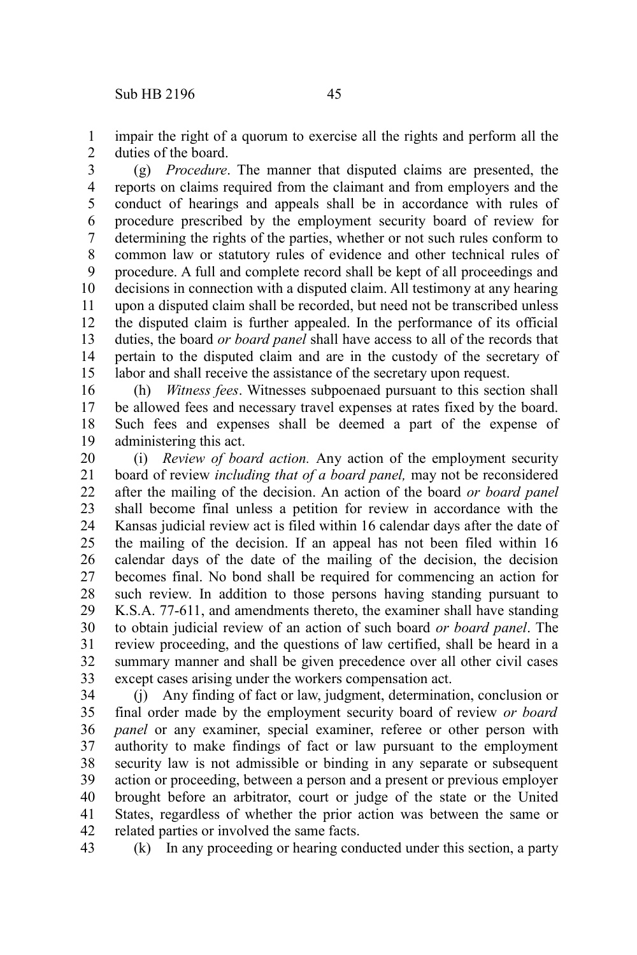impair the right of a quorum to exercise all the rights and perform all the duties of the board. 1 2

(g) *Procedure*. The manner that disputed claims are presented, the reports on claims required from the claimant and from employers and the conduct of hearings and appeals shall be in accordance with rules of procedure prescribed by the employment security board of review for determining the rights of the parties, whether or not such rules conform to common law or statutory rules of evidence and other technical rules of procedure. A full and complete record shall be kept of all proceedings and decisions in connection with a disputed claim. All testimony at any hearing upon a disputed claim shall be recorded, but need not be transcribed unless the disputed claim is further appealed. In the performance of its official duties, the board *or board panel* shall have access to all of the records that pertain to the disputed claim and are in the custody of the secretary of labor and shall receive the assistance of the secretary upon request. 3 4 5 6 7 8 9 10 11 12 13 14 15

(h) *Witness fees*. Witnesses subpoenaed pursuant to this section shall be allowed fees and necessary travel expenses at rates fixed by the board. Such fees and expenses shall be deemed a part of the expense of administering this act. 16 17 18 19

(i) *Review of board action.* Any action of the employment security board of review *including that of a board panel,* may not be reconsidered after the mailing of the decision. An action of the board *or board panel* shall become final unless a petition for review in accordance with the Kansas judicial review act is filed within 16 calendar days after the date of the mailing of the decision. If an appeal has not been filed within 16 calendar days of the date of the mailing of the decision, the decision becomes final. No bond shall be required for commencing an action for such review. In addition to those persons having standing pursuant to K.S.A. 77-611, and amendments thereto, the examiner shall have standing to obtain judicial review of an action of such board *or board panel*. The review proceeding, and the questions of law certified, shall be heard in a summary manner and shall be given precedence over all other civil cases except cases arising under the workers compensation act. 20 21 22 23 24 25 26 27 28 29 30 31 32 33

(j) Any finding of fact or law, judgment, determination, conclusion or final order made by the employment security board of review *or board panel* or any examiner, special examiner, referee or other person with authority to make findings of fact or law pursuant to the employment security law is not admissible or binding in any separate or subsequent action or proceeding, between a person and a present or previous employer brought before an arbitrator, court or judge of the state or the United States, regardless of whether the prior action was between the same or related parties or involved the same facts. 34 35 36 37 38 39 40 41 42

(k) In any proceeding or hearing conducted under this section, a party 43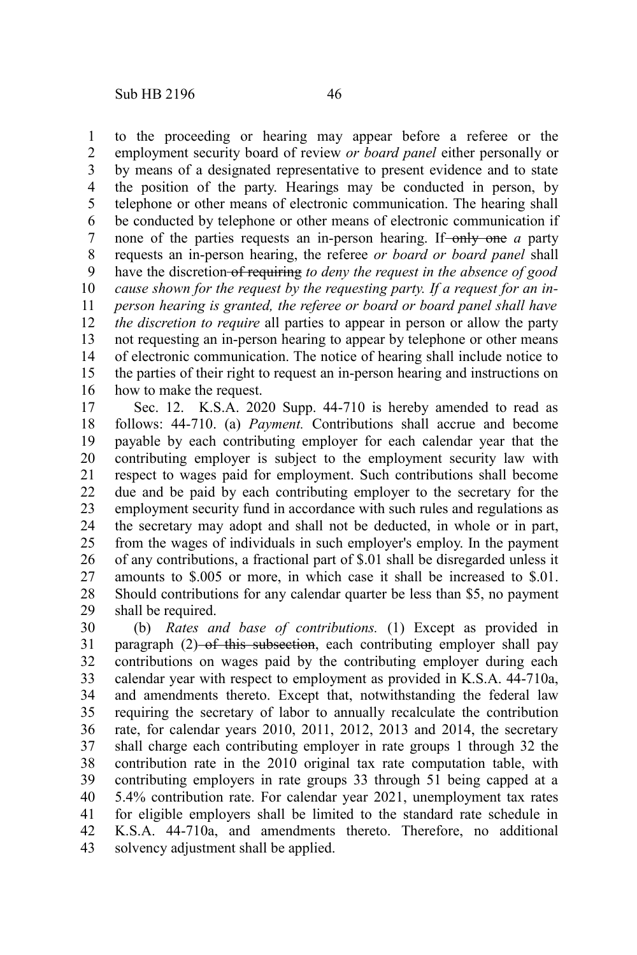to the proceeding or hearing may appear before a referee or the employment security board of review *or board panel* either personally or by means of a designated representative to present evidence and to state the position of the party. Hearings may be conducted in person, by telephone or other means of electronic communication. The hearing shall be conducted by telephone or other means of electronic communication if none of the parties requests an in-person hearing. If-only one *a* party requests an in-person hearing, the referee *or board or board panel* shall have the discretion of requiring *to deny the request in the absence of good cause shown for the request by the requesting party. If a request for an inperson hearing is granted, the referee or board or board panel shall have the discretion to require* all parties to appear in person or allow the party not requesting an in-person hearing to appear by telephone or other means of electronic communication. The notice of hearing shall include notice to the parties of their right to request an in-person hearing and instructions on how to make the request. 1 2 3 4 5 6 7 8 9 10 11 12 13 14 15 16

Sec. 12. K.S.A. 2020 Supp. 44-710 is hereby amended to read as follows: 44-710. (a) *Payment.* Contributions shall accrue and become payable by each contributing employer for each calendar year that the contributing employer is subject to the employment security law with respect to wages paid for employment. Such contributions shall become due and be paid by each contributing employer to the secretary for the employment security fund in accordance with such rules and regulations as the secretary may adopt and shall not be deducted, in whole or in part, from the wages of individuals in such employer's employ. In the payment of any contributions, a fractional part of \$.01 shall be disregarded unless it amounts to \$.005 or more, in which case it shall be increased to \$.01. Should contributions for any calendar quarter be less than \$5, no payment shall be required. 17 18 19 20 21 22 23 24 25 26 27 28 29

(b) *Rates and base of contributions.* (1) Except as provided in paragraph  $(2)$ -of this subsection, each contributing employer shall pay contributions on wages paid by the contributing employer during each calendar year with respect to employment as provided in K.S.A. 44-710a, and amendments thereto. Except that, notwithstanding the federal law requiring the secretary of labor to annually recalculate the contribution rate, for calendar years 2010, 2011, 2012, 2013 and 2014, the secretary shall charge each contributing employer in rate groups 1 through 32 the contribution rate in the 2010 original tax rate computation table, with contributing employers in rate groups 33 through 51 being capped at a 5.4% contribution rate. For calendar year 2021, unemployment tax rates for eligible employers shall be limited to the standard rate schedule in K.S.A. 44-710a, and amendments thereto. Therefore, no additional solvency adjustment shall be applied. 30 31 32 33 34 35 36 37 38 39 40 41 42 43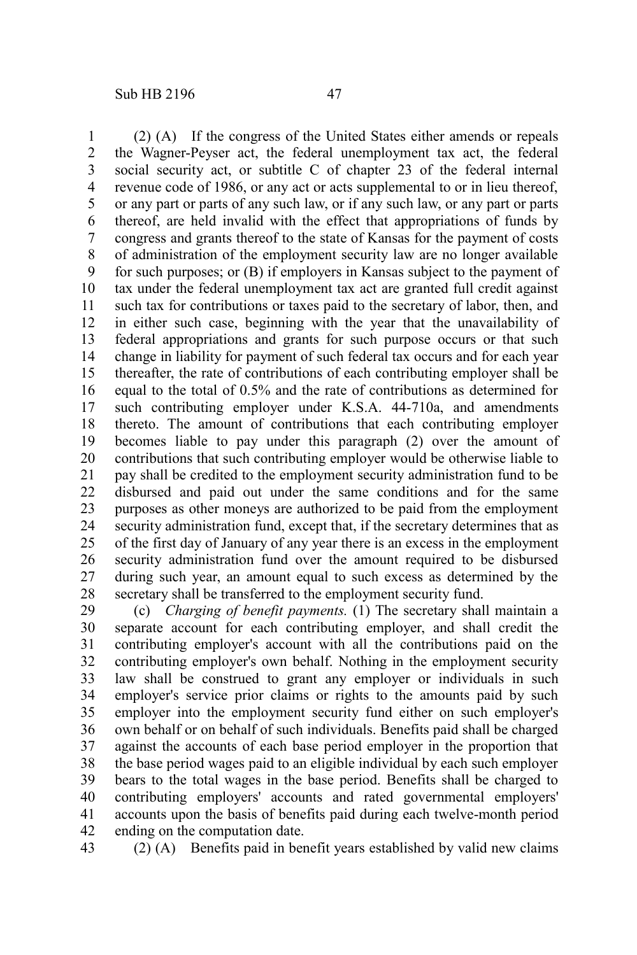(2) (A) If the congress of the United States either amends or repeals the Wagner-Peyser act, the federal unemployment tax act, the federal social security act, or subtitle C of chapter 23 of the federal internal revenue code of 1986, or any act or acts supplemental to or in lieu thereof, or any part or parts of any such law, or if any such law, or any part or parts thereof, are held invalid with the effect that appropriations of funds by congress and grants thereof to the state of Kansas for the payment of costs of administration of the employment security law are no longer available for such purposes; or (B) if employers in Kansas subject to the payment of tax under the federal unemployment tax act are granted full credit against such tax for contributions or taxes paid to the secretary of labor, then, and in either such case, beginning with the year that the unavailability of federal appropriations and grants for such purpose occurs or that such change in liability for payment of such federal tax occurs and for each year thereafter, the rate of contributions of each contributing employer shall be equal to the total of 0.5% and the rate of contributions as determined for such contributing employer under K.S.A. 44-710a, and amendments thereto. The amount of contributions that each contributing employer becomes liable to pay under this paragraph (2) over the amount of contributions that such contributing employer would be otherwise liable to pay shall be credited to the employment security administration fund to be disbursed and paid out under the same conditions and for the same purposes as other moneys are authorized to be paid from the employment security administration fund, except that, if the secretary determines that as of the first day of January of any year there is an excess in the employment security administration fund over the amount required to be disbursed during such year, an amount equal to such excess as determined by the secretary shall be transferred to the employment security fund. 1 2 3 4 5 6 7 8 9 10 11 12 13 14 15 16 17 18 19 20 21 22 23 24 25 26 27 28

(c) *Charging of benefit payments.* (1) The secretary shall maintain a separate account for each contributing employer, and shall credit the contributing employer's account with all the contributions paid on the contributing employer's own behalf. Nothing in the employment security law shall be construed to grant any employer or individuals in such employer's service prior claims or rights to the amounts paid by such employer into the employment security fund either on such employer's own behalf or on behalf of such individuals. Benefits paid shall be charged against the accounts of each base period employer in the proportion that the base period wages paid to an eligible individual by each such employer bears to the total wages in the base period. Benefits shall be charged to contributing employers' accounts and rated governmental employers' accounts upon the basis of benefits paid during each twelve-month period ending on the computation date. 29 30 31 32 33 34 35 36 37 38 39 40 41 42

43

(2) (A) Benefits paid in benefit years established by valid new claims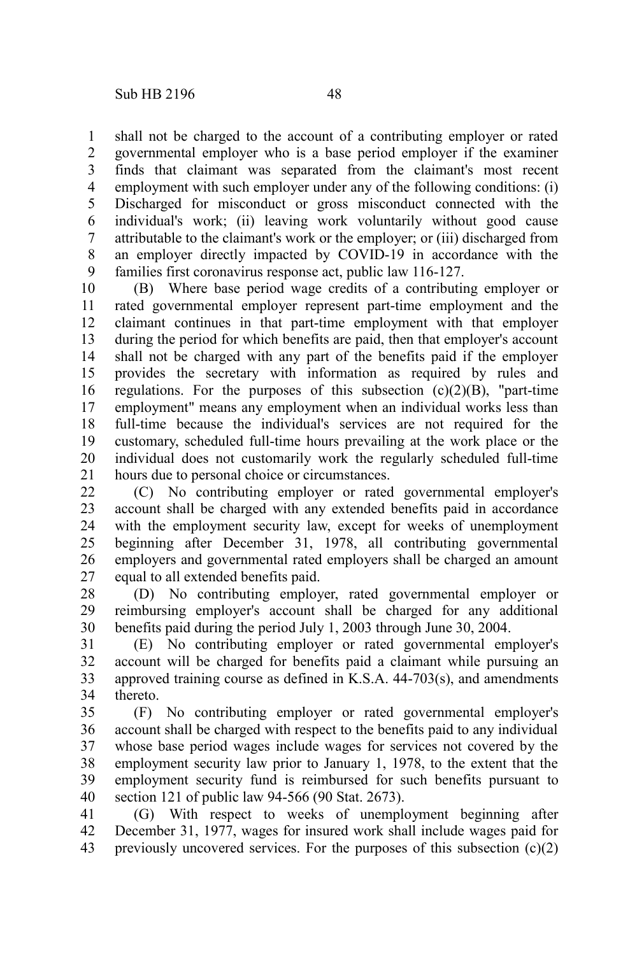shall not be charged to the account of a contributing employer or rated governmental employer who is a base period employer if the examiner finds that claimant was separated from the claimant's most recent employment with such employer under any of the following conditions: (i) Discharged for misconduct or gross misconduct connected with the individual's work; (ii) leaving work voluntarily without good cause attributable to the claimant's work or the employer; or (iii) discharged from an employer directly impacted by COVID-19 in accordance with the families first coronavirus response act, public law 116-127. 1 2 3 4 5 6 7 8 9

(B) Where base period wage credits of a contributing employer or rated governmental employer represent part-time employment and the claimant continues in that part-time employment with that employer during the period for which benefits are paid, then that employer's account shall not be charged with any part of the benefits paid if the employer provides the secretary with information as required by rules and regulations. For the purposes of this subsection  $(c)(2)(B)$ , "part-time employment" means any employment when an individual works less than full-time because the individual's services are not required for the customary, scheduled full-time hours prevailing at the work place or the individual does not customarily work the regularly scheduled full-time hours due to personal choice or circumstances. 10 11 12 13 14 15 16 17 18 19 20 21

(C) No contributing employer or rated governmental employer's account shall be charged with any extended benefits paid in accordance with the employment security law, except for weeks of unemployment beginning after December 31, 1978, all contributing governmental employers and governmental rated employers shall be charged an amount equal to all extended benefits paid. 22 23 24 25 26 27

(D) No contributing employer, rated governmental employer or reimbursing employer's account shall be charged for any additional benefits paid during the period July 1, 2003 through June 30, 2004. 28 29 30

(E) No contributing employer or rated governmental employer's account will be charged for benefits paid a claimant while pursuing an approved training course as defined in K.S.A. 44-703(s), and amendments thereto. 31 32 33 34

(F) No contributing employer or rated governmental employer's account shall be charged with respect to the benefits paid to any individual whose base period wages include wages for services not covered by the employment security law prior to January 1, 1978, to the extent that the employment security fund is reimbursed for such benefits pursuant to section 121 of public law 94-566 (90 Stat. 2673). 35 36 37 38 39 40

(G) With respect to weeks of unemployment beginning after December 31, 1977, wages for insured work shall include wages paid for previously uncovered services. For the purposes of this subsection (c)(2) 41 42 43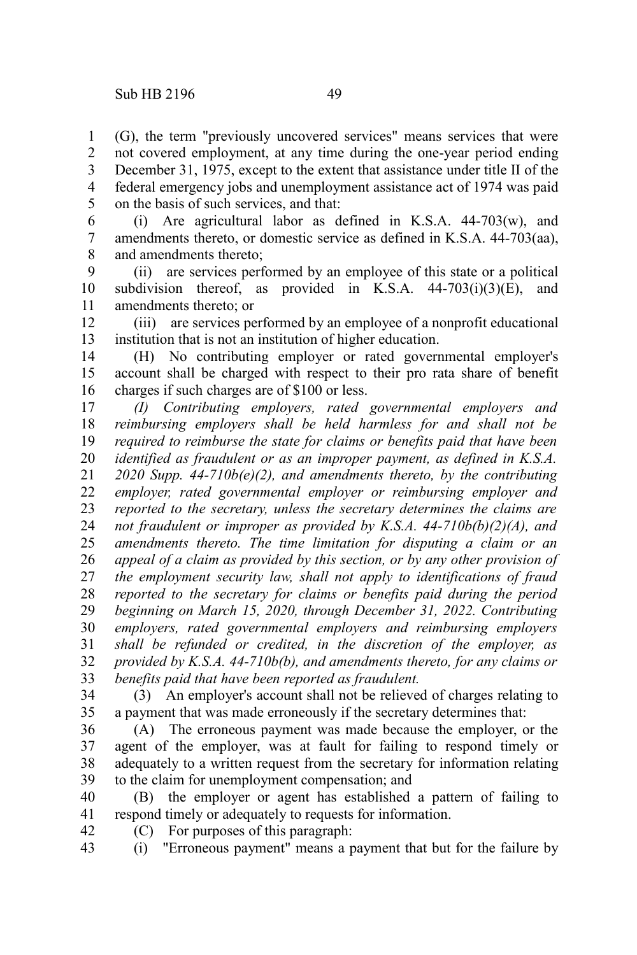(G), the term "previously uncovered services" means services that were not covered employment, at any time during the one-year period ending December 31, 1975, except to the extent that assistance under title II of the federal emergency jobs and unemployment assistance act of 1974 was paid on the basis of such services, and that: 1 2 3 4 5

(i) Are agricultural labor as defined in K.S.A. 44-703(w), and amendments thereto, or domestic service as defined in K.S.A. 44-703(aa), and amendments thereto; 6 7 8

(ii) are services performed by an employee of this state or a political subdivision thereof, as provided in K.S.A.  $44-703(i)(3)(E)$ , and amendments thereto; or 9 10 11

(iii) are services performed by an employee of a nonprofit educational institution that is not an institution of higher education. 12 13

(H) No contributing employer or rated governmental employer's account shall be charged with respect to their pro rata share of benefit charges if such charges are of \$100 or less. 14 15 16

*(I) Contributing employers, rated governmental employers and reimbursing employers shall be held harmless for and shall not be required to reimburse the state for claims or benefits paid that have been identified as fraudulent or as an improper payment, as defined in K.S.A. 2020 Supp. 44-710b(e)(2), and amendments thereto, by the contributing employer, rated governmental employer or reimbursing employer and reported to the secretary, unless the secretary determines the claims are not fraudulent or improper as provided by K.S.A. 44-710b(b)(2)(A), and amendments thereto. The time limitation for disputing a claim or an appeal of a claim as provided by this section, or by any other provision of the employment security law, shall not apply to identifications of fraud reported to the secretary for claims or benefits paid during the period beginning on March 15, 2020, through December 31, 2022. Contributing employers, rated governmental employers and reimbursing employers shall be refunded or credited, in the discretion of the employer, as provided by K.S.A. 44-710b(b), and amendments thereto, for any claims or benefits paid that have been reported as fraudulent.* 17 18 19 20 21 22 23 24 25 26 27 28 29 30 31 32 33

(3) An employer's account shall not be relieved of charges relating to a payment that was made erroneously if the secretary determines that: 34 35

(A) The erroneous payment was made because the employer, or the agent of the employer, was at fault for failing to respond timely or adequately to a written request from the secretary for information relating to the claim for unemployment compensation; and 36 37 38 39

(B) the employer or agent has established a pattern of failing to respond timely or adequately to requests for information. 40 41

(C) For purposes of this paragraph: 42

43

(i) "Erroneous payment" means a payment that but for the failure by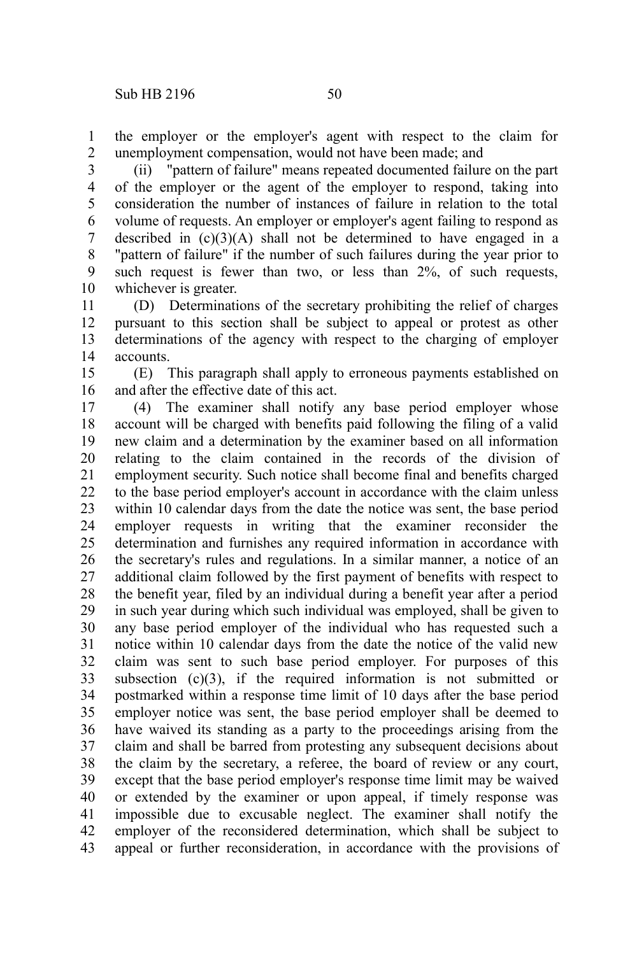the employer or the employer's agent with respect to the claim for unemployment compensation, would not have been made; and 1 2

(ii) "pattern of failure" means repeated documented failure on the part of the employer or the agent of the employer to respond, taking into consideration the number of instances of failure in relation to the total volume of requests. An employer or employer's agent failing to respond as described in  $(c)(3)(A)$  shall not be determined to have engaged in a "pattern of failure" if the number of such failures during the year prior to such request is fewer than two, or less than 2%, of such requests, whichever is greater. 3 4 5 6 7 8 9 10

(D) Determinations of the secretary prohibiting the relief of charges pursuant to this section shall be subject to appeal or protest as other determinations of the agency with respect to the charging of employer accounts. 11 12 13 14

(E) This paragraph shall apply to erroneous payments established on and after the effective date of this act. 15 16

(4) The examiner shall notify any base period employer whose account will be charged with benefits paid following the filing of a valid new claim and a determination by the examiner based on all information relating to the claim contained in the records of the division of employment security. Such notice shall become final and benefits charged to the base period employer's account in accordance with the claim unless within 10 calendar days from the date the notice was sent, the base period employer requests in writing that the examiner reconsider the determination and furnishes any required information in accordance with the secretary's rules and regulations. In a similar manner, a notice of an additional claim followed by the first payment of benefits with respect to the benefit year, filed by an individual during a benefit year after a period in such year during which such individual was employed, shall be given to any base period employer of the individual who has requested such a notice within 10 calendar days from the date the notice of the valid new claim was sent to such base period employer. For purposes of this subsection  $(c)(3)$ , if the required information is not submitted or postmarked within a response time limit of 10 days after the base period employer notice was sent, the base period employer shall be deemed to have waived its standing as a party to the proceedings arising from the claim and shall be barred from protesting any subsequent decisions about the claim by the secretary, a referee, the board of review or any court, except that the base period employer's response time limit may be waived or extended by the examiner or upon appeal, if timely response was impossible due to excusable neglect. The examiner shall notify the employer of the reconsidered determination, which shall be subject to appeal or further reconsideration, in accordance with the provisions of 17 18 19 20 21 22 23 24 25 26 27 28 29 30 31 32 33 34 35 36 37 38 39 40 41 42 43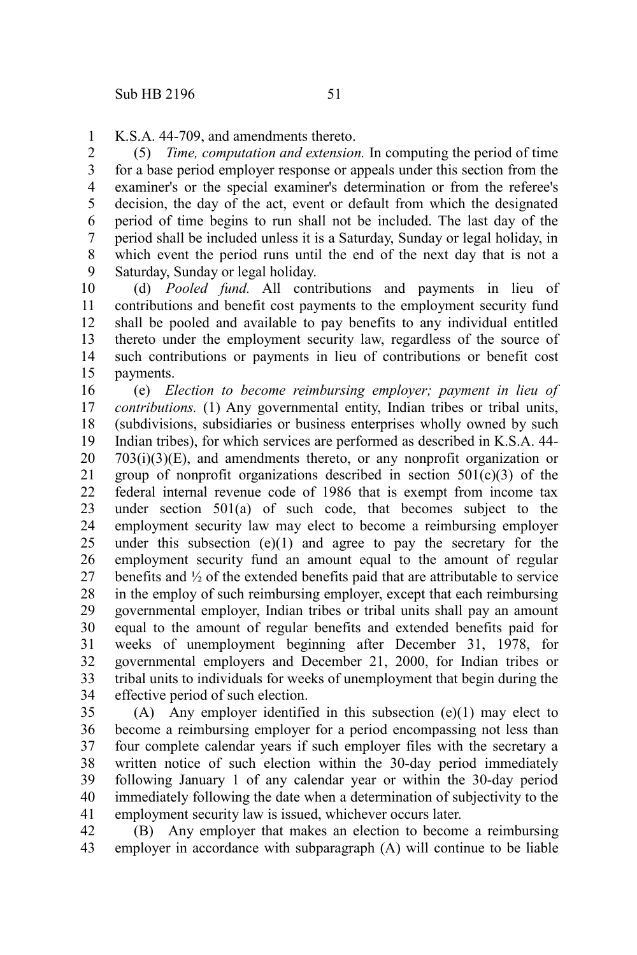K.S.A. 44-709, and amendments thereto. 1

(5) *Time, computation and extension.* In computing the period of time for a base period employer response or appeals under this section from the examiner's or the special examiner's determination or from the referee's decision, the day of the act, event or default from which the designated period of time begins to run shall not be included. The last day of the period shall be included unless it is a Saturday, Sunday or legal holiday, in which event the period runs until the end of the next day that is not a Saturday, Sunday or legal holiday. 2 3 4 5 6 7 8 9

(d) *Pooled fund.* All contributions and payments in lieu of contributions and benefit cost payments to the employment security fund shall be pooled and available to pay benefits to any individual entitled thereto under the employment security law, regardless of the source of such contributions or payments in lieu of contributions or benefit cost payments. 10 11 12 13 14 15

(e) *Election to become reimbursing employer; payment in lieu of contributions.* (1) Any governmental entity, Indian tribes or tribal units, (subdivisions, subsidiaries or business enterprises wholly owned by such Indian tribes), for which services are performed as described in K.S.A. 44-  $703(i)(3)(E)$ , and amendments thereto, or any nonprofit organization or group of nonprofit organizations described in section  $501(c)(3)$  of the federal internal revenue code of 1986 that is exempt from income tax under section 501(a) of such code, that becomes subject to the employment security law may elect to become a reimbursing employer under this subsection  $(e)(1)$  and agree to pay the secretary for the employment security fund an amount equal to the amount of regular benefits and ½ of the extended benefits paid that are attributable to service in the employ of such reimbursing employer, except that each reimbursing governmental employer, Indian tribes or tribal units shall pay an amount equal to the amount of regular benefits and extended benefits paid for weeks of unemployment beginning after December 31, 1978, for governmental employers and December 21, 2000, for Indian tribes or tribal units to individuals for weeks of unemployment that begin during the effective period of such election. 16 17 18 19 20 21 22 23 24 25 26 27 28 29 30 31 32 33 34

(A) Any employer identified in this subsection (e)(1) may elect to become a reimbursing employer for a period encompassing not less than four complete calendar years if such employer files with the secretary a written notice of such election within the 30-day period immediately following January 1 of any calendar year or within the 30-day period immediately following the date when a determination of subjectivity to the employment security law is issued, whichever occurs later. 35 36 37 38 39 40 41

(B) Any employer that makes an election to become a reimbursing employer in accordance with subparagraph (A) will continue to be liable 42 43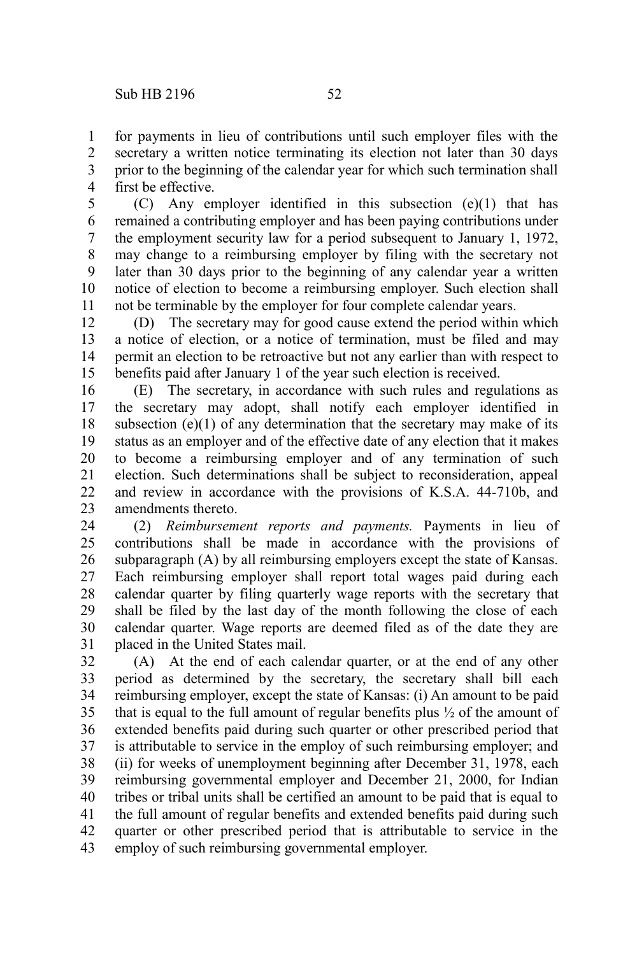for payments in lieu of contributions until such employer files with the secretary a written notice terminating its election not later than 30 days prior to the beginning of the calendar year for which such termination shall first be effective. 1 2 3 4

(C) Any employer identified in this subsection (e)(1) that has remained a contributing employer and has been paying contributions under the employment security law for a period subsequent to January 1, 1972, may change to a reimbursing employer by filing with the secretary not later than 30 days prior to the beginning of any calendar year a written notice of election to become a reimbursing employer. Such election shall not be terminable by the employer for four complete calendar years. 5 6 7 8 9 10 11

(D) The secretary may for good cause extend the period within which a notice of election, or a notice of termination, must be filed and may permit an election to be retroactive but not any earlier than with respect to benefits paid after January 1 of the year such election is received. 12 13 14 15

(E) The secretary, in accordance with such rules and regulations as the secretary may adopt, shall notify each employer identified in subsection  $(e)(1)$  of any determination that the secretary may make of its status as an employer and of the effective date of any election that it makes to become a reimbursing employer and of any termination of such election. Such determinations shall be subject to reconsideration, appeal and review in accordance with the provisions of K.S.A. 44-710b, and amendments thereto. 16 17 18 19 20 21 22 23

(2) *Reimbursement reports and payments.* Payments in lieu of contributions shall be made in accordance with the provisions of subparagraph (A) by all reimbursing employers except the state of Kansas. Each reimbursing employer shall report total wages paid during each calendar quarter by filing quarterly wage reports with the secretary that shall be filed by the last day of the month following the close of each calendar quarter. Wage reports are deemed filed as of the date they are placed in the United States mail. 24 25 26 27 28 29 30 31

(A) At the end of each calendar quarter, or at the end of any other period as determined by the secretary, the secretary shall bill each reimbursing employer, except the state of Kansas: (i) An amount to be paid that is equal to the full amount of regular benefits plus  $\frac{1}{2}$  of the amount of extended benefits paid during such quarter or other prescribed period that is attributable to service in the employ of such reimbursing employer; and (ii) for weeks of unemployment beginning after December 31, 1978, each reimbursing governmental employer and December 21, 2000, for Indian tribes or tribal units shall be certified an amount to be paid that is equal to the full amount of regular benefits and extended benefits paid during such quarter or other prescribed period that is attributable to service in the employ of such reimbursing governmental employer. 32 33 34 35 36 37 38 39 40 41 42 43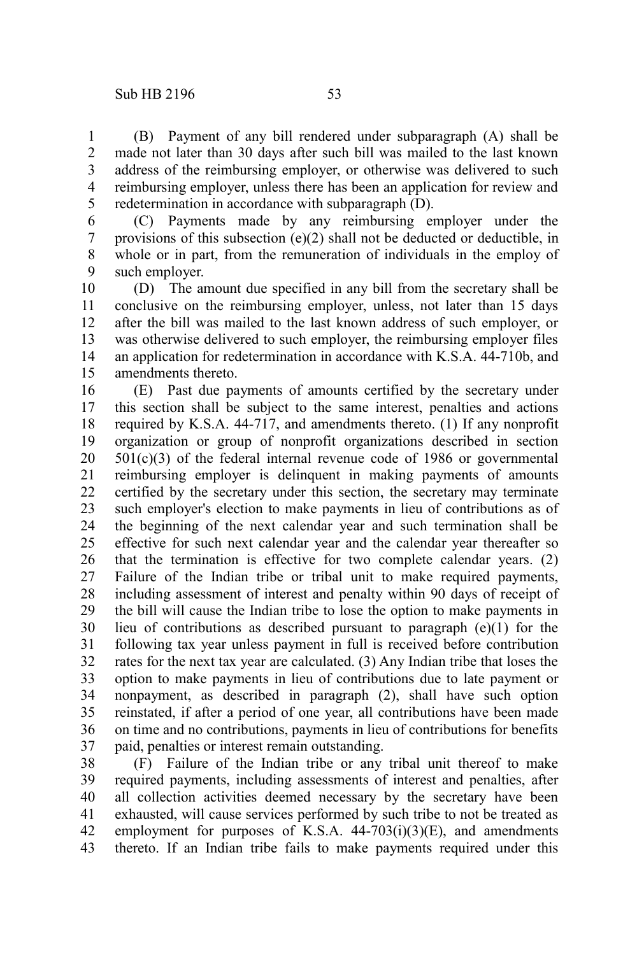(B) Payment of any bill rendered under subparagraph (A) shall be made not later than 30 days after such bill was mailed to the last known address of the reimbursing employer, or otherwise was delivered to such reimbursing employer, unless there has been an application for review and redetermination in accordance with subparagraph (D).

4 5

1 2 3

(C) Payments made by any reimbursing employer under the provisions of this subsection (e)(2) shall not be deducted or deductible, in whole or in part, from the remuneration of individuals in the employ of such employer. 6 7 8 9

(D) The amount due specified in any bill from the secretary shall be conclusive on the reimbursing employer, unless, not later than 15 days after the bill was mailed to the last known address of such employer, or was otherwise delivered to such employer, the reimbursing employer files an application for redetermination in accordance with K.S.A. 44-710b, and amendments thereto. 10 11 12 13 14 15

(E) Past due payments of amounts certified by the secretary under this section shall be subject to the same interest, penalties and actions required by K.S.A. 44-717, and amendments thereto. (1) If any nonprofit organization or group of nonprofit organizations described in section  $501(c)(3)$  of the federal internal revenue code of 1986 or governmental reimbursing employer is delinquent in making payments of amounts certified by the secretary under this section, the secretary may terminate such employer's election to make payments in lieu of contributions as of the beginning of the next calendar year and such termination shall be effective for such next calendar year and the calendar year thereafter so that the termination is effective for two complete calendar years. (2) Failure of the Indian tribe or tribal unit to make required payments, including assessment of interest and penalty within 90 days of receipt of the bill will cause the Indian tribe to lose the option to make payments in lieu of contributions as described pursuant to paragraph (e)(1) for the following tax year unless payment in full is received before contribution rates for the next tax year are calculated. (3) Any Indian tribe that loses the option to make payments in lieu of contributions due to late payment or nonpayment, as described in paragraph (2), shall have such option reinstated, if after a period of one year, all contributions have been made on time and no contributions, payments in lieu of contributions for benefits paid, penalties or interest remain outstanding. 16 17 18 19 20 21 22 23 24 25 26 27 28 29 30 31 32 33 34 35 36 37

(F) Failure of the Indian tribe or any tribal unit thereof to make required payments, including assessments of interest and penalties, after all collection activities deemed necessary by the secretary have been exhausted, will cause services performed by such tribe to not be treated as employment for purposes of K.S.A.  $44-703(i)(3)(E)$ , and amendments thereto. If an Indian tribe fails to make payments required under this 38 39 40 41 42 43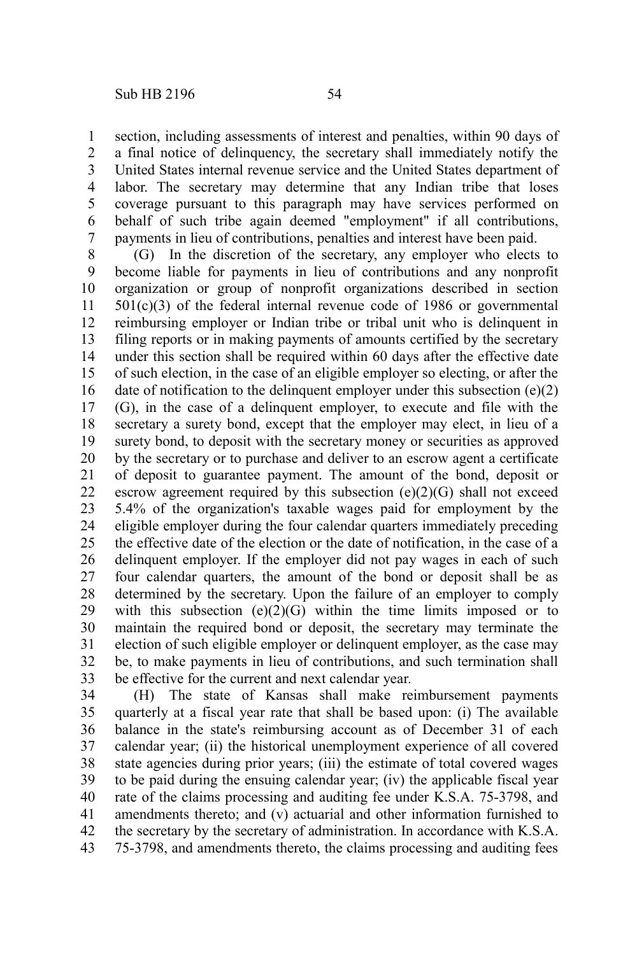section, including assessments of interest and penalties, within 90 days of a final notice of delinquency, the secretary shall immediately notify the United States internal revenue service and the United States department of labor. The secretary may determine that any Indian tribe that loses coverage pursuant to this paragraph may have services performed on behalf of such tribe again deemed "employment" if all contributions, payments in lieu of contributions, penalties and interest have been paid. 1 2 3 4 5 6 7

(G) In the discretion of the secretary, any employer who elects to become liable for payments in lieu of contributions and any nonprofit organization or group of nonprofit organizations described in section  $501(c)(3)$  of the federal internal revenue code of 1986 or governmental reimbursing employer or Indian tribe or tribal unit who is delinquent in filing reports or in making payments of amounts certified by the secretary under this section shall be required within 60 days after the effective date of such election, in the case of an eligible employer so electing, or after the date of notification to the delinquent employer under this subsection (e)(2) (G), in the case of a delinquent employer, to execute and file with the secretary a surety bond, except that the employer may elect, in lieu of a surety bond, to deposit with the secretary money or securities as approved by the secretary or to purchase and deliver to an escrow agent a certificate of deposit to guarantee payment. The amount of the bond, deposit or escrow agreement required by this subsection  $(e)(2)(G)$  shall not exceed 5.4% of the organization's taxable wages paid for employment by the eligible employer during the four calendar quarters immediately preceding the effective date of the election or the date of notification, in the case of a delinquent employer. If the employer did not pay wages in each of such four calendar quarters, the amount of the bond or deposit shall be as determined by the secretary. Upon the failure of an employer to comply with this subsection  $(e)(2)(G)$  within the time limits imposed or to maintain the required bond or deposit, the secretary may terminate the election of such eligible employer or delinquent employer, as the case may be, to make payments in lieu of contributions, and such termination shall be effective for the current and next calendar year. 8 9 10 11 12 13 14 15 16 17 18 19 20 21 22 23 24 25 26 27 28 29 30 31 32 33

(H) The state of Kansas shall make reimbursement payments quarterly at a fiscal year rate that shall be based upon: (i) The available balance in the state's reimbursing account as of December 31 of each calendar year; (ii) the historical unemployment experience of all covered state agencies during prior years; (iii) the estimate of total covered wages to be paid during the ensuing calendar year; (iv) the applicable fiscal year rate of the claims processing and auditing fee under K.S.A. 75-3798, and amendments thereto; and (v) actuarial and other information furnished to the secretary by the secretary of administration. In accordance with K.S.A. 75-3798, and amendments thereto, the claims processing and auditing fees 34 35 36 37 38 39 40 41 42 43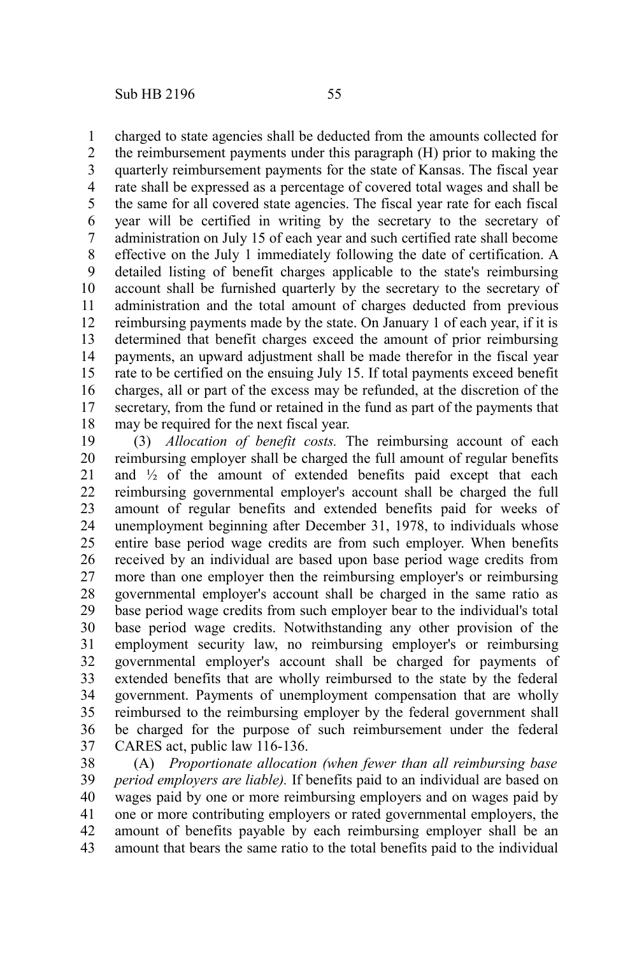charged to state agencies shall be deducted from the amounts collected for the reimbursement payments under this paragraph (H) prior to making the quarterly reimbursement payments for the state of Kansas. The fiscal year rate shall be expressed as a percentage of covered total wages and shall be the same for all covered state agencies. The fiscal year rate for each fiscal year will be certified in writing by the secretary to the secretary of administration on July 15 of each year and such certified rate shall become effective on the July 1 immediately following the date of certification. A detailed listing of benefit charges applicable to the state's reimbursing account shall be furnished quarterly by the secretary to the secretary of administration and the total amount of charges deducted from previous reimbursing payments made by the state. On January 1 of each year, if it is determined that benefit charges exceed the amount of prior reimbursing payments, an upward adjustment shall be made therefor in the fiscal year rate to be certified on the ensuing July 15. If total payments exceed benefit charges, all or part of the excess may be refunded, at the discretion of the secretary, from the fund or retained in the fund as part of the payments that may be required for the next fiscal year. 1 2 3 4 5 6 7 8 9 10 11 12 13 14 15 16 17 18

(3) *Allocation of benefit costs.* The reimbursing account of each reimbursing employer shall be charged the full amount of regular benefits and  $\frac{1}{2}$  of the amount of extended benefits paid except that each reimbursing governmental employer's account shall be charged the full amount of regular benefits and extended benefits paid for weeks of unemployment beginning after December 31, 1978, to individuals whose entire base period wage credits are from such employer. When benefits received by an individual are based upon base period wage credits from more than one employer then the reimbursing employer's or reimbursing governmental employer's account shall be charged in the same ratio as base period wage credits from such employer bear to the individual's total base period wage credits. Notwithstanding any other provision of the employment security law, no reimbursing employer's or reimbursing governmental employer's account shall be charged for payments of extended benefits that are wholly reimbursed to the state by the federal government. Payments of unemployment compensation that are wholly reimbursed to the reimbursing employer by the federal government shall be charged for the purpose of such reimbursement under the federal CARES act, public law 116-136. 19 20 21 22 23 24 25 26 27 28 29 30 31 32 33 34 35 36 37

(A) *Proportionate allocation (when fewer than all reimbursing base period employers are liable).* If benefits paid to an individual are based on wages paid by one or more reimbursing employers and on wages paid by one or more contributing employers or rated governmental employers, the amount of benefits payable by each reimbursing employer shall be an amount that bears the same ratio to the total benefits paid to the individual 38 39 40 41 42 43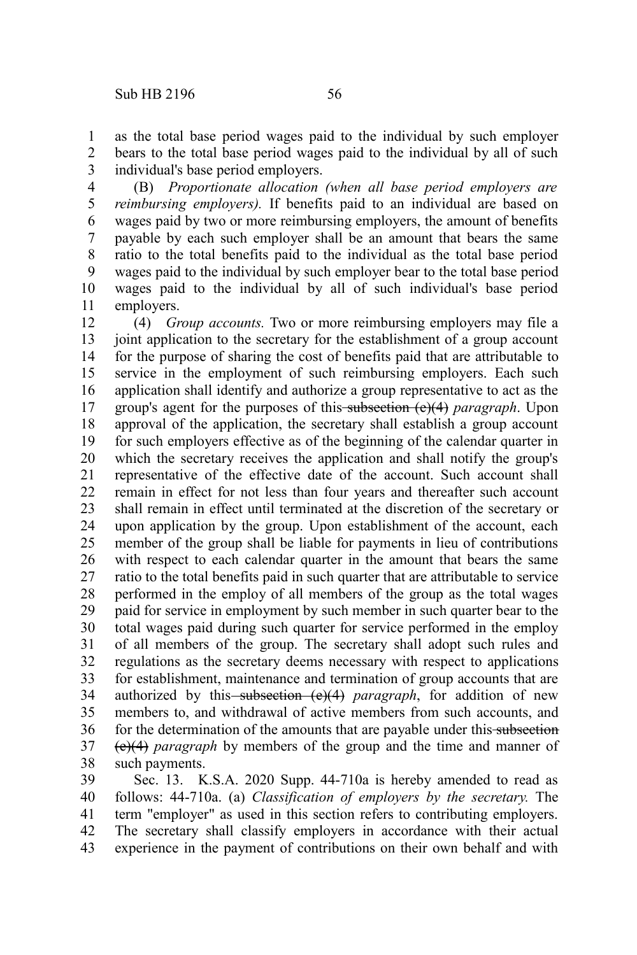as the total base period wages paid to the individual by such employer bears to the total base period wages paid to the individual by all of such individual's base period employers. 1 2 3

(B) *Proportionate allocation (when all base period employers are reimbursing employers).* If benefits paid to an individual are based on wages paid by two or more reimbursing employers, the amount of benefits payable by each such employer shall be an amount that bears the same ratio to the total benefits paid to the individual as the total base period wages paid to the individual by such employer bear to the total base period wages paid to the individual by all of such individual's base period employers. 4 5 6 7 8 9 10 11

(4) *Group accounts.* Two or more reimbursing employers may file a joint application to the secretary for the establishment of a group account for the purpose of sharing the cost of benefits paid that are attributable to service in the employment of such reimbursing employers. Each such application shall identify and authorize a group representative to act as the group's agent for the purposes of this subsection (e)(4) *paragraph*. Upon approval of the application, the secretary shall establish a group account for such employers effective as of the beginning of the calendar quarter in which the secretary receives the application and shall notify the group's representative of the effective date of the account. Such account shall remain in effect for not less than four years and thereafter such account shall remain in effect until terminated at the discretion of the secretary or upon application by the group. Upon establishment of the account, each member of the group shall be liable for payments in lieu of contributions with respect to each calendar quarter in the amount that bears the same ratio to the total benefits paid in such quarter that are attributable to service performed in the employ of all members of the group as the total wages paid for service in employment by such member in such quarter bear to the total wages paid during such quarter for service performed in the employ of all members of the group. The secretary shall adopt such rules and regulations as the secretary deems necessary with respect to applications for establishment, maintenance and termination of group accounts that are authorized by this subsection (e)(4) *paragraph*, for addition of new members to, and withdrawal of active members from such accounts, and for the determination of the amounts that are payable under this subsection (e)(4) *paragraph* by members of the group and the time and manner of such payments. 12 13 14 15 16 17 18 19 20 21 22 23 24 25 26 27 28 29 30 31 32 33 34 35 36 37 38

Sec. 13. K.S.A. 2020 Supp. 44-710a is hereby amended to read as follows: 44-710a. (a) *Classification of employers by the secretary.* The term "employer" as used in this section refers to contributing employers. The secretary shall classify employers in accordance with their actual experience in the payment of contributions on their own behalf and with 39 40 41 42 43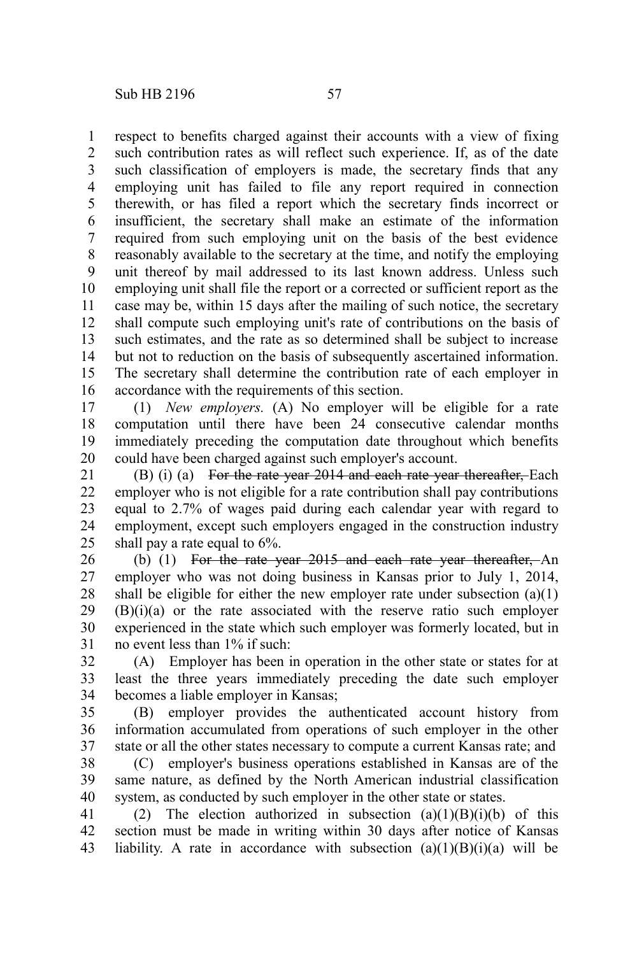respect to benefits charged against their accounts with a view of fixing such contribution rates as will reflect such experience. If, as of the date such classification of employers is made, the secretary finds that any employing unit has failed to file any report required in connection therewith, or has filed a report which the secretary finds incorrect or insufficient, the secretary shall make an estimate of the information required from such employing unit on the basis of the best evidence reasonably available to the secretary at the time, and notify the employing unit thereof by mail addressed to its last known address. Unless such employing unit shall file the report or a corrected or sufficient report as the case may be, within 15 days after the mailing of such notice, the secretary shall compute such employing unit's rate of contributions on the basis of such estimates, and the rate as so determined shall be subject to increase but not to reduction on the basis of subsequently ascertained information. The secretary shall determine the contribution rate of each employer in accordance with the requirements of this section. 1 2 3 4 5 6 7 8 9 10 11 12 13 14 15 16

(1) *New employers.* (A) No employer will be eligible for a rate computation until there have been 24 consecutive calendar months immediately preceding the computation date throughout which benefits could have been charged against such employer's account. 17 18 19 20

(B) (i) (a) For the rate year 2014 and each rate year thereafter, Each employer who is not eligible for a rate contribution shall pay contributions equal to 2.7% of wages paid during each calendar year with regard to employment, except such employers engaged in the construction industry shall pay a rate equal to 6%. 21 22 23 24 25

(b) (1) For the rate year 2015 and each rate year thereafter, An employer who was not doing business in Kansas prior to July 1, 2014, shall be eligible for either the new employer rate under subsection  $(a)(1)$ (B)(i)(a) or the rate associated with the reserve ratio such employer experienced in the state which such employer was formerly located, but in no event less than 1% if such: 26 27 28 29 30 31

(A) Employer has been in operation in the other state or states for at least the three years immediately preceding the date such employer becomes a liable employer in Kansas; 32 33 34

(B) employer provides the authenticated account history from information accumulated from operations of such employer in the other state or all the other states necessary to compute a current Kansas rate; and 35 36 37

(C) employer's business operations established in Kansas are of the same nature, as defined by the North American industrial classification system, as conducted by such employer in the other state or states. 38 39 40

(2) The election authorized in subsection  $(a)(1)(B)(i)(b)$  of this section must be made in writing within 30 days after notice of Kansas liability. A rate in accordance with subsection  $(a)(1)(B)(i)(a)$  will be 41 42 43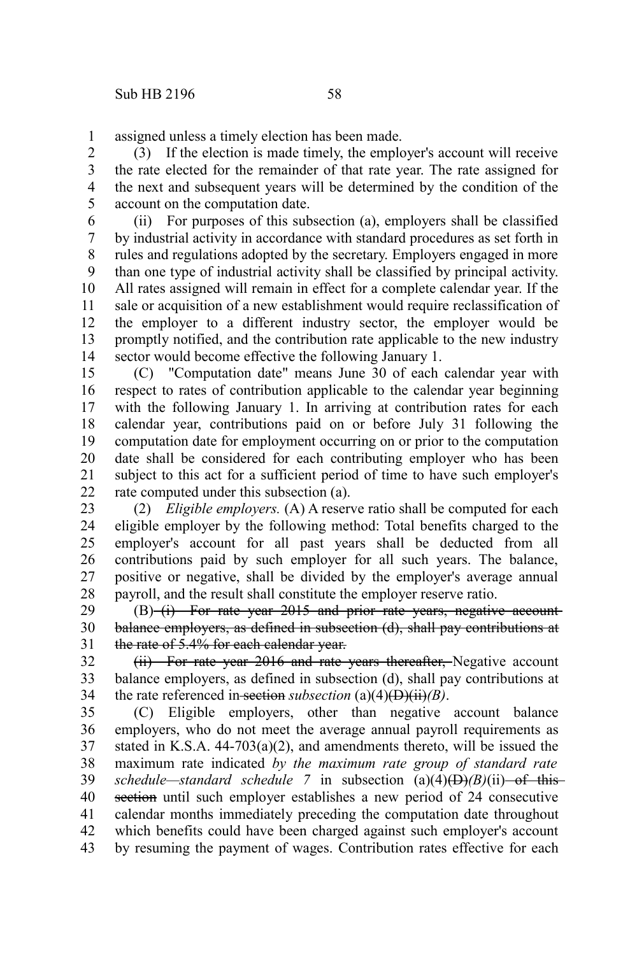assigned unless a timely election has been made. 1

(3) If the election is made timely, the employer's account will receive the rate elected for the remainder of that rate year. The rate assigned for the next and subsequent years will be determined by the condition of the account on the computation date. 2 3 4 5

(ii) For purposes of this subsection (a), employers shall be classified by industrial activity in accordance with standard procedures as set forth in rules and regulations adopted by the secretary. Employers engaged in more than one type of industrial activity shall be classified by principal activity. All rates assigned will remain in effect for a complete calendar year. If the sale or acquisition of a new establishment would require reclassification of the employer to a different industry sector, the employer would be promptly notified, and the contribution rate applicable to the new industry sector would become effective the following January 1. 6 7 8 9 10 11 12 13 14

(C) "Computation date" means June 30 of each calendar year with respect to rates of contribution applicable to the calendar year beginning with the following January 1. In arriving at contribution rates for each calendar year, contributions paid on or before July 31 following the computation date for employment occurring on or prior to the computation date shall be considered for each contributing employer who has been subject to this act for a sufficient period of time to have such employer's rate computed under this subsection (a). 15 16 17 18 19 20 21 22

(2) *Eligible employers.* (A) A reserve ratio shall be computed for each eligible employer by the following method: Total benefits charged to the employer's account for all past years shall be deducted from all contributions paid by such employer for all such years. The balance, positive or negative, shall be divided by the employer's average annual payroll, and the result shall constitute the employer reserve ratio. 23 24 25 26 27 28

(B) (i) For rate year 2015 and prior rate years, negative account balance employers, as defined in subsection (d), shall pay contributions at the rate of 5.4% for each calendar year. 29 30 31

(ii) For rate year 2016 and rate years thereafter, Negative account balance employers, as defined in subsection (d), shall pay contributions at the rate referenced in section *subsection* (a)(4)( $\overrightarrow{D}$ )( $\overrightarrow{H}$ *i*)*(B)*. 32 33 34

(C) Eligible employers, other than negative account balance employers, who do not meet the average annual payroll requirements as stated in K.S.A. 44-703(a)(2), and amendments thereto, will be issued the maximum rate indicated *by the maximum rate group of standard rate schedule—standard schedule* 7 in subsection  $(a)(4)(D)(B)(ii)$  of this section until such employer establishes a new period of 24 consecutive calendar months immediately preceding the computation date throughout which benefits could have been charged against such employer's account by resuming the payment of wages. Contribution rates effective for each 35 36 37 38 39 40 41 42 43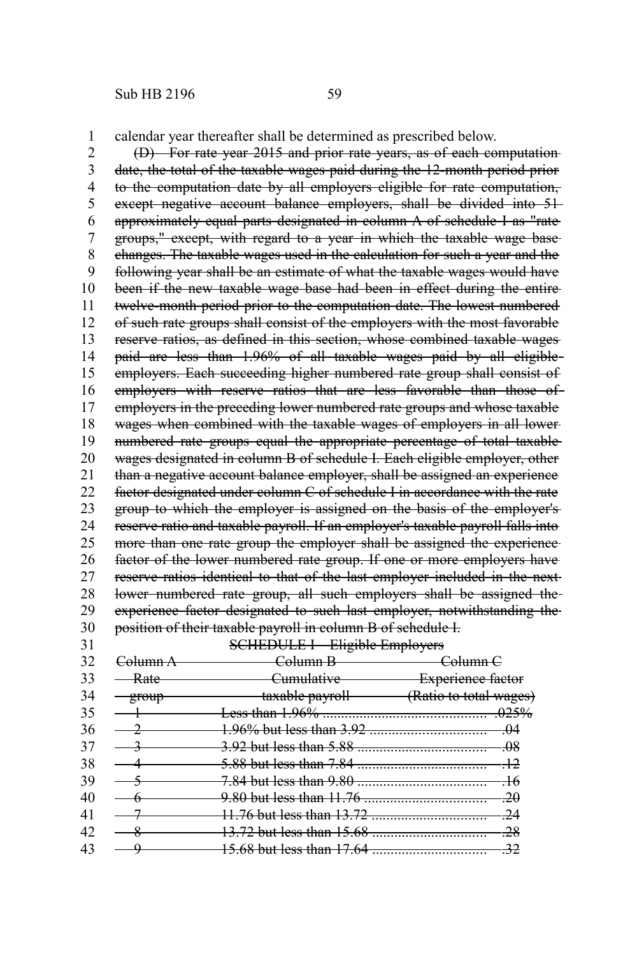calendar year thereafter shall be determined as prescribed below. 1

(D) For rate year 2015 and prior rate years, as of each computation date, the total of the taxable wages paid during the 12-month period prior to the computation date by all employers eligible for rate computation, except negative account balance employers, shall be divided into 51approximately equal parts designated in column A of schedule I as "rate groups," except, with regard to a year in which the taxable wage base changes. The taxable wages used in the calculation for such a year and the following year shall be an estimate of what the taxable wages would have been if the new taxable wage base had been in effect during the entire twelve-month period prior to the computation date. The lowest numbered of such rate groups shall consist of the employers with the most favorable reserve ratios, as defined in this section, whose combined taxable wages paid are less than 1.96% of all taxable wages paid by all eligible employers. Each succeeding higher numbered rate group shall consist of employers with reserve ratios that are less favorable than those ofemployers in the preceding lower numbered rate groups and whose taxable wages when combined with the taxable wages of employers in all lower numbered rate groups equal the appropriate percentage of total taxable wages designated in column B of schedule I. Each eligible employer, other than a negative account balance employer, shall be assigned an experience factor designated under column C of schedule I in accordance with the rate group to which the employer is assigned on the basis of the employer's reserve ratio and taxable payroll. If an employer's taxable payroll falls into more than one rate group the employer shall be assigned the experience factor of the lower numbered rate group. If one or more employers have reserve ratios identical to that of the last employer included in the next lower numbered rate group, all such employers shall be assigned the experience factor designated to such last employer, notwithstanding the position of their taxable payroll in column B of schedule I. 2 3 4 5 6 7 8 9 10 11 12 13 14 15 16 17 18 19 20 21 22 23 24 25 26 27 28 29 30

31

SCHEDULE I—Eligible Employers

| 32 | <del>ahımn A</del>        | <del>Column R</del>                    | <del>Column C</del> |
|----|---------------------------|----------------------------------------|---------------------|
| 33 | -Rate                     | Cumulative Experience factor           |                     |
| 34 | $\overline{\text{green}}$ | taxable payroll (Ratio to total wages) |                     |
| 35 |                           |                                        |                     |
| 36 | $\frac{2}{2}$             |                                        |                     |
| 37 | $\longrightarrow$         |                                        | -08                 |
| 38 |                           |                                        |                     |
| 39 |                           |                                        |                     |
| 40 |                           |                                        | -20                 |
|    |                           |                                        | -24                 |
| 42 |                           |                                        | ججـ                 |
|    |                           |                                        |                     |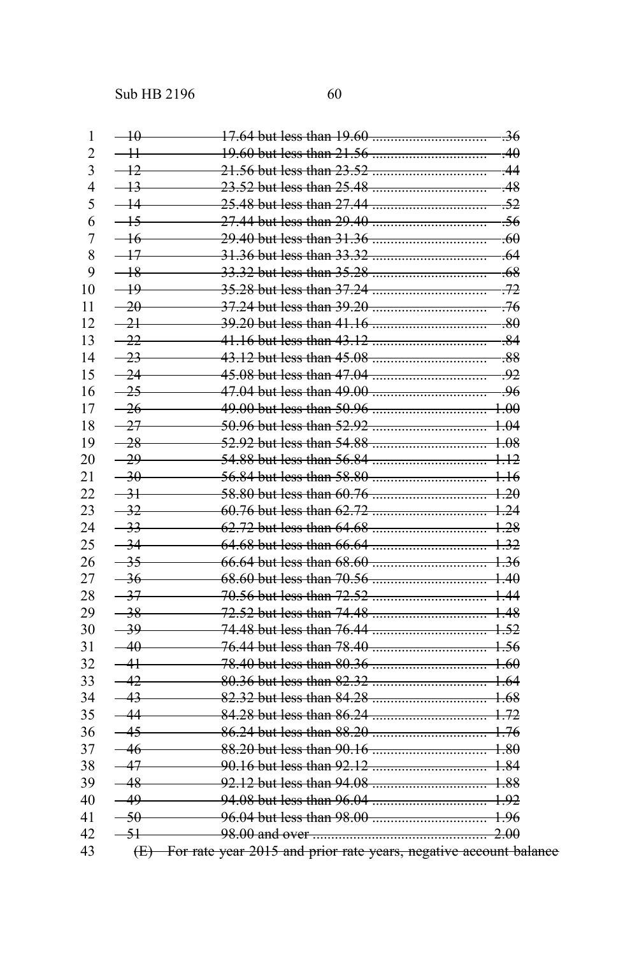Sub HB 2196 60

| 1              | $-10$  | $\overline{.36}$                                                      |
|----------------|--------|-----------------------------------------------------------------------|
| $\overline{2}$ | $-11$  | 19.60 but less than 21.56<br>-40                                      |
| 3              | $-12$  | $-44$                                                                 |
| 4              | $-13-$ | $-48$                                                                 |
| 5              | $-14$  | $-52$                                                                 |
| 6              | $-15$  | $-56$                                                                 |
| 7              | $-16$  | $-60$                                                                 |
| 8              | $-17$  | $-64$                                                                 |
| 9              | $-18$  | .68                                                                   |
| 10             | $-19$  | 35.28 but less than 37.24<br>-72                                      |
| 11             | $-20-$ | $-76$                                                                 |
| 12             | $-21$  | $-80$                                                                 |
| 13             | $-22$  | -84                                                                   |
| 14             | $-23$  | $-88$                                                                 |
| 15             | $-24-$ |                                                                       |
| 16             | $-25$  | -96                                                                   |
| 17             | $-26$  |                                                                       |
| 18             | $-27$  |                                                                       |
| 19             | $-28$  |                                                                       |
| 20             | $-29$  |                                                                       |
| 21             | $-30-$ |                                                                       |
| 22             | $-31$  |                                                                       |
| 23             | $-32$  |                                                                       |
| 24             | $-33-$ | -1.28                                                                 |
| 25             | $-34$  | -1-32                                                                 |
| 26             | $-35-$ |                                                                       |
| 27             | $-36-$ |                                                                       |
| 28             | $-37$  |                                                                       |
| 29             | $-38$  |                                                                       |
| 30             | $-39-$ |                                                                       |
| 31             | $-40-$ |                                                                       |
| 32             | $-41$  |                                                                       |
| 33             | $-42$  |                                                                       |
| 34             | $-43-$ |                                                                       |
| 35             | $-44$  |                                                                       |
| 36             | $-45$  |                                                                       |
| 37             | $-46-$ |                                                                       |
| 38             | $-47$  |                                                                       |
| 39             | $-48$  |                                                                       |
| 40             | $-49-$ |                                                                       |
| 41             | $-50-$ |                                                                       |
| 42             | $-51$  |                                                                       |
| 43             |        | (E) For rate year 2015 and prior rate years, negative account balance |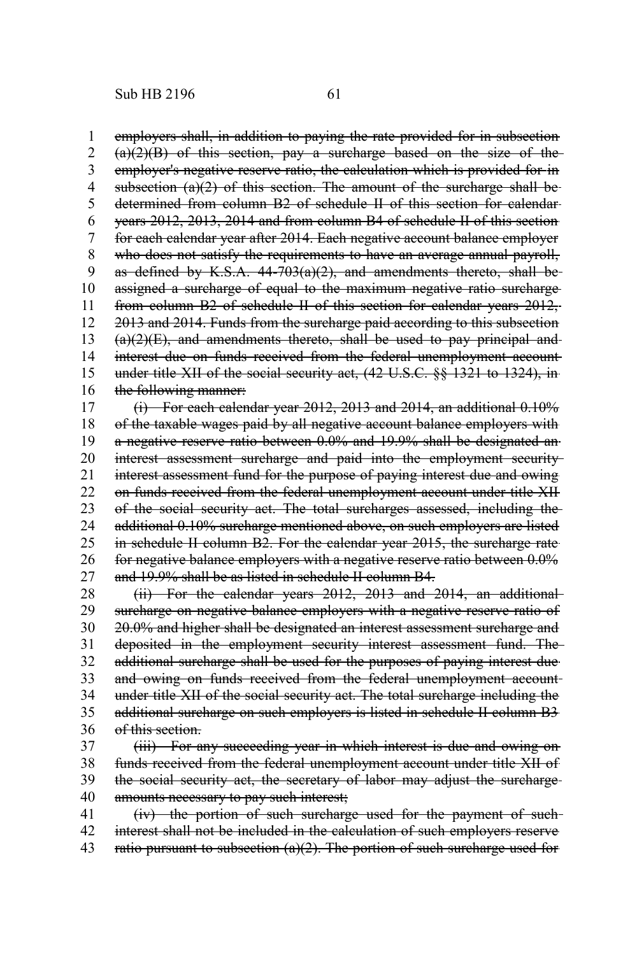employers shall, in addition to paying the rate provided for in subsection 1

 $(a)(2)(B)$  of this section, pay a surcharge based on the size of the employer's negative reserve ratio, the calculation which is provided for in subsection  $(a)(2)$  of this section. The amount of the surcharge shall bedetermined from column B2 of schedule II of this section for calendar years 2012, 2013, 2014 and from column B4 of schedule II of this section for each calendar year after 2014. Each negative account balance employer who does not satisfy the requirements to have an average annual payroll, as defined by K.S.A. 44-703(a)(2), and amendments thereto, shall be assigned a surcharge of equal to the maximum negative ratio surcharge from column B2 of schedule II of this section for calendar years 2012, 2013 and 2014. Funds from the surcharge paid according to this subsection  $(a)(2)(E)$ , and amendments thereto, shall be used to pay principal andinterest due on funds received from the federal unemployment account under title XII of the social security act, (42 U.S.C. §§ 1321 to 1324), in the following manner: 2 3 4 5 6 7 8 9 10 11 12 13 14 15 16

(i) For each calendar year 2012, 2013 and 2014, an additional 0.10% of the taxable wages paid by all negative account balance employers with a negative reserve ratio between 0.0% and 19.9% shall be designated an interest assessment surcharge and paid into the employment security interest assessment fund for the purpose of paying interest due and owing on funds received from the federal unemployment account under title XII of the social security act. The total surcharges assessed, including the additional 0.10% surcharge mentioned above, on such employers are listed in schedule II column B2. For the calendar year 2015, the surcharge rate for negative balance employers with a negative reserve ratio between 0.0% and 19.9% shall be as listed in schedule II column B4. 17 18 19 20 21 22 23 24 25 26 27

(ii) For the calendar years 2012, 2013 and 2014, an additional surcharge on negative balance employers with a negative reserve ratio of 20.0% and higher shall be designated an interest assessment surcharge and deposited in the employment security interest assessment fund. The additional surcharge shall be used for the purposes of paying interest due and owing on funds received from the federal unemployment account under title XII of the social security act. The total surcharge including the additional surcharge on such employers is listed in schedule II column B3 of this section. 28 29 30 31 32 33 34 35 36

(iii) For any succeeding year in which interest is due and owing on funds received from the federal unemployment account under title XII of the social security act, the secretary of labor may adjust the surcharge amounts necessary to pay such interest; 37 38 39 40

(iv) the portion of such surcharge used for the payment of such interest shall not be included in the calculation of such employers reserve ratio pursuant to subsection  $(a)(2)$ . The portion of such surcharge used for 41 42 43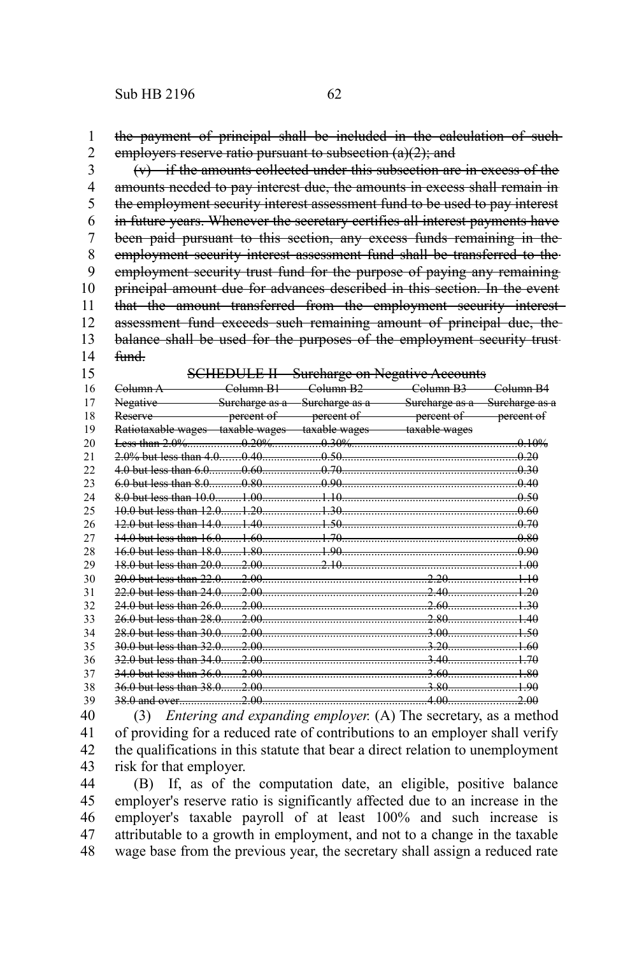the payment of principal shall be included in the calculation of such employers reserve ratio pursuant to subsection  $(a)(2)$ ; and 1 2

(v) if the amounts collected under this subsection are in excess of the amounts needed to pay interest due, the amounts in excess shall remain in the employment security interest assessment fund to be used to pay interest in future years. Whenever the secretary certifies all interest payments have been paid pursuant to this section, any excess funds remaining in the employment security interest assessment fund shall be transferred to the employment security trust fund for the purpose of paying any remaining principal amount due for advances described in this section. In the event that the amount transferred from the employment security interest assessment fund exceeds such remaining amount of principal due, the balance shall be used for the purposes of the employment security trust fund. 3 4 5 6 7 8 9 10 11 12 13 14

- SCHEDULE II—Surcharge on Negative Accounts Column A Column B1 Column B2 Column B3 Column B4 Negative Surcharge as a Surcharge as a Surcharge as a Surcharge as a Reserve **Reserve percent of** percent of **percent of percent of percent of** Ratiotaxable wages taxable wages taxable wages taxable wages Less than 2.0% ..................0.20% ................0.30% ........................... ............................0.10% 2.0% but less than 4.0 .......0.40 ....................0.50 ............................... ............................0.20 4.0 but less than 6.0 ...........0.60 ....................0.70 ............................... ............................0.30 6.0 but less than 8.0 ...........0.80 ....................0.90 ............................... ............................0.40 8.0 but less than 10.0 .........1.00. ...................1.10 ............................... ............................0.50 10.0 but less than 12.0 .......1.20 ....................1.30 ............................... ............................0.60 12.0 but less than 14.0 .......1.40 ....................1.50 ............................... ............................0.70 14.0 but less than 16.0 .......1.60 ....................1.70 ............................... ............................0.80 16.0 but less than 18.0 .......1.80 ....................1.90 ............................... ............................0.90 18.0 but less than 20.0 .......2.00 ....................2.10 ............................... ............................1.00 20.0 but less than 22.0 .......2.00 ...................... ..................................2.20 .......................1.10 22.0 but less than 24.0 .......2.00 ...................... ..................................2.40 .......................1.20 24.0 but less than 26.0 .......2.00 ...................... ..................................2.60 .......................1.30 26.0 but less than 28.0 .......2.00 ...................... ..................................2.80 .......................1.40 28.0 but less than 30.0 .......2.00 ...................... ..................................3.00 .......................1.50 30.0 but less than 32.0 .......2.00 ...................... ..................................3.20 .......................1.60 32.0 but less than 34.0 .......2.00 ...................... ..................................3.40 .......................1.70 34.0 but less than 36.0 .......2.00 ...................... ..................................3.60 .......................1.80 36.0 but less than 38.0 .......2.00 ...................... ..................................3.80 .......................1.90 38.0 and over .....................2.00 ...................... ..................................4.00 .......................2.00 15 16 17 18 19 20 21 22 23  $24$ 25 26 27 28 29 30 31 32 33 34 35 36 37 38 39
- (3) *Entering and expanding employer.* (A) The secretary, as a method of providing for a reduced rate of contributions to an employer shall verify the qualifications in this statute that bear a direct relation to unemployment risk for that employer. 40 41 42 43

(B) If, as of the computation date, an eligible, positive balance employer's reserve ratio is significantly affected due to an increase in the employer's taxable payroll of at least 100% and such increase is attributable to a growth in employment, and not to a change in the taxable wage base from the previous year, the secretary shall assign a reduced rate 44 45 46 47 48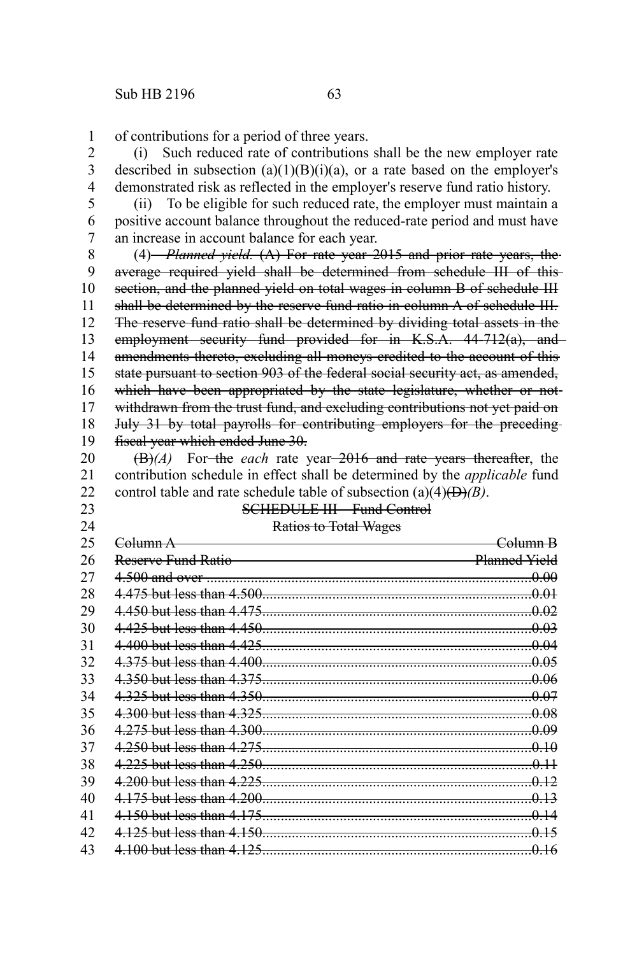of contributions for a period of three years. 1

(i) Such reduced rate of contributions shall be the new employer rate described in subsection  $(a)(1)(B)(i)(a)$ , or a rate based on the employer's demonstrated risk as reflected in the employer's reserve fund ratio history. 2 3 4

(ii) To be eligible for such reduced rate, the employer must maintain a positive account balance throughout the reduced-rate period and must have an increase in account balance for each year. 5 6 7

(4) *Planned yield.* (A) For rate year 2015 and prior rate years, the average required yield shall be determined from schedule III of this section, and the planned yield on total wages in column B of schedule III shall be determined by the reserve fund ratio in column A of schedule III. The reserve fund ratio shall be determined by dividing total assets in the employment security fund provided for in K.S.A. 44-712(a), and amendments thereto, excluding all moneys credited to the account of this state pursuant to section 903 of the federal social security act, as amended, which have been appropriated by the state legislature, whether or notwithdrawn from the trust fund, and excluding contributions not yet paid on July 31 by total payrolls for contributing employers for the preceding fiscal year which ended June 30. 8 9 10 11 12 13 14 15 16 17 18 19

(B)*(A)* For the *each* rate year 2016 and rate years thereafter, the contribution schedule in effect shall be determined by the *applicable* fund control table and rate schedule table of subsection (a)(4)(D)*(B)*. 20 21 22

- 23 24
- 

## SCHEDULE III—Fund Control Ratios to Total Wages

| 25 | <del>Column A</del> | <del>Column R</del> |
|----|---------------------|---------------------|
| 26 | Reserve Fund Ratio  | Planned Yield       |
| 27 |                     |                     |
| 28 |                     |                     |
| 29 |                     |                     |
| 30 |                     |                     |
| 31 |                     |                     |
| 32 |                     |                     |
| 33 |                     |                     |
| 34 |                     |                     |
| 35 |                     |                     |
| 36 |                     |                     |
| 37 |                     |                     |
| 38 |                     |                     |
| 39 |                     |                     |
| 40 |                     |                     |
| 41 |                     |                     |
| 42 |                     |                     |
| 43 |                     |                     |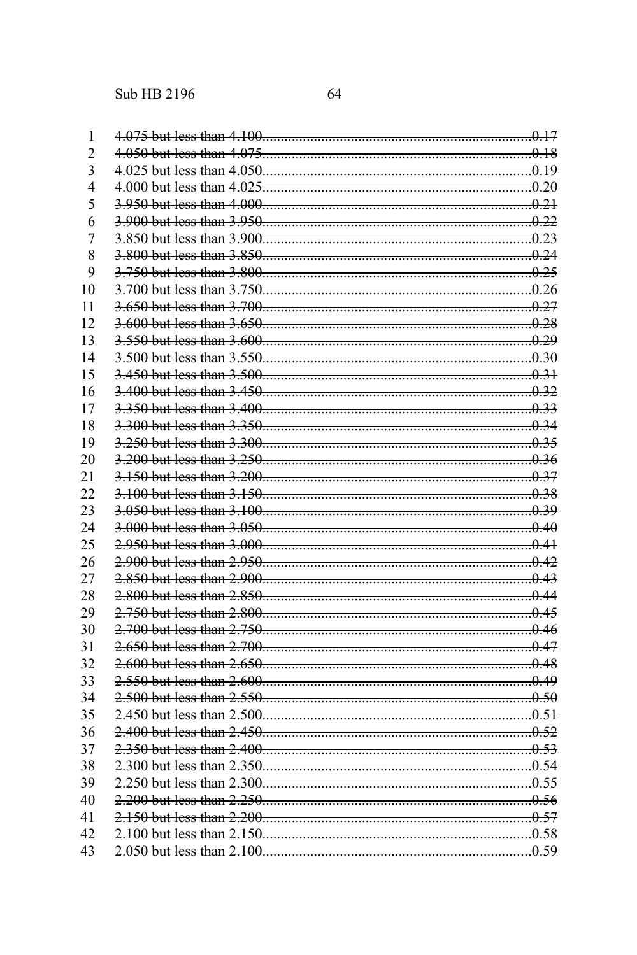| 1  |                            |      |
|----|----------------------------|------|
| 2  |                            | 0 18 |
| 3  |                            |      |
| 4  |                            |      |
| 5  |                            |      |
| 6  |                            |      |
| 7  |                            |      |
| 8  | 3.800 but less than 3.850. |      |
| 9  |                            |      |
| 10 |                            |      |
| 11 |                            |      |
| 12 |                            |      |
| 13 |                            |      |
| 14 |                            |      |
| 15 | 3.450 but less than 3.500. |      |
| 16 |                            |      |
| 17 |                            |      |
| 18 |                            |      |
| 19 |                            |      |
| 20 |                            |      |
| 21 |                            |      |
| 22 | 3.100 but less than 3.150. |      |
| 23 |                            |      |
| 24 |                            |      |
| 25 |                            |      |
| 26 |                            |      |
| 27 |                            |      |
| 28 |                            |      |
| 29 | 2.750 but less than 2.800. |      |
| 30 |                            |      |
| 31 |                            |      |
| 32 |                            |      |
| 33 |                            |      |
| 34 |                            |      |
| 35 |                            |      |
| 36 |                            |      |
| 37 |                            |      |
| 38 |                            |      |
| 39 |                            |      |
| 40 | 2.200 but less than 2.250  |      |
| 41 |                            |      |
| 42 |                            |      |
| 43 |                            |      |
|    |                            |      |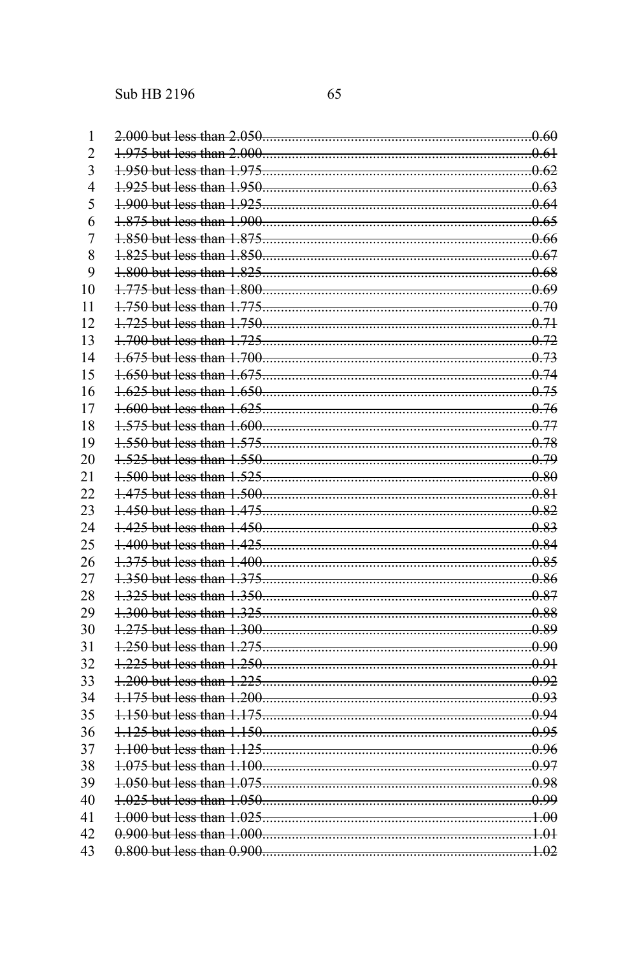| 1                        |                            |  |
|--------------------------|----------------------------|--|
| $\overline{2}$           |                            |  |
| 3                        |                            |  |
| $\overline{\mathcal{A}}$ |                            |  |
| 5                        |                            |  |
| 6                        |                            |  |
| $\overline{7}$           |                            |  |
| 8                        |                            |  |
| 9                        |                            |  |
| 10                       |                            |  |
| 11                       |                            |  |
| 12                       |                            |  |
| 13                       |                            |  |
| 14                       |                            |  |
| 15                       |                            |  |
| 16                       |                            |  |
| 17                       |                            |  |
| 18                       |                            |  |
| 19                       | 1.550 but less than 1.575. |  |
| 20                       |                            |  |
| 21                       |                            |  |
| 22                       |                            |  |
| 23                       |                            |  |
| 24                       |                            |  |
| 25                       |                            |  |
| 26                       |                            |  |
| 27                       |                            |  |
| 28                       |                            |  |
| 29                       |                            |  |
| 30                       |                            |  |
| 31                       |                            |  |
| 32                       |                            |  |
| 33                       |                            |  |
| 34                       |                            |  |
| 35                       |                            |  |
| 36                       |                            |  |
| 37                       |                            |  |
| 38                       |                            |  |
| 39                       |                            |  |
| 40                       |                            |  |
| 41                       |                            |  |
| 42                       |                            |  |
| 43                       |                            |  |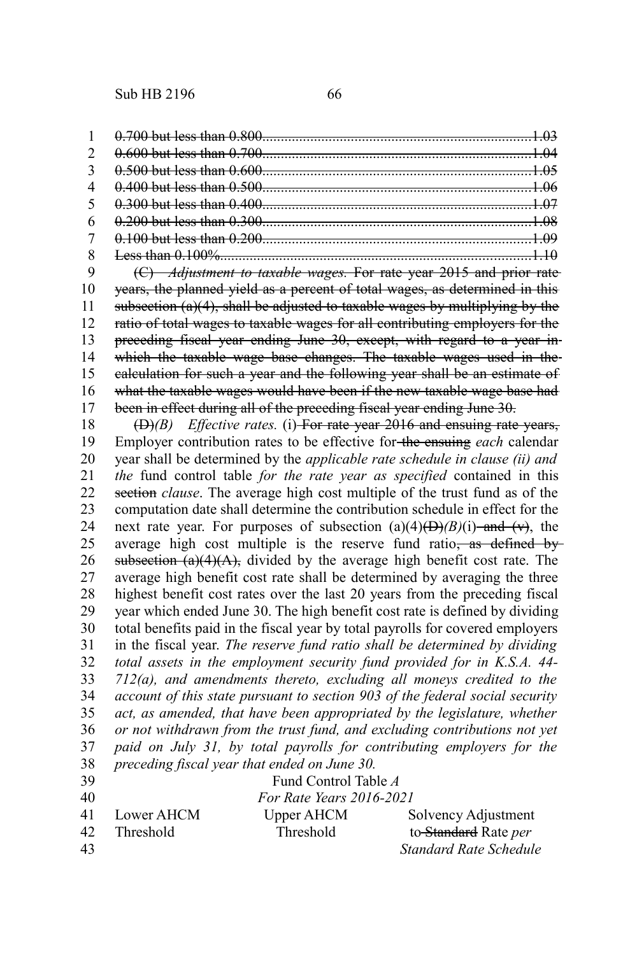| 3 |  |
|---|--|
|   |  |
| 5 |  |
| 6 |  |
|   |  |
|   |  |

(C) *Adjustment to taxable wages.* For rate year 2015 and prior rate years, the planned yield as a percent of total wages, as determined in this subsection  $(a)(4)$ , shall be adjusted to taxable wages by multiplying by the ratio of total wages to taxable wages for all contributing employers for the preceding fiscal year ending June 30, except, with regard to a year in which the taxable wage base changes. The taxable wages used in thecalculation for such a year and the following year shall be an estimate of what the taxable wages would have been if the new taxable wage base had been in effect during all of the preceding fiscal year ending June 30. 9 10 11 12 13 14 15 16 17

(D)*(B) Effective rates.* (i) For rate year 2016 and ensuing rate years, Employer contribution rates to be effective for the ensuing *each* calendar year shall be determined by the *applicable rate schedule in clause (ii) and the* fund control table *for the rate year as specified* contained in this section *clause*. The average high cost multiple of the trust fund as of the computation date shall determine the contribution schedule in effect for the next rate year. For purposes of subsection  $(a)(4)(D)(B)(i)$  and  $(v)$ , the average high cost multiple is the reserve fund ratio, as defined by subsection  $(a)(4)(A)$ , divided by the average high benefit cost rate. The average high benefit cost rate shall be determined by averaging the three highest benefit cost rates over the last 20 years from the preceding fiscal year which ended June 30. The high benefit cost rate is defined by dividing total benefits paid in the fiscal year by total payrolls for covered employers in the fiscal year. *The reserve fund ratio shall be determined by dividing total assets in the employment security fund provided for in K.S.A. 44- 712(a), and amendments thereto, excluding all moneys credited to the account of this state pursuant to section 903 of the federal social security act, as amended, that have been appropriated by the legislature, whether or not withdrawn from the trust fund, and excluding contributions not yet paid on July 31, by total payrolls for contributing employers for the preceding fiscal year that ended on June 30.* Fund Control Table *A For Rate Years 2016-2021* 18 19 20 21 22 23 24 25 26 27 28 29 30 31 32 33 34 35 36 37 38 39 40

| 41 | Lower AHCM | Upper AHCM | Solvency Adjustment         |
|----|------------|------------|-----------------------------|
| 42 | Threshold  | Threshold  | to Standard Rate <i>per</i> |
| 43 |            |            | Standard Rate Schedule      |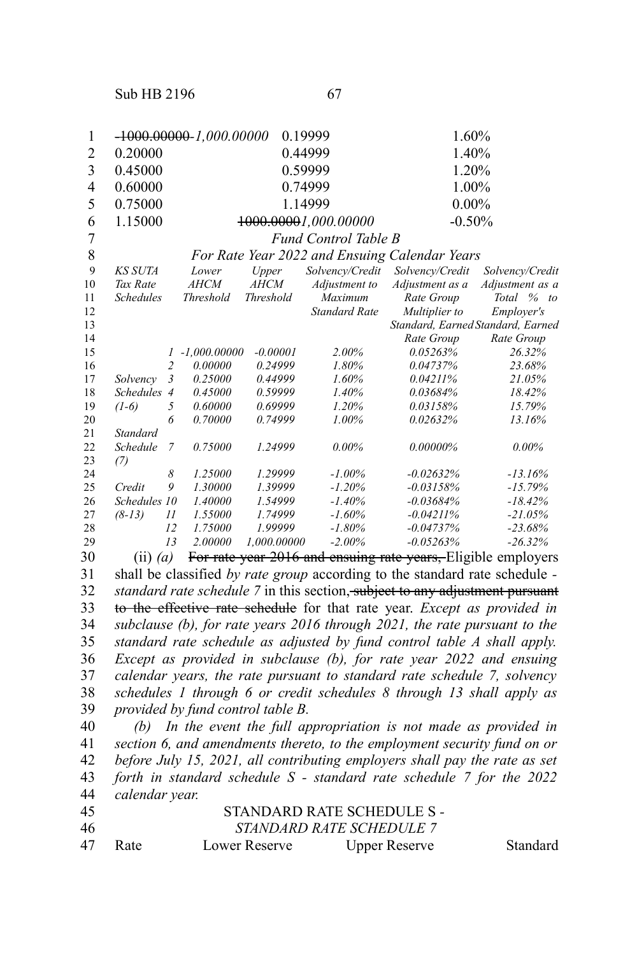| 1        |                  |                | <del>-1000.00000</del> -1,000.00000 |                        | 0.19999              | 1.60%                                         |                          |
|----------|------------------|----------------|-------------------------------------|------------------------|----------------------|-----------------------------------------------|--------------------------|
| 2        | 0.20000          |                |                                     |                        | 0.44999              | 1.40%                                         |                          |
| 3        | 0.45000          |                |                                     |                        | 0.59999              | 1.20%                                         |                          |
| 4        | 0.60000          |                |                                     |                        | 0.74999              | 1.00%                                         |                          |
| 5        | 0.75000          |                |                                     |                        | 1.14999              | $0.00\%$                                      |                          |
| 6        | 1.15000          |                |                                     |                        |                      | $-0.50\%$                                     |                          |
|          |                  |                |                                     |                        | 1000.00001,000.00000 |                                               |                          |
| 7        |                  |                |                                     |                        | Fund Control Table B |                                               |                          |
| 8        |                  |                |                                     |                        |                      | For Rate Year 2022 and Ensuing Calendar Years |                          |
| 9        | <b>KS SUTA</b>   |                | Lower                               | Upper                  | Solvency/Credit      | Solvency/Credit                               | Solvency/Credit          |
| 10       | Tax Rate         |                | <b>AHCM</b>                         | <b>AHCM</b>            | Adjustment to        | Adjustment as a                               | Adjustment as a          |
| 11       | <b>Schedules</b> |                | <b>Threshold</b>                    | <b>Threshold</b>       | Maximum              | Rate Group                                    | Total $%$ to             |
| 12       |                  |                |                                     |                        | <b>Standard Rate</b> | Multiplier to                                 | Employer's               |
| 13       |                  |                |                                     |                        |                      | Standard, Earned Standard, Earned             |                          |
| 14       |                  |                |                                     |                        |                      | Rate Group                                    | Rate Group               |
| 15       |                  |                | $-1,000.00000$                      | $-0.00001$             | 2.00%                | 0.05263%                                      | 26.32%                   |
| 16       |                  | $\overline{c}$ | 0.00000                             | 0.24999                | 1.80%                | 0.04737%                                      | 23.68%                   |
| 17       | Solvency         | $\mathfrak{Z}$ | 0.25000                             | 0.44999                | 1.60%                | $0.04211\%$                                   | 21.05%                   |
| 18       | <b>Schedules</b> | $\overline{4}$ | 0.45000                             | 0.59999                | 1.40%                | 0.03684%                                      | 18.42%                   |
| 19       | $(1-6)$          | 5              | 0.60000                             | 0.69999                | 1.20%                | 0.03158%                                      | 15.79%                   |
| 20       |                  | 6              | 0.70000                             | 0.74999                | $1.00\%$             | 0.02632%                                      | 13.16%                   |
| 21       | Standard         |                |                                     |                        |                      |                                               |                          |
| 22       | Schedule         | $\overline{7}$ | 0.75000                             | 1.24999                | $0.00\%$             | $0.00000\%$                                   | $0.00\%$                 |
| 23       | (7)              |                |                                     |                        |                      |                                               |                          |
| 24       |                  | 8              | 1.25000                             | 1.29999                | $-1.00\%$            | $-0.02632%$                                   | $-13.16%$                |
| 25       | Credit           | 9              | 1.30000                             | 1.39999                | $-1.20%$             | $-0.03158%$                                   | $-15.79%$                |
| 26       | Schedules 10     |                | 1.40000                             | 1.54999                | $-1.40%$             | $-0.03684%$                                   | $-18.42%$                |
| 27       | $(8-13)$         | 11             | 1.55000                             | 1.74999                | $-1.60%$             | $-0.04211\%$                                  | $-21.05%$                |
| 28       |                  | 12             | 1.75000                             | 1.99999                | $-1.80%$             | $-0.04737%$                                   | $-23.68%$                |
| 29       |                  | 13             | 2.00000                             | 1,000.00000            | $-2.00\%$            | $-0.05263%$                                   | $-26.32%$                |
| $\Omega$ | $(i)$ (a)        |                |                                     | For rota your 2016 and | $\alpha$ ncuing rota |                                               | xeora Fligible employera |

(ii) *(a)* For rate year 2016 and ensuing rate years, Eligible employers shall be classified *by rate group* according to the standard rate schedule *standard rate schedule* 7 in this section, subject to any adjustment pursuant to the effective rate schedule for that rate year. *Except as provided in subclause (b), for rate years 2016 through 2021, the rate pursuant to the standard rate schedule as adjusted by fund control table A shall apply. Except as provided in subclause (b), for rate year 2022 and ensuing calendar years, the rate pursuant to standard rate schedule 7, solvency schedules 1 through 6 or credit schedules 8 through 13 shall apply as provided by fund control table B.* 30 31 32 33 34 35 36 37 38 39

*(b) In the event the full appropriation is not made as provided in section 6, and amendments thereto, to the employment security fund on or before July 15, 2021, all contributing employers shall pay the rate as set forth in standard schedule S - standard rate schedule 7 for the 2022 calendar year.* 40 41 42 43 44

| 45 |      |               | STANDARD RATE SCHEDULE S - |          |
|----|------|---------------|----------------------------|----------|
| 46 |      |               | STANDARD RATE SCHEDULE 7   |          |
| 47 | Rate | Lower Reserve | <b>Upper Reserve</b>       | Standard |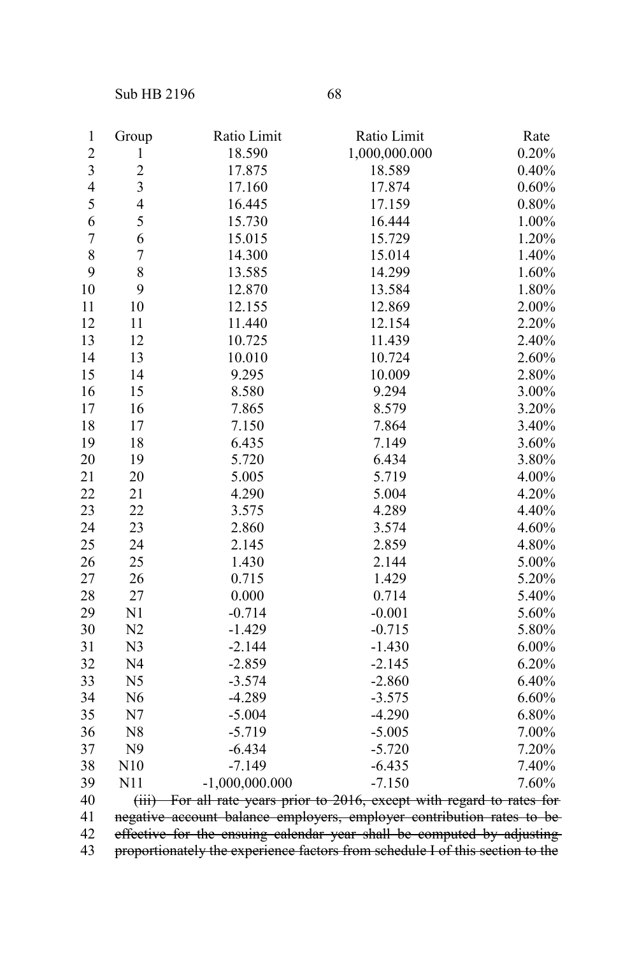Sub HB 2196 68

| $\mathbf{1}$            | Group          | Ratio Limit      | Ratio Limit                                                                   | Rate     |
|-------------------------|----------------|------------------|-------------------------------------------------------------------------------|----------|
| $\overline{c}$          | $\mathbf{1}$   | 18.590           | 1,000,000.000                                                                 | 0.20%    |
| $\overline{\mathbf{3}}$ | $\overline{c}$ | 17.875           | 18.589                                                                        | 0.40%    |
| $\overline{4}$          | 3              | 17.160           | 17.874                                                                        | 0.60%    |
| 5                       | $\overline{4}$ | 16.445           | 17.159                                                                        | 0.80%    |
| 6                       | 5              | 15.730           | 16.444                                                                        | 1.00%    |
| $\overline{7}$          | 6              | 15.015           | 15.729                                                                        | 1.20%    |
| 8                       | $\overline{7}$ | 14.300           | 15.014                                                                        | 1.40%    |
| 9                       | 8              | 13.585           | 14.299                                                                        | 1.60%    |
| 10                      | 9              | 12.870           | 13.584                                                                        | 1.80%    |
| 11                      | 10             | 12.155           | 12.869                                                                        | 2.00%    |
| 12                      | 11             | 11.440           | 12.154                                                                        | 2.20%    |
| 13                      | 12             | 10.725           | 11.439                                                                        | 2.40%    |
| 14                      | 13             | 10.010           | 10.724                                                                        | 2.60%    |
| 15                      | 14             | 9.295            | 10.009                                                                        | 2.80%    |
| 16                      | 15             | 8.580            | 9.294                                                                         | 3.00%    |
| 17                      | 16             | 7.865            | 8.579                                                                         | 3.20%    |
| 18                      | 17             | 7.150            | 7.864                                                                         | 3.40%    |
| 19                      | 18             | 6.435            | 7.149                                                                         | 3.60%    |
| 20                      | 19             | 5.720            | 6.434                                                                         | 3.80%    |
| 21                      | 20             | 5.005            | 5.719                                                                         | 4.00%    |
| 22                      | 21             | 4.290            | 5.004                                                                         | 4.20%    |
| 23                      | 22             | 3.575            | 4.289                                                                         | 4.40%    |
| 24                      | 23             | 2.860            | 3.574                                                                         | 4.60%    |
| 25                      | 24             | 2.145            | 2.859                                                                         | 4.80%    |
| 26                      | 25             | 1.430            | 2.144                                                                         | 5.00%    |
| 27                      | 26             | 0.715            | 1.429                                                                         | 5.20%    |
| 28                      | 27             | 0.000            | 0.714                                                                         | 5.40%    |
| 29                      | N1             | $-0.714$         | $-0.001$                                                                      | 5.60%    |
| 30                      | N2             | $-1.429$         | $-0.715$                                                                      | 5.80%    |
| 31                      | N <sub>3</sub> | $-2.144$         | $-1.430$                                                                      | $6.00\%$ |
| 32                      | N <sub>4</sub> | $-2.859$         | $-2.145$                                                                      | 6.20%    |
| 33                      | N <sub>5</sub> | $-3.574$         | $-2.860$                                                                      | 6.40%    |
| 34                      | N <sub>6</sub> | $-4.289$         | $-3.575$                                                                      | 6.60%    |
| 35                      | N7             | $-5.004$         | $-4.290$                                                                      | 6.80%    |
| 36                      | N <sub>8</sub> | $-5.719$         | $-5.005$                                                                      | 7.00%    |
| 37                      | N <sub>9</sub> | $-6.434$         | $-5.720$                                                                      | 7.20%    |
| 38                      | N10            | $-7.149$         | $-6.435$                                                                      | 7.40%    |
| 39                      | N11            | $-1,000,000.000$ | $-7.150$                                                                      | 7.60%    |
| 40                      |                |                  | (iii) For all rate years prior to 2016, except with regard to rates for       |          |
| 41                      |                |                  | negative account balance employers, employer contribution rates to be         |          |
| 42                      |                |                  | effective for the ensuing calendar year shall be computed by adjusting        |          |
| 43                      |                |                  | proportionately the experience factors from schedule I of this section to the |          |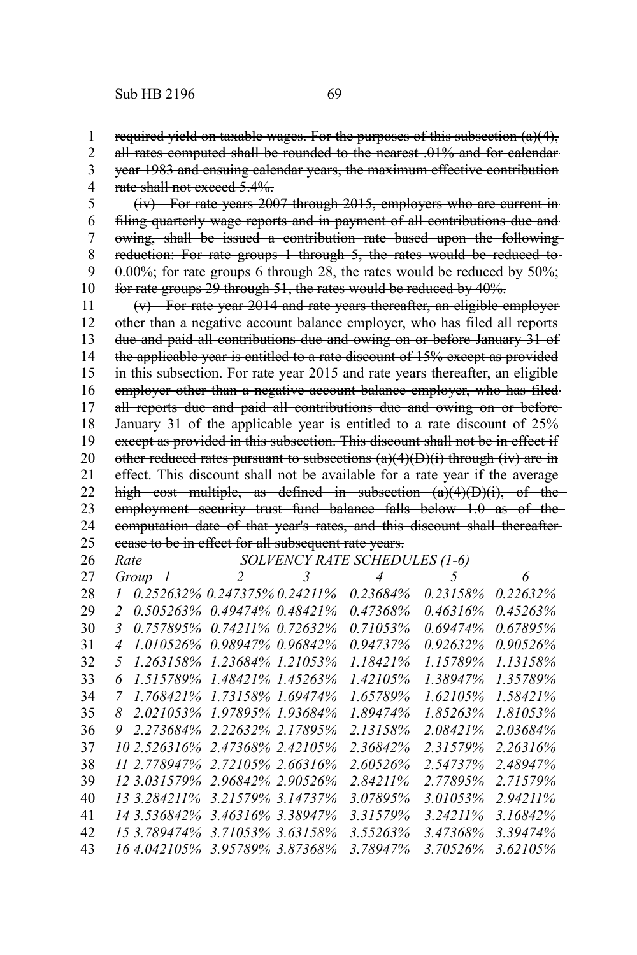required yield on taxable wages. For the purposes of this subsection (a)(4), 

all rates computed shall be rounded to the nearest .01% and for calendar 

year 1983 and ensuing calendar years, the maximum effective contribution rate shall not exceed 5.4%. 

(iv) For rate years 2007 through 2015, employers who are current in filing quarterly wage reports and in payment of all contributions due and owing, shall be issued a contribution rate based upon the following reduction: For rate groups 1 through 5, the rates would be reduced to-0.00%; for rate groups 6 through 28, the rates would be reduced by 50%; for rate groups 29 through 51, the rates would be reduced by 40%. 

(v) For rate year 2014 and rate years thereafter, an eligible employer other than a negative account balance employer, who has filed all reports due and paid all contributions due and owing on or before January 31 of the applicable year is entitled to a rate discount of 15% except as provided in this subsection. For rate year 2015 and rate years thereafter, an eligible employer other than a negative account balance employer, who has filed all reports due and paid all contributions due and owing on or before January 31 of the applicable year is entitled to a rate discount of 25% except as provided in this subsection. This discount shall not be in effect if other reduced rates pursuant to subsections  $(a)(4)(D)(i)$  through (iv) are in effect. This discount shall not be available for a rate year if the average high cost multiple, as defined in subsection (a)(4)(D)(i), of the employment security trust fund balance falls below 1.0 as of the computation date of that year's rates, and this discount shall thereafter cease to be in effect for all subsequent rate years. 

## *Rate SOLVENCY RATE SCHEDULES (1-6)*

| 27 | Group $1$ $2$ $3$ $4$ $5$         |                                       |             |                       | 6                       |
|----|-----------------------------------|---------------------------------------|-------------|-----------------------|-------------------------|
| 28 | L                                 | $0.252632\%$ $0.247375\%$ $0.24211\%$ | 0.23684%    |                       | $0.23158\%$ $0.22632\%$ |
| 29 | 2 0.505263% 0.49474% 0.48421%     |                                       | 0.47368%    | $0.46316\%$           | 0.45263%                |
| 30 | 3 0.757895% 0.74211% 0.72632%     |                                       | 0.71053%    | $0.69474\%$           | 0.67895%                |
| 31 | 4 1.010526% 0.98947% 0.96842%     |                                       | 0.94737%    |                       | $0.92632\%$ $0.90526\%$ |
| 32 | 5 1.263158% 1.23684% 1.21053%     |                                       | 1.18421%    | 1.15789%              | 1.13158%                |
| 33 | 6 1.515789% 1.48421% 1.45263%     |                                       | 1.42105%    | 1.38947%              | 1.35789%                |
| 34 | 7 1.768421% 1.73158% 1.69474%     |                                       | 1.65789%    |                       | $1.62105\%$ $1.58421\%$ |
| 35 | 8 2.021053% 1.97895% 1.93684%     |                                       | 1.89474%    |                       | 1.85263% 1.81053%       |
| 36 | 9 2.273684% 2.22632% 2.17895%     |                                       | 2.13158%    | $2.08421\%$ 2.03684\% |                         |
| 37 | 10 2.526316% 2.47368% 2.42105%    |                                       | 2.36842%    | $2.31579\%$           | 2.26316%                |
| 38 | 11 2.778947% 2.72105% 2.66316%    |                                       | 2.60526%    | 2.54737%              | 2.48947%                |
| 39 | 12 3.031579% 2.96842% 2.90526%    |                                       | $2.84211\%$ | 2.77895%              | 2.71579%                |
| 40 | 13 3.284211% 3.21579% 3.14737%    |                                       | 3.07895%    | 3.01053%              | 2.94211%                |
| 41 | 14 3.536842\% 3.46316\% 3.38947\% |                                       | 3.31579%    | $3.24211\%$           | 3.16842%                |
| 42 | 15 3.789474% 3.71053% 3.63158%    |                                       | 3.55263%    | 3.47368%              | 3.39474%                |
| 43 | 16 4.042105% 3.95789% 3.87368%    |                                       | 3.78947%    |                       | 3.70526\% 3.62105\%     |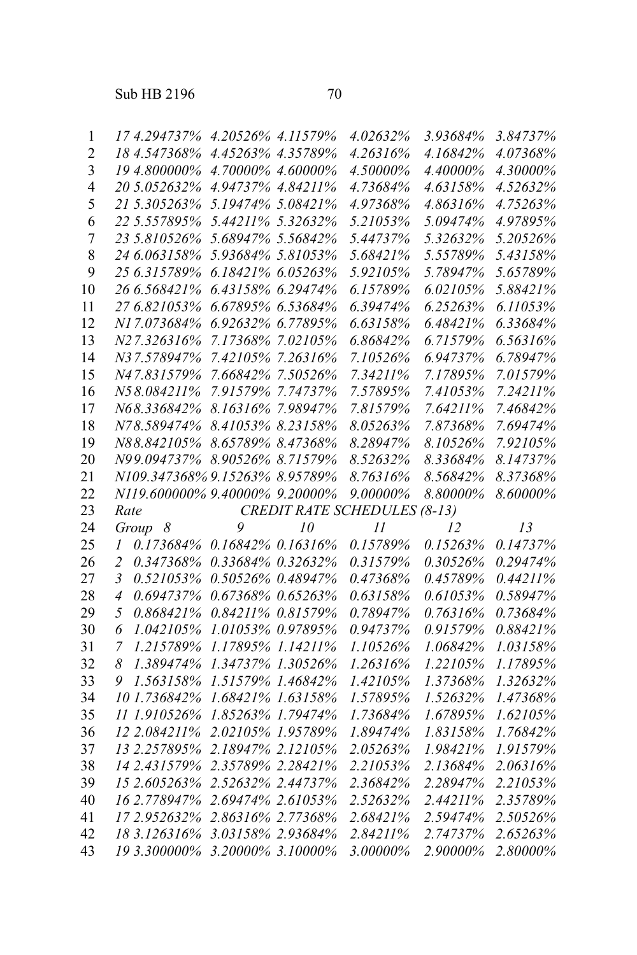| 1              | 17 4.294737%                | 4.20526% 4.11579%                   | 4.02632% | 3.93684% | 3.84737% |
|----------------|-----------------------------|-------------------------------------|----------|----------|----------|
| $\overline{2}$ | 18 4.547368%                | 4.45263% 4.35789%                   | 4.26316% | 4.16842% | 4.07368% |
| $\overline{3}$ | 19 4.800000%                | 4.70000% 4.60000%                   | 4.50000% | 4.40000% | 4.30000% |
| $\overline{4}$ | 20 5.052632%                | 4.94737% 4.84211%                   | 4.73684% | 4.63158% | 4.52632% |
| 5              | 21 5.305263%                | 5.19474% 5.08421%                   | 4.97368% | 4.86316% | 4.75263% |
| 6              | 22 5.557895%                | 5.44211% 5.32632%                   | 5.21053% | 5.09474% | 4.97895% |
| $\overline{7}$ | 23 5.810526%                | 5.68947% 5.56842%                   | 5.44737% | 5.32632% | 5.20526% |
| 8              | 24 6.063158%                | 5.93684% 5.81053%                   | 5.68421% | 5.55789% | 5.43158% |
| 9              | 25 6.315789%                | 6.18421% 6.05263%                   | 5.92105% | 5.78947% | 5.65789% |
| 10             | 26 6.568421%                | 6.43158% 6.29474%                   | 6.15789% | 6.02105% | 5.88421% |
| 11             | 27 6.821053%                | 6.67895% 6.53684%                   | 6.39474% | 6.25263% | 6.11053% |
| 12             | N17.073684%                 | 6.92632% 6.77895%                   | 6.63158% | 6.48421% | 6.33684% |
| 13             | N27.326316%                 | 7.17368% 7.02105%                   | 6.86842% | 6.71579% | 6.56316% |
| 14             | N37.578947%                 | 7.42105% 7.26316%                   | 7.10526% | 6.94737% | 6.78947% |
| 15             | N47.831579%                 | 7.66842% 7.50526%                   | 7.34211% | 7.17895% | 7.01579% |
| 16             | N58.084211%                 | 7.91579% 7.74737%                   | 7.57895% | 7.41053% | 7.24211% |
| 17             |                             | N68.336842% 8.16316% 7.98947%       | 7.81579% | 7.64211% | 7.46842% |
| 18             |                             | N78.589474% 8.41053% 8.23158%       | 8.05263% | 7.87368% | 7.69474% |
| 19             |                             | N88.842105% 8.65789% 8.47368%       | 8.28947% | 8.10526% | 7.92105% |
| 20             |                             | N99.094737% 8.90526% 8.71579%       | 8.52632% | 8.33684% | 8.14737% |
| 21             |                             | N109.347368% 9.15263% 8.95789%      | 8.76316% | 8.56842% | 8.37368% |
| 22             |                             | N119.600000% 9.40000% 9.20000%      | 9.00000% | 8.80000% | 8.60000% |
| 23             | Rate                        | <b>CREDIT RATE SCHEDULES (8-13)</b> |          |          |          |
| 24             | Group 8                     | 9<br>10                             | II       | 12       | 13       |
| 25             | 0.173684%<br>1              | 0.16842% 0.16316%                   | 0.15789% | 0.15263% | 0.14737% |
| 26             | $\overline{c}$<br>0.347368% | 0.33684% 0.32632%                   | 0.31579% | 0.30526% | 0.29474% |
| 27             | 3<br>0.521053%              | 0.50526% 0.48947%                   | 0.47368% | 0.45789% | 0.44211% |
| 28             | $\overline{4}$<br>0.694737% | 0.67368% 0.65263%                   | 0.63158% | 0.61053% | 0.58947% |
| 29             | 5<br>0.868421%              | 0.84211% 0.81579%                   | 0.78947% | 0.76316% | 0.73684% |
| 30             | 1.042105%<br>6              | 1.01053% 0.97895%                   | 0.94737% | 0.91579% | 0.88421% |
| 31             | 1.215789%<br>7              | 1.17895% 1.14211%                   | 1.10526% | 1.06842% | 1.03158% |
| 32             | 8<br>1.389474%              | 1.34737% 1.30526%                   | 1.26316% | 1.22105% | 1.17895% |
| 33             | 1.563158%<br>9              | 1.51579% 1.46842%                   | 1.42105% | 1.37368% | 1.32632% |
| 34             | 101.736842%                 | 1.68421% 1.63158%                   | 1.57895% | 1.52632% | 1.47368% |
| 35             | 11 1.910526%                | 1.85263% 1.79474%                   | 1.73684% | 1.67895% | 1.62105% |
| 36             | 12 2.084211%                | 2.02105% 1.95789%                   | 1.89474% | 1.83158% | 1.76842% |
| 37             |                             | 13 2.257895% 2.18947% 2.12105%      | 2.05263% | 1.98421% | 1.91579% |
| 38             |                             | 14 2.431579% 2.35789% 2.28421%      | 2.21053% | 2.13684% | 2.06316% |
| 39             |                             | 15 2.605263% 2.52632% 2.44737%      | 2.36842% | 2.28947% | 2.21053% |
| 40             |                             | 16 2.778947% 2.69474% 2.61053%      | 2.52632% | 2.44211% | 2.35789% |
| 41             |                             | 17 2.952632% 2.86316% 2.77368%      | 2.68421% | 2.59474% | 2.50526% |
| 42             |                             | 18 3.126316% 3.03158% 2.93684%      | 2.84211% | 2.74737% | 2.65263% |
| 43             | 19 3.300000%                | 3.20000% 3.10000%                   | 3.00000% | 2.90000% | 2.80000% |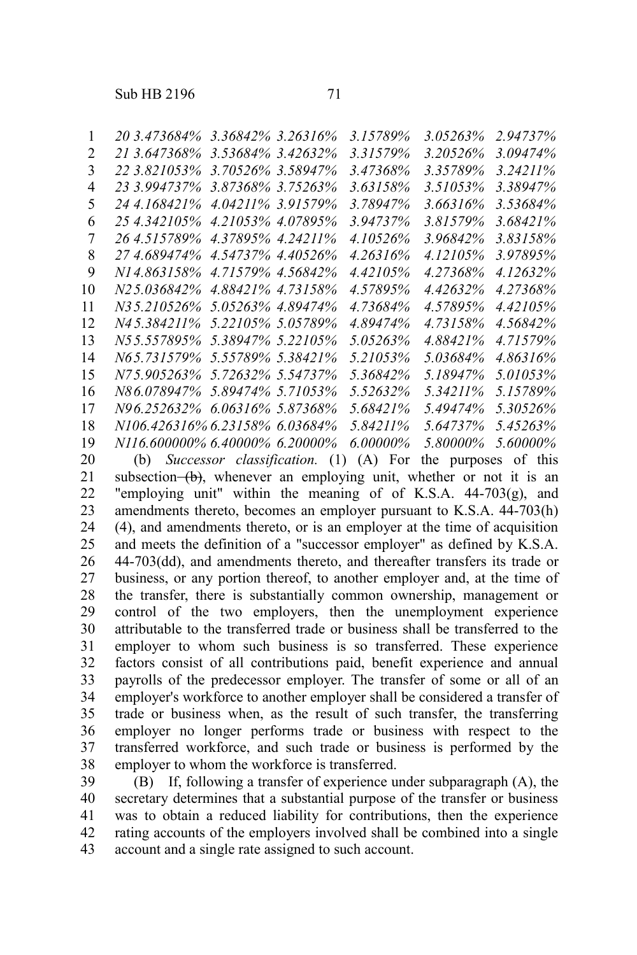| 1  | 20 3.473684%                                                           |                     | 3.36842\% 3.26316\%           | 3.15789%    | 3.05263%             | 2.94737%            |
|----|------------------------------------------------------------------------|---------------------|-------------------------------|-------------|----------------------|---------------------|
| 2  | 21 3.647368%                                                           |                     | 3.53684% 3.42632%             | 3.31579%    | 3.20526%             | 3.09474%            |
| 3  | 22 3.821053%                                                           |                     | 3.70526% 3.58947%             | 3.47368%    | 3.35789%             | 3.24211%            |
| 4  | 23 3.994737%                                                           |                     | 3.87368% 3.75263%             | 3.63158%    | 3.51053%             | 3.38947%            |
| 5  | 24 4.168421%                                                           |                     | 4.04211\% 3.91579\%           | 3.78947%    | 3.66316%             | 3.53684%            |
| 6  | 25 4.342105%                                                           |                     | 4.21053\% 4.07895\%           | 3.94737%    | 3.81579%             | 3.68421%            |
| 7  | 26 4.515789%                                                           |                     | 4.37895% 4.24211%             | 4.10526%    | 3.96842%             | 3.83158%            |
| 8  | 27 4.689474%                                                           |                     | 4.54737% 4.40526%             | 4.26316%    | 4.12105%             | 3.97895%            |
| 9  | N14.863158%                                                            |                     | 4.71579% 4.56842%             | 4.42105%    | 4.27368%             | 4.12632%            |
| 10 | N <sub>2</sub> 5.036842%                                               |                     | 4.88421\% 4.73158\%           | 4.57895%    | 4.42632%             | 4.27368%            |
| 11 | N35.210526%                                                            |                     | 5.05263\% 4.89474\%           | 4.73684%    | 4.57895%             | 4.42105%            |
| 12 | N45.384211%                                                            |                     | 5.22105\% 5.05789\%           | 4.89474%    | 4.73158%             | 4.56842%            |
| 13 | N55.557895%                                                            |                     | 5.38947% 5.22105%             | 5.05263%    | 4.88421%             | 4.71579%            |
| 14 | N65.731579%                                                            |                     | 5.55789% 5.38421%             | 5.21053%    | 5.03684%             | 4.86316%            |
| 15 | N75.905263%                                                            | 5.72632\% 5.54737\% |                               | 5.36842%    | 5.18947%             | 5.01053%            |
| 16 | N86.078947%                                                            | 5.89474% 5.71053%   |                               | 5.52632%    | 5.34211\%            | 5.15789%            |
| 17 | N96.252632% 6.06316% 5.87368%                                          |                     |                               | 5.68421%    | 5.49474%             | 5.30526%            |
| 18 | N106.426316% 6.23158% 6.03684%                                         |                     |                               | 5.84211\%   | 5.64737%             | 5.45263%            |
| 19 | N <sub>116.600000%</sub> 6.40000% 6.20000%                             |                     |                               | $6.00000\%$ |                      | 5.80000\% 5.60000\% |
| 20 | (b)                                                                    |                     | Successor classification. (1) | $(A)$ For   | the purposes of this |                     |
| 21 | subsection $(b)$ , whenever an employing unit, whether or not it is an |                     |                               |             |                      |                     |
| 22 | "employing unit" within the meaning of of K.S.A. 44-703(g), and        |                     |                               |             |                      |                     |
| 23 | amendments thereto, becomes an employer pursuant to K.S.A. 44-703(h)   |                     |                               |             |                      |                     |

(4), and amendments thereto, or is an employer at the time of acquisition and meets the definition of a "successor employer" as defined by K.S.A. 44-703(dd), and amendments thereto, and thereafter transfers its trade or business, or any portion thereof, to another employer and, at the time of the transfer, there is substantially common ownership, management or control of the two employers, then the unemployment experience attributable to the transferred trade or business shall be transferred to the employer to whom such business is so transferred. These experience factors consist of all contributions paid, benefit experience and annual payrolls of the predecessor employer. The transfer of some or all of an employer's workforce to another employer shall be considered a transfer of trade or business when, as the result of such transfer, the transferring employer no longer performs trade or business with respect to the transferred workforce, and such trade or business is performed by the employer to whom the workforce is transferred. 24 25 26 27 28 29 30 31 32 33 34 35 36 37 38

(B) If, following a transfer of experience under subparagraph (A), the secretary determines that a substantial purpose of the transfer or business was to obtain a reduced liability for contributions, then the experience rating accounts of the employers involved shall be combined into a single account and a single rate assigned to such account. 39 40 41 42 43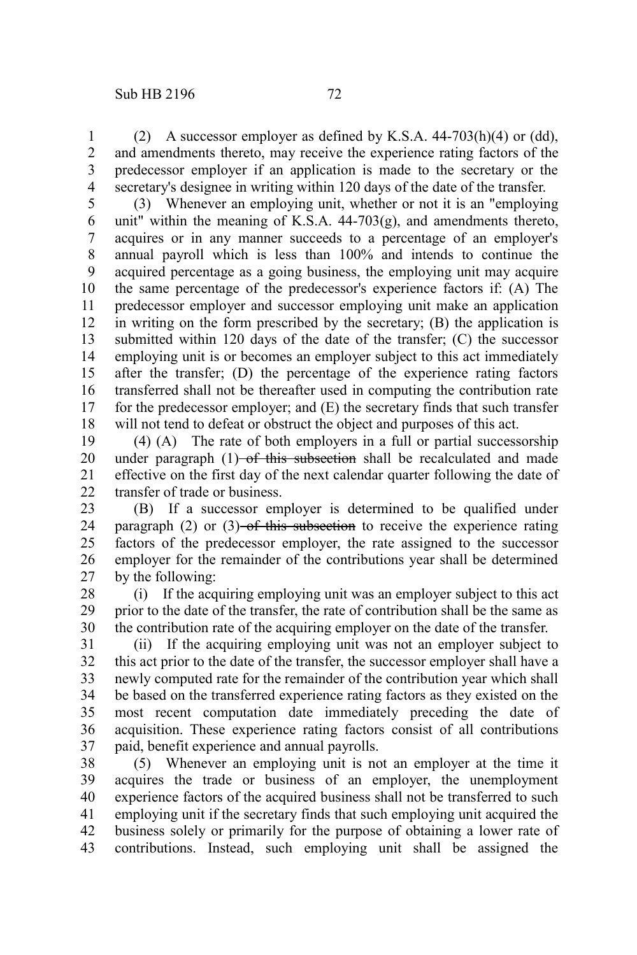(2) A successor employer as defined by K.S.A.  $44-703(h)(4)$  or (dd), and amendments thereto, may receive the experience rating factors of the predecessor employer if an application is made to the secretary or the secretary's designee in writing within 120 days of the date of the transfer. 1 2 3 4

(3) Whenever an employing unit, whether or not it is an "employing unit" within the meaning of K.S.A. 44-703(g), and amendments thereto, acquires or in any manner succeeds to a percentage of an employer's annual payroll which is less than 100% and intends to continue the acquired percentage as a going business, the employing unit may acquire the same percentage of the predecessor's experience factors if: (A) The predecessor employer and successor employing unit make an application in writing on the form prescribed by the secretary; (B) the application is submitted within 120 days of the date of the transfer; (C) the successor employing unit is or becomes an employer subject to this act immediately after the transfer; (D) the percentage of the experience rating factors transferred shall not be thereafter used in computing the contribution rate for the predecessor employer; and (E) the secretary finds that such transfer will not tend to defeat or obstruct the object and purposes of this act. 5 6 7 8 9 10 11 12 13 14 15 16 17 18

(4) (A) The rate of both employers in a full or partial successorship under paragraph  $(1)$ -of this subsection shall be recalculated and made effective on the first day of the next calendar quarter following the date of transfer of trade or business. 19 20 21 22

(B) If a successor employer is determined to be qualified under paragraph  $(2)$  or  $(3)$ -of this subsection to receive the experience rating factors of the predecessor employer, the rate assigned to the successor employer for the remainder of the contributions year shall be determined by the following: 23 24 25 26 27

(i) If the acquiring employing unit was an employer subject to this act prior to the date of the transfer, the rate of contribution shall be the same as the contribution rate of the acquiring employer on the date of the transfer. 28 29 30

(ii) If the acquiring employing unit was not an employer subject to this act prior to the date of the transfer, the successor employer shall have a newly computed rate for the remainder of the contribution year which shall be based on the transferred experience rating factors as they existed on the most recent computation date immediately preceding the date of acquisition. These experience rating factors consist of all contributions paid, benefit experience and annual payrolls. 31 32 33 34 35 36 37

(5) Whenever an employing unit is not an employer at the time it acquires the trade or business of an employer, the unemployment experience factors of the acquired business shall not be transferred to such employing unit if the secretary finds that such employing unit acquired the business solely or primarily for the purpose of obtaining a lower rate of contributions. Instead, such employing unit shall be assigned the 38 39 40 41 42 43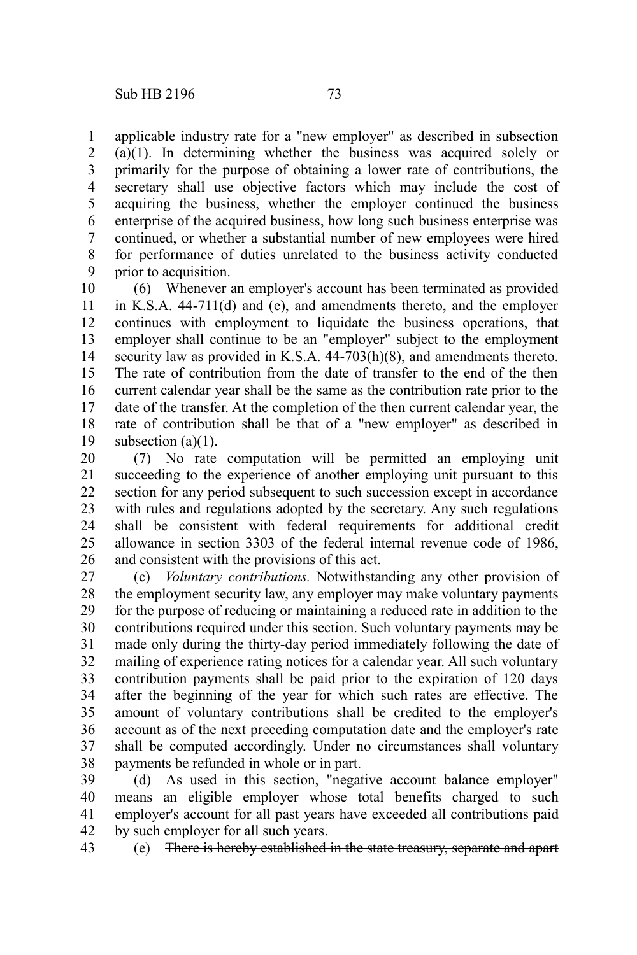applicable industry rate for a "new employer" as described in subsection (a)(1). In determining whether the business was acquired solely or primarily for the purpose of obtaining a lower rate of contributions, the secretary shall use objective factors which may include the cost of acquiring the business, whether the employer continued the business enterprise of the acquired business, how long such business enterprise was continued, or whether a substantial number of new employees were hired for performance of duties unrelated to the business activity conducted prior to acquisition. 1 2 3 4 5 6 7 8 9

(6) Whenever an employer's account has been terminated as provided in K.S.A. 44-711(d) and (e), and amendments thereto, and the employer continues with employment to liquidate the business operations, that employer shall continue to be an "employer" subject to the employment security law as provided in K.S.A. 44-703(h)(8), and amendments thereto. The rate of contribution from the date of transfer to the end of the then current calendar year shall be the same as the contribution rate prior to the date of the transfer. At the completion of the then current calendar year, the rate of contribution shall be that of a "new employer" as described in subsection (a)(1). 10 11 12 13 14 15 16 17 18 19

(7) No rate computation will be permitted an employing unit succeeding to the experience of another employing unit pursuant to this section for any period subsequent to such succession except in accordance with rules and regulations adopted by the secretary. Any such regulations shall be consistent with federal requirements for additional credit allowance in section 3303 of the federal internal revenue code of 1986, and consistent with the provisions of this act. 20 21 22 23 24 25 26

(c) *Voluntary contributions.* Notwithstanding any other provision of the employment security law, any employer may make voluntary payments for the purpose of reducing or maintaining a reduced rate in addition to the contributions required under this section. Such voluntary payments may be made only during the thirty-day period immediately following the date of mailing of experience rating notices for a calendar year. All such voluntary contribution payments shall be paid prior to the expiration of 120 days after the beginning of the year for which such rates are effective. The amount of voluntary contributions shall be credited to the employer's account as of the next preceding computation date and the employer's rate shall be computed accordingly. Under no circumstances shall voluntary payments be refunded in whole or in part. 27 28 29 30 31 32 33 34 35 36 37 38

(d) As used in this section, "negative account balance employer" means an eligible employer whose total benefits charged to such employer's account for all past years have exceeded all contributions paid by such employer for all such years. 39 40 41 42

(e) There is hereby established in the state treasury, separate and apart 43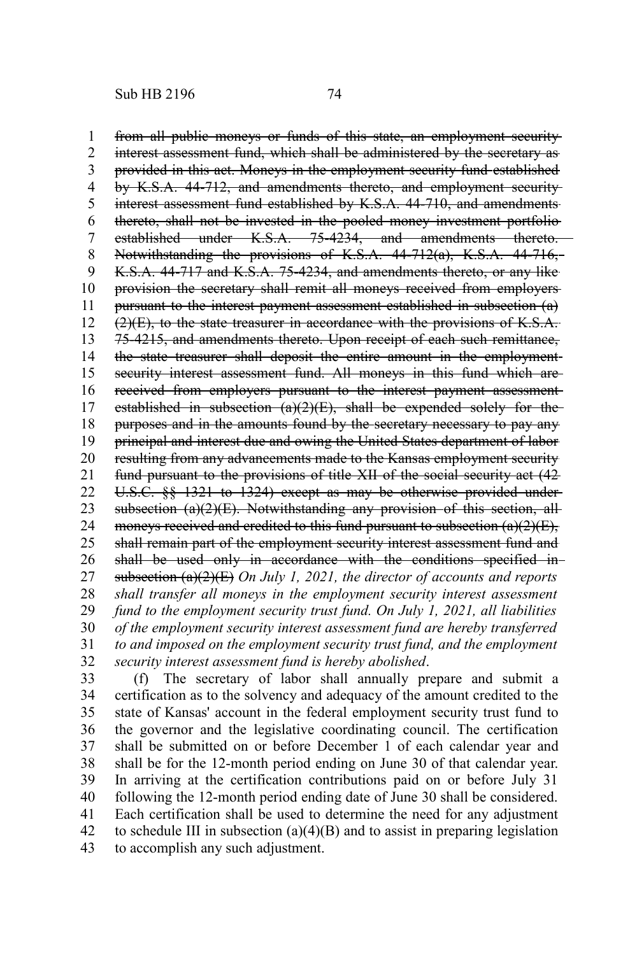from all public moneys or funds of this state, an employment security interest assessment fund, which shall be administered by the secretary as provided in this act. Moneys in the employment security fund established by K.S.A. 44-712, and amendments thereto, and employment security interest assessment fund established by K.S.A. 44-710, and amendments thereto, shall not be invested in the pooled money investment portfolio established under K.S.A. 75-4234, and amendments thereto. Notwithstanding the provisions of K.S.A. 44-712(a), K.S.A. 44-716, K.S.A. 44-717 and K.S.A. 75-4234, and amendments thereto, or any like provision the secretary shall remit all moneys received from employers pursuant to the interest payment assessment established in subsection (a)  $(2)(E)$ , to the state treasurer in accordance with the provisions of K.S.A. 75-4215, and amendments thereto. Upon receipt of each such remittance, the state treasurer shall deposit the entire amount in the employment security interest assessment fund. All moneys in this fund which arereceived from employers pursuant to the interest payment assessment established in subsection  $(a)(2)(E)$ , shall be expended solely for the purposes and in the amounts found by the secretary necessary to pay any principal and interest due and owing the United States department of labor resulting from any advancements made to the Kansas employment security fund pursuant to the provisions of title XII of the social security act (42 U.S.C. §§ 1321 to 1324) except as may be otherwise provided under subsection (a)(2)(E). Notwithstanding any provision of this section, allmoneys received and credited to this fund pursuant to subsection  $(a)(2)(E)$ , shall remain part of the employment security interest assessment fund and shall be used only in accordance with the conditions specified insubsection (a)(2)(E) *On July 1, 2021, the director of accounts and reports shall transfer all moneys in the employment security interest assessment fund to the employment security trust fund. On July 1, 2021, all liabilities of the employment security interest assessment fund are hereby transferred to and imposed on the employment security trust fund, and the employment security interest assessment fund is hereby abolished*. 1 2 3 4 5 6 7 8 9 10 11 12 13 14 15 16 17 18 19 20 21 22 23 24 25 26 27 28 29 30 31 32

(f) The secretary of labor shall annually prepare and submit a certification as to the solvency and adequacy of the amount credited to the state of Kansas' account in the federal employment security trust fund to the governor and the legislative coordinating council. The certification shall be submitted on or before December 1 of each calendar year and shall be for the 12-month period ending on June 30 of that calendar year. In arriving at the certification contributions paid on or before July 31 following the 12-month period ending date of June 30 shall be considered. Each certification shall be used to determine the need for any adjustment to schedule III in subsection  $(a)(4)(B)$  and to assist in preparing legislation to accomplish any such adjustment. 33 34 35 36 37 38 39 40 41 42 43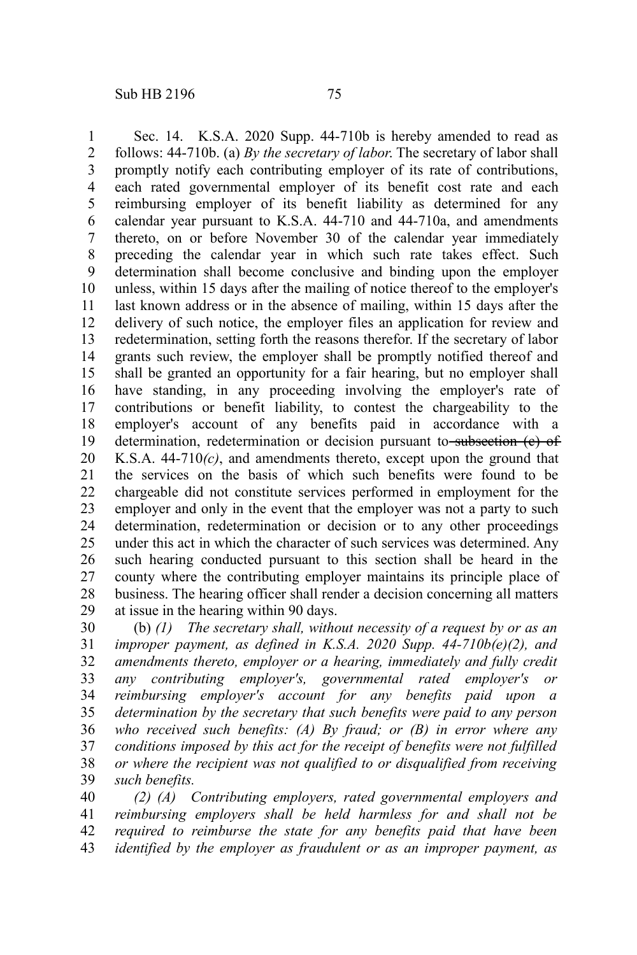Sec. 14. K.S.A. 2020 Supp. 44-710b is hereby amended to read as follows: 44-710b. (a) *By the secretary of labor*. The secretary of labor shall promptly notify each contributing employer of its rate of contributions, each rated governmental employer of its benefit cost rate and each reimbursing employer of its benefit liability as determined for any calendar year pursuant to K.S.A. 44-710 and 44-710a, and amendments thereto, on or before November 30 of the calendar year immediately preceding the calendar year in which such rate takes effect. Such determination shall become conclusive and binding upon the employer unless, within 15 days after the mailing of notice thereof to the employer's last known address or in the absence of mailing, within 15 days after the delivery of such notice, the employer files an application for review and redetermination, setting forth the reasons therefor. If the secretary of labor grants such review, the employer shall be promptly notified thereof and shall be granted an opportunity for a fair hearing, but no employer shall have standing, in any proceeding involving the employer's rate of contributions or benefit liability, to contest the chargeability to the employer's account of any benefits paid in accordance with a determination, redetermination or decision pursuant to subsection (c) of K.S.A. 44-710*(c)*, and amendments thereto, except upon the ground that the services on the basis of which such benefits were found to be chargeable did not constitute services performed in employment for the employer and only in the event that the employer was not a party to such determination, redetermination or decision or to any other proceedings under this act in which the character of such services was determined. Any such hearing conducted pursuant to this section shall be heard in the county where the contributing employer maintains its principle place of business. The hearing officer shall render a decision concerning all matters at issue in the hearing within 90 days. 1 2 3 4 5 6 7 8 9 10 11 12 13 14 15 16 17 18 19 20 21 22 23 24 25 26 27 28 29

(b) *(1) The secretary shall, without necessity of a request by or as an improper payment, as defined in K.S.A. 2020 Supp. 44-710b(e)(2), and amendments thereto, employer or a hearing, immediately and fully credit any contributing employer's, governmental rated employer's or reimbursing employer's account for any benefits paid upon a determination by the secretary that such benefits were paid to any person who received such benefits: (A) By fraud; or (B) in error where any conditions imposed by this act for the receipt of benefits were not fulfilled or where the recipient was not qualified to or disqualified from receiving such benefits.* 30 31 32 33 34 35 36 37 38 39

*(2) (A) Contributing employers, rated governmental employers and reimbursing employers shall be held harmless for and shall not be required to reimburse the state for any benefits paid that have been identified by the employer as fraudulent or as an improper payment, as* 40 41 42 43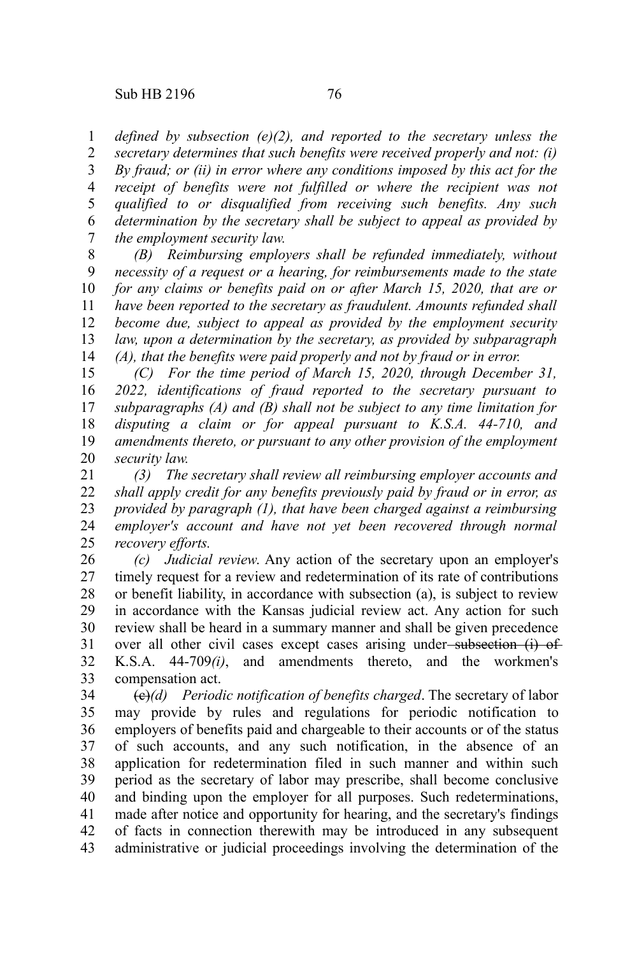*defined by subsection (e)(2), and reported to the secretary unless the secretary determines that such benefits were received properly and not: (i) By fraud; or (ii) in error where any conditions imposed by this act for the receipt of benefits were not fulfilled or where the recipient was not qualified to or disqualified from receiving such benefits. Any such determination by the secretary shall be subject to appeal as provided by the employment security law.* 1 2 3 4 5 6 7

*(B) Reimbursing employers shall be refunded immediately, without necessity of a request or a hearing, for reimbursements made to the state for any claims or benefits paid on or after March 15, 2020, that are or have been reported to the secretary as fraudulent. Amounts refunded shall become due, subject to appeal as provided by the employment security law, upon a determination by the secretary, as provided by subparagraph (A), that the benefits were paid properly and not by fraud or in error.* 8 9 10 11 12 13 14

*(C) For the time period of March 15, 2020, through December 31, 2022, identifications of fraud reported to the secretary pursuant to subparagraphs (A) and (B) shall not be subject to any time limitation for disputing a claim or for appeal pursuant to K.S.A. 44-710, and amendments thereto, or pursuant to any other provision of the employment security law.* 15 16 17 18 19 20

*(3) The secretary shall review all reimbursing employer accounts and shall apply credit for any benefits previously paid by fraud or in error, as provided by paragraph (1), that have been charged against a reimbursing employer's account and have not yet been recovered through normal recovery efforts.* 21 22 23 24 25

*(c) Judicial review*. Any action of the secretary upon an employer's timely request for a review and redetermination of its rate of contributions or benefit liability, in accordance with subsection (a), is subject to review in accordance with the Kansas judicial review act. Any action for such review shall be heard in a summary manner and shall be given precedence over all other civil cases except cases arising under-subsection (i) of K.S.A. 44-709*(i)*, and amendments thereto, and the workmen's compensation act. 26 27 28 29 30 31 32 33

(c)*(d) Periodic notification of benefits charged*. The secretary of labor may provide by rules and regulations for periodic notification to employers of benefits paid and chargeable to their accounts or of the status of such accounts, and any such notification, in the absence of an application for redetermination filed in such manner and within such period as the secretary of labor may prescribe, shall become conclusive and binding upon the employer for all purposes. Such redeterminations, made after notice and opportunity for hearing, and the secretary's findings of facts in connection therewith may be introduced in any subsequent administrative or judicial proceedings involving the determination of the 34 35 36 37 38 39 40 41 42 43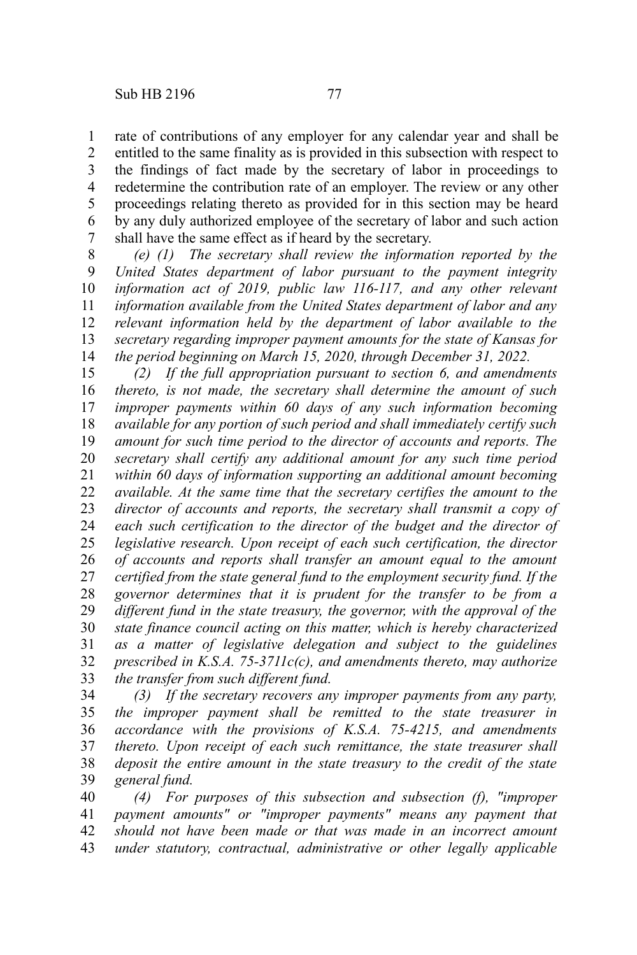rate of contributions of any employer for any calendar year and shall be entitled to the same finality as is provided in this subsection with respect to the findings of fact made by the secretary of labor in proceedings to redetermine the contribution rate of an employer. The review or any other proceedings relating thereto as provided for in this section may be heard by any duly authorized employee of the secretary of labor and such action shall have the same effect as if heard by the secretary. 1 2 3 4 5 6 7

*(e) (1) The secretary shall review the information reported by the United States department of labor pursuant to the payment integrity information act of 2019, public law 116-117, and any other relevant information available from the United States department of labor and any relevant information held by the department of labor available to the secretary regarding improper payment amounts for the state of Kansas for the period beginning on March 15, 2020, through December 31, 2022.* 8 9 10 11 12 13 14

*(2) If the full appropriation pursuant to section 6, and amendments thereto, is not made, the secretary shall determine the amount of such improper payments within 60 days of any such information becoming available for any portion of such period and shall immediately certify such amount for such time period to the director of accounts and reports. The secretary shall certify any additional amount for any such time period within 60 days of information supporting an additional amount becoming available. At the same time that the secretary certifies the amount to the director of accounts and reports, the secretary shall transmit a copy of each such certification to the director of the budget and the director of legislative research. Upon receipt of each such certification, the director of accounts and reports shall transfer an amount equal to the amount certified from the state general fund to the employment security fund. If the governor determines that it is prudent for the transfer to be from a different fund in the state treasury, the governor, with the approval of the state finance council acting on this matter, which is hereby characterized as a matter of legislative delegation and subject to the guidelines prescribed in K.S.A. 75-3711c(c), and amendments thereto, may authorize the transfer from such different fund.* 15 16 17 18 19 20 21 22 23 24 25 26 27 28 29 30 31 32 33

*(3) If the secretary recovers any improper payments from any party, the improper payment shall be remitted to the state treasurer in accordance with the provisions of K.S.A. 75-4215, and amendments thereto. Upon receipt of each such remittance, the state treasurer shall deposit the entire amount in the state treasury to the credit of the state general fund.* 34 35 36 37 38 39

*(4) For purposes of this subsection and subsection (f), "improper payment amounts" or "improper payments" means any payment that should not have been made or that was made in an incorrect amount under statutory, contractual, administrative or other legally applicable* 40 41 42 43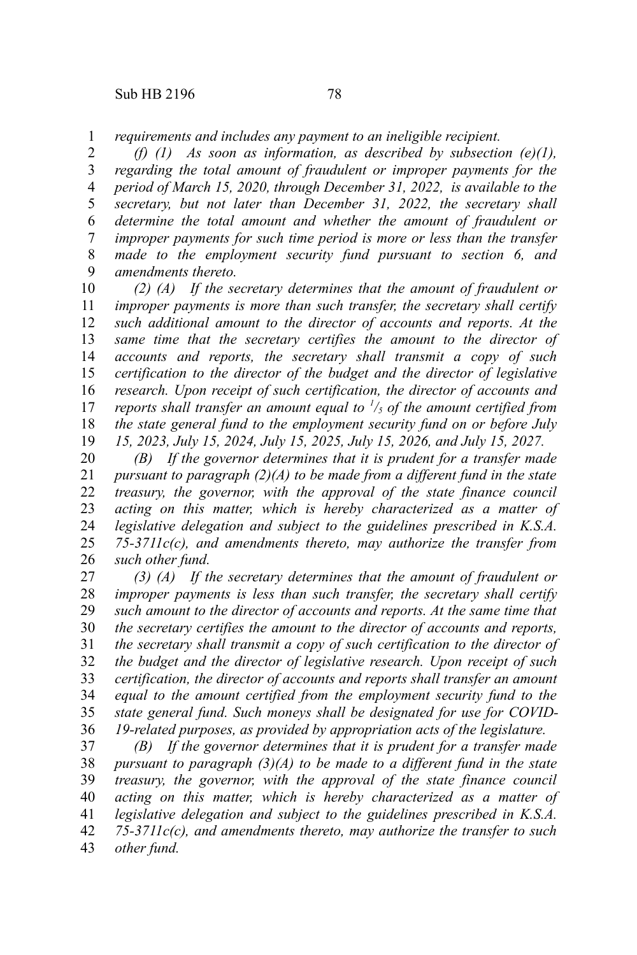*requirements and includes any payment to an ineligible recipient.* 1

*(f) (1) As soon as information, as described by subsection (e)(1), regarding the total amount of fraudulent or improper payments for the period of March 15, 2020, through December 31, 2022, is available to the secretary, but not later than December 31, 2022, the secretary shall determine the total amount and whether the amount of fraudulent or improper payments for such time period is more or less than the transfer made to the employment security fund pursuant to section 6, and amendments thereto.*  2 3 4 5 6 7 8 9

*(2) (A) If the secretary determines that the amount of fraudulent or improper payments is more than such transfer, the secretary shall certify such additional amount to the director of accounts and reports. At the same time that the secretary certifies the amount to the director of accounts and reports, the secretary shall transmit a copy of such certification to the director of the budget and the director of legislative research. Upon receipt of such certification, the director of accounts and reports shall transfer an amount equal to <sup>1</sup> /5 of the amount certified from the state general fund to the employment security fund on or before July 15, 2023, July 15, 2024, July 15, 2025, July 15, 2026, and July 15, 2027.*  10 11 12 13 14 15 16 17 18 19

*(B) If the governor determines that it is prudent for a transfer made pursuant to paragraph (2)(A) to be made from a different fund in the state treasury, the governor, with the approval of the state finance council acting on this matter, which is hereby characterized as a matter of legislative delegation and subject to the guidelines prescribed in K.S.A. 75-3711c(c), and amendments thereto, may authorize the transfer from such other fund.* 20 21 22 23 24 25 26

*(3) (A) If the secretary determines that the amount of fraudulent or improper payments is less than such transfer, the secretary shall certify such amount to the director of accounts and reports. At the same time that the secretary certifies the amount to the director of accounts and reports, the secretary shall transmit a copy of such certification to the director of the budget and the director of legislative research. Upon receipt of such certification, the director of accounts and reports shall transfer an amount equal to the amount certified from the employment security fund to the state general fund. Such moneys shall be designated for use for COVID-19-related purposes, as provided by appropriation acts of the legislature.* 27 28 29 30 31 32 33 34 35 36

*(B) If the governor determines that it is prudent for a transfer made pursuant to paragraph (3)(A) to be made to a different fund in the state treasury, the governor, with the approval of the state finance council acting on this matter, which is hereby characterized as a matter of legislative delegation and subject to the guidelines prescribed in K.S.A. 75-3711c(c), and amendments thereto, may authorize the transfer to such other fund.* 37 38 39 40 41 42 43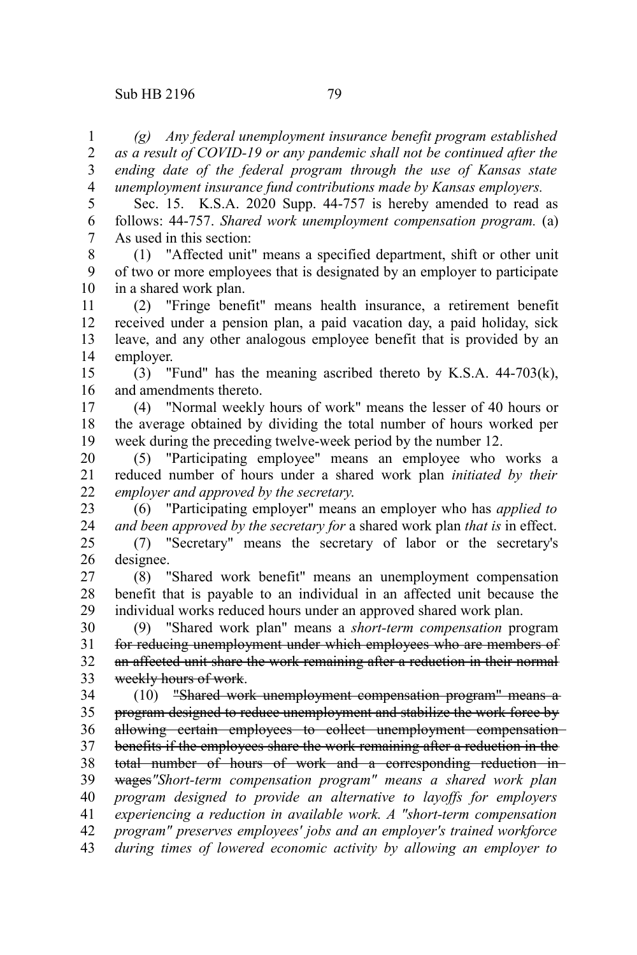*(g) Any federal unemployment insurance benefit program established as a result of COVID-19 or any pandemic shall not be continued after the ending date of the federal program through the use of Kansas state unemployment insurance fund contributions made by Kansas employers.* 1 2 3 4

Sec. 15. K.S.A. 2020 Supp. 44-757 is hereby amended to read as follows: 44-757. *Shared work unemployment compensation program.* (a) As used in this section: 5 6 7

(1) "Affected unit" means a specified department, shift or other unit of two or more employees that is designated by an employer to participate in a shared work plan. 8 9 10

(2) "Fringe benefit" means health insurance, a retirement benefit received under a pension plan, a paid vacation day, a paid holiday, sick leave, and any other analogous employee benefit that is provided by an employer. 11 12 13 14

(3) "Fund" has the meaning ascribed thereto by K.S.A. 44-703(k), and amendments thereto. 15 16

(4) "Normal weekly hours of work" means the lesser of 40 hours or the average obtained by dividing the total number of hours worked per week during the preceding twelve-week period by the number 12. 17 18 19

(5) "Participating employee" means an employee who works a reduced number of hours under a shared work plan *initiated by their employer and approved by the secretary*. 20 21 22

(6) "Participating employer" means an employer who has *applied to and been approved by the secretary for* a shared work plan *that is* in effect. 23 24

(7) "Secretary" means the secretary of labor or the secretary's designee. 25 26

(8) "Shared work benefit" means an unemployment compensation benefit that is payable to an individual in an affected unit because the individual works reduced hours under an approved shared work plan. 27 28 29

(9) "Shared work plan" means a *short-term compensation* program for reducing unemployment under which employees who are members of an affected unit share the work remaining after a reduction in their normal weekly hours of work. 30 31 32 33

(10) "Shared work unemployment compensation program" means a program designed to reduce unemployment and stabilize the work force by 34 35

allowing certain employees to collect unemployment compensation-36

benefits if the employees share the work remaining after a reduction in the 37

total number of hours of work and a corresponding reduction in 38

wages*"Short-term compensation program" means a shared work plan* 39

*program designed to provide an alternative to layoffs for employers* 40

*experiencing a reduction in available work. A "short-term compensation* 41

*program" preserves employees' jobs and an employer's trained workforce* 42

*during times of lowered economic activity by allowing an employer to* 43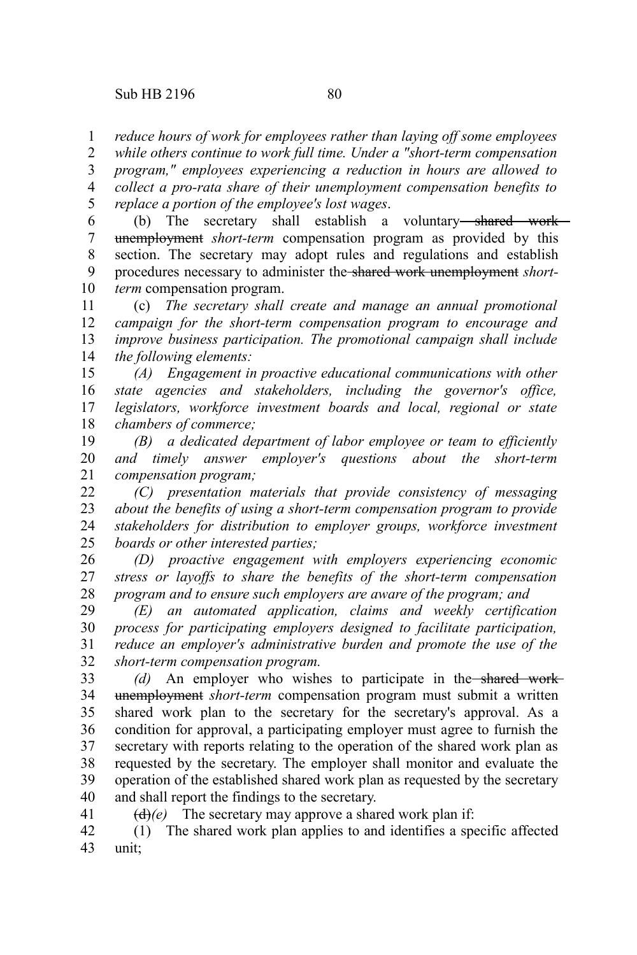41

*reduce hours of work for employees rather than laying off some employees* 1

*while others continue to work full time. Under a "short-term compensation program," employees experiencing a reduction in hours are allowed to collect a pro-rata share of their unemployment compensation benefits to replace a portion of the employee's lost wages*. 2 3 4 5

(b) The secretary shall establish a voluntary shared work unemployment *short-term* compensation program as provided by this section. The secretary may adopt rules and regulations and establish procedures necessary to administer the shared work unemployment *shortterm* compensation program. 6 7 8 9 10

(c) *The secretary shall create and manage an annual promotional campaign for the short-term compensation program to encourage and improve business participation. The promotional campaign shall include the following elements:* 11 12 13 14

*(A) Engagement in proactive educational communications with other state agencies and stakeholders, including the governor's office, legislators, workforce investment boards and local, regional or state chambers of commerce;* 15 16 17 18

*(B) a dedicated department of labor employee or team to efficiently and timely answer employer's questions about the short-term compensation program;* 19 20 21

*(C) presentation materials that provide consistency of messaging about the benefits of using a short-term compensation program to provide stakeholders for distribution to employer groups, workforce investment boards or other interested parties;* 22 23 24 25

*(D) proactive engagement with employers experiencing economic stress or layoffs to share the benefits of the short-term compensation program and to ensure such employers are aware of the program; and* 26 27 28

*(E) an automated application, claims and weekly certification process for participating employers designed to facilitate participation, reduce an employer's administrative burden and promote the use of the short-term compensation program.* 29 30 31 32

*(d)* An employer who wishes to participate in the shared work unemployment *short-term* compensation program must submit a written shared work plan to the secretary for the secretary's approval. As a condition for approval, a participating employer must agree to furnish the secretary with reports relating to the operation of the shared work plan as requested by the secretary. The employer shall monitor and evaluate the operation of the established shared work plan as requested by the secretary and shall report the findings to the secretary. 33 34 35 36 37 38 39 40

 $\left(\frac{d}{e}\right)(e)$  The secretary may approve a shared work plan if:

(1) The shared work plan applies to and identifies a specific affected unit; 42 43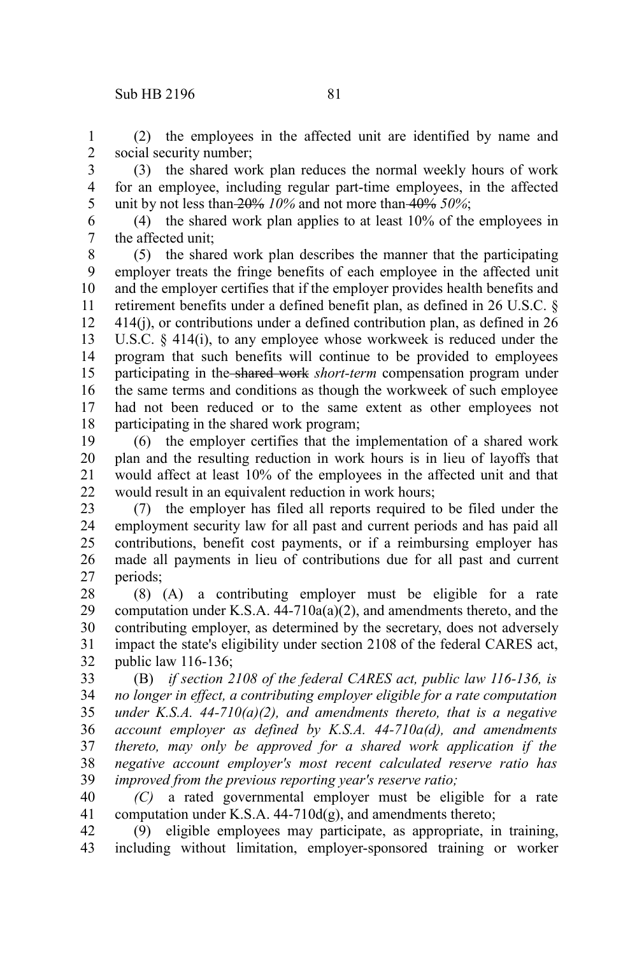(2) the employees in the affected unit are identified by name and social security number; 1 2

(3) the shared work plan reduces the normal weekly hours of work for an employee, including regular part-time employees, in the affected unit by not less than 20% *10%* and not more than 40% *50%*; 3 4 5

(4) the shared work plan applies to at least 10% of the employees in the affected unit; 6 7

(5) the shared work plan describes the manner that the participating employer treats the fringe benefits of each employee in the affected unit and the employer certifies that if the employer provides health benefits and retirement benefits under a defined benefit plan, as defined in 26 U.S.C. § 414(j), or contributions under a defined contribution plan, as defined in 26 U.S.C. § 414(i), to any employee whose workweek is reduced under the program that such benefits will continue to be provided to employees participating in the shared work *short-term* compensation program under the same terms and conditions as though the workweek of such employee had not been reduced or to the same extent as other employees not participating in the shared work program; 8 9 10 11 12 13 14 15 16 17 18

(6) the employer certifies that the implementation of a shared work plan and the resulting reduction in work hours is in lieu of layoffs that would affect at least 10% of the employees in the affected unit and that would result in an equivalent reduction in work hours; 19 20 21 22

(7) the employer has filed all reports required to be filed under the employment security law for all past and current periods and has paid all contributions, benefit cost payments, or if a reimbursing employer has made all payments in lieu of contributions due for all past and current periods; 23 24 25 26 27

(8) (A) a contributing employer must be eligible for a rate computation under K.S.A. 44-710a(a)(2), and amendments thereto, and the contributing employer, as determined by the secretary, does not adversely impact the state's eligibility under section 2108 of the federal CARES act, public law 116-136; 28 29 30 31 32

(B) *if section 2108 of the federal CARES act, public law 116-136, is no longer in effect, a contributing employer eligible for a rate computation under K.S.A. 44-710(a)(2), and amendments thereto, that is a negative account employer as defined by K.S.A. 44-710a(d), and amendments thereto, may only be approved for a shared work application if the negative account employer's most recent calculated reserve ratio has improved from the previous reporting year's reserve ratio;* 33 34 35 36 37 38 39

*(C)* a rated governmental employer must be eligible for a rate computation under K.S.A. 44-710d(g), and amendments thereto; 40 41

(9) eligible employees may participate, as appropriate, in training, including without limitation, employer-sponsored training or worker 42 43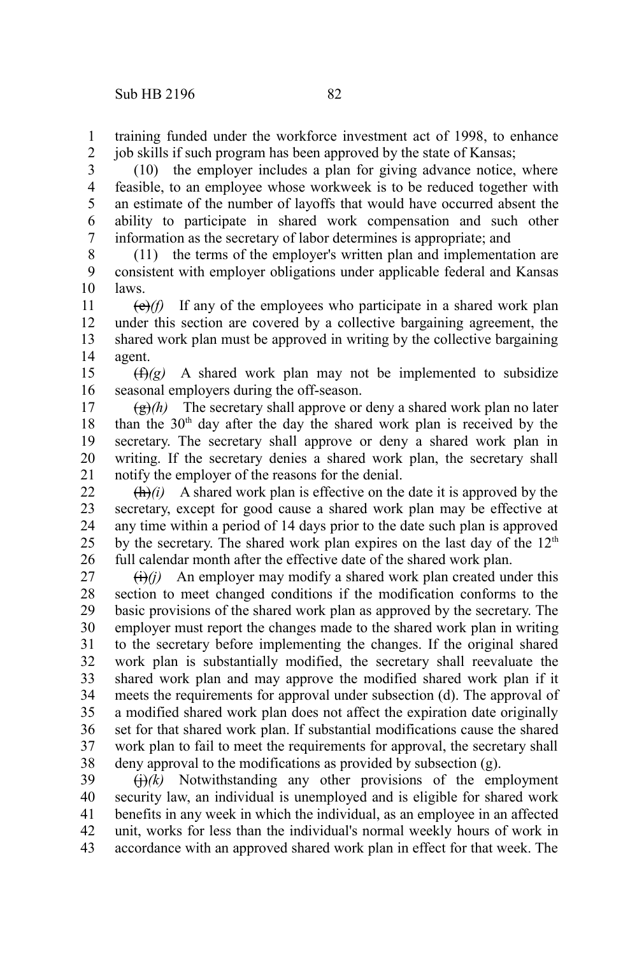training funded under the workforce investment act of 1998, to enhance job skills if such program has been approved by the state of Kansas; 1 2

(10) the employer includes a plan for giving advance notice, where feasible, to an employee whose workweek is to be reduced together with an estimate of the number of layoffs that would have occurred absent the ability to participate in shared work compensation and such other information as the secretary of labor determines is appropriate; and 3 4 5 6 7

(11) the terms of the employer's written plan and implementation are consistent with employer obligations under applicable federal and Kansas laws. 8 9 10

 $\left(\frac{e}{f}\right)$  If any of the employees who participate in a shared work plan under this section are covered by a collective bargaining agreement, the shared work plan must be approved in writing by the collective bargaining agent. 11 12 13 14

 $(f)(g)$  A shared work plan may not be implemented to subsidize seasonal employers during the off-season. 15 16

 $\left(\frac{g}{g}\right)$  The secretary shall approve or deny a shared work plan no later than the  $30<sup>th</sup>$  day after the day the shared work plan is received by the secretary. The secretary shall approve or deny a shared work plan in writing. If the secretary denies a shared work plan, the secretary shall notify the employer of the reasons for the denial. 17 18 19 20 21

 $(h)(i)$  A shared work plan is effective on the date it is approved by the secretary, except for good cause a shared work plan may be effective at any time within a period of 14 days prior to the date such plan is approved by the secretary. The shared work plan expires on the last day of the  $12<sup>th</sup>$ full calendar month after the effective date of the shared work plan. 22 23 24 25 26

 $\left(\frac{1}{i}\right)(i)$  An employer may modify a shared work plan created under this section to meet changed conditions if the modification conforms to the basic provisions of the shared work plan as approved by the secretary. The employer must report the changes made to the shared work plan in writing to the secretary before implementing the changes. If the original shared work plan is substantially modified, the secretary shall reevaluate the shared work plan and may approve the modified shared work plan if it meets the requirements for approval under subsection (d). The approval of a modified shared work plan does not affect the expiration date originally set for that shared work plan. If substantial modifications cause the shared work plan to fail to meet the requirements for approval, the secretary shall deny approval to the modifications as provided by subsection (g). 27 28 29 30 31 32 33 34 35 36 37 38

 $(j)(k)$  Notwithstanding any other provisions of the employment security law, an individual is unemployed and is eligible for shared work benefits in any week in which the individual, as an employee in an affected unit, works for less than the individual's normal weekly hours of work in accordance with an approved shared work plan in effect for that week. The 39 40 41 42 43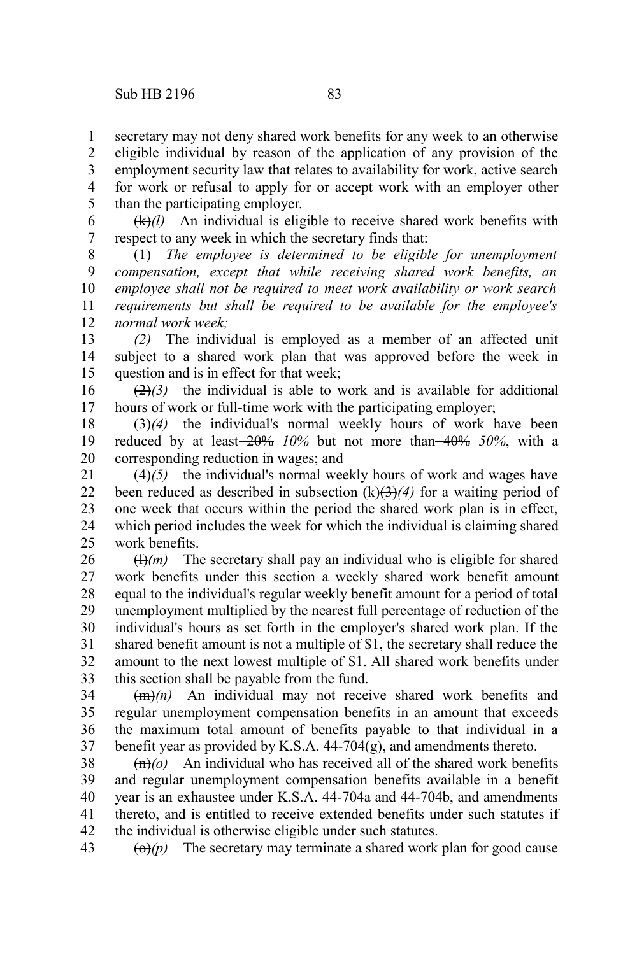secretary may not deny shared work benefits for any week to an otherwise eligible individual by reason of the application of any provision of the employment security law that relates to availability for work, active search for work or refusal to apply for or accept work with an employer other than the participating employer. 1 2 3 4 5

 $(k)/l$  An individual is eligible to receive shared work benefits with respect to any week in which the secretary finds that: 6 7

(1) *The employee is determined to be eligible for unemployment compensation, except that while receiving shared work benefits, an employee shall not be required to meet work availability or work search requirements but shall be required to be available for the employee's normal work week;* 8 9 10 11 12

*(2)* The individual is employed as a member of an affected unit subject to a shared work plan that was approved before the week in question and is in effect for that week; 13 14 15

 $(2)$ <sup>(2)</sup> $(3)$  the individual is able to work and is available for additional hours of work or full-time work with the participating employer; 16 17

(3)*(4)* the individual's normal weekly hours of work have been reduced by at least 20% *10%* but not more than 40% *50%*, with a corresponding reduction in wages; and 18 19 20

(4)*(5)* the individual's normal weekly hours of work and wages have been reduced as described in subsection  $(k)(3)(4)$  for a waiting period of one week that occurs within the period the shared work plan is in effect, which period includes the week for which the individual is claiming shared work benefits. 21 22 23 24 25

 $(H)(m)$  The secretary shall pay an individual who is eligible for shared work benefits under this section a weekly shared work benefit amount equal to the individual's regular weekly benefit amount for a period of total unemployment multiplied by the nearest full percentage of reduction of the individual's hours as set forth in the employer's shared work plan. If the shared benefit amount is not a multiple of \$1, the secretary shall reduce the amount to the next lowest multiple of \$1. All shared work benefits under this section shall be payable from the fund. 26 27 28 29 30 31 32 33

 $(m)$  An individual may not receive shared work benefits and regular unemployment compensation benefits in an amount that exceeds the maximum total amount of benefits payable to that individual in a benefit year as provided by K.S.A. 44-704(g), and amendments thereto. 34 35 36 37

 $\left(\frac{m}{o}\right)$  An individual who has received all of the shared work benefits and regular unemployment compensation benefits available in a benefit year is an exhaustee under K.S.A. 44-704a and 44-704b, and amendments thereto, and is entitled to receive extended benefits under such statutes if the individual is otherwise eligible under such statutes. 38 39 40 41 42

 $\left(\Theta\right)(p)$  The secretary may terminate a shared work plan for good cause 43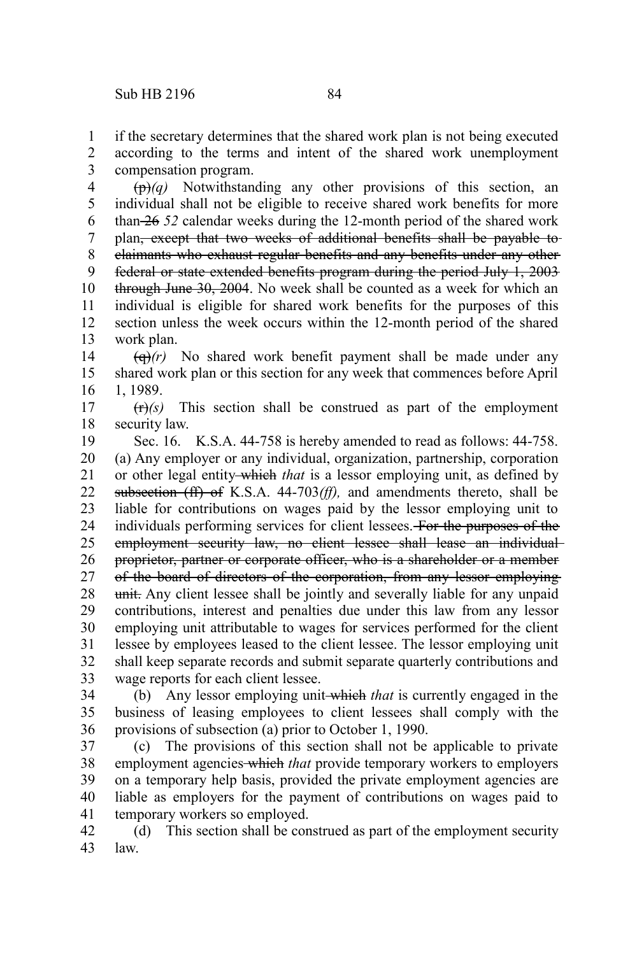if the secretary determines that the shared work plan is not being executed according to the terms and intent of the shared work unemployment compensation program. 1 2 3

(p)*(q)* Notwithstanding any other provisions of this section, an individual shall not be eligible to receive shared work benefits for more than 26 *52* calendar weeks during the 12-month period of the shared work plan, except that two weeks of additional benefits shall be payable to claimants who exhaust regular benefits and any benefits under any other federal or state extended benefits program during the period July 1, 2003 through June 30, 2004. No week shall be counted as a week for which an individual is eligible for shared work benefits for the purposes of this section unless the week occurs within the 12-month period of the shared work plan. 4 5 6 7 8 9 10 11 12 13

 $\left(\frac{q}{r}\right)$  No shared work benefit payment shall be made under any shared work plan or this section for any week that commences before April 1, 1989. 14 15 16

 $(r)(s)$  This section shall be construed as part of the employment security law. 17 18

Sec. 16. K.S.A. 44-758 is hereby amended to read as follows: 44-758. (a) Any employer or any individual, organization, partnership, corporation or other legal entity which *that* is a lessor employing unit, as defined by subsection (ff) of K.S.A. 44-703*(ff),* and amendments thereto, shall be liable for contributions on wages paid by the lessor employing unit to individuals performing services for client lessees. For the purposes of the employment security law, no client lessee shall lease an individual proprietor, partner or corporate officer, who is a shareholder or a member of the board of directors of the corporation, from any lessor employing unit. Any client lessee shall be jointly and severally liable for any unpaid contributions, interest and penalties due under this law from any lessor employing unit attributable to wages for services performed for the client lessee by employees leased to the client lessee. The lessor employing unit shall keep separate records and submit separate quarterly contributions and wage reports for each client lessee. 19 20 21 22 23 24 25 26 27 28 29 30 31 32 33

(b) Any lessor employing unit which *that* is currently engaged in the business of leasing employees to client lessees shall comply with the provisions of subsection (a) prior to October 1, 1990. 34 35 36

(c) The provisions of this section shall not be applicable to private employment agencies which *that* provide temporary workers to employers on a temporary help basis, provided the private employment agencies are liable as employers for the payment of contributions on wages paid to temporary workers so employed. 37 38 39 40 41

(d) This section shall be construed as part of the employment security law. 42 43